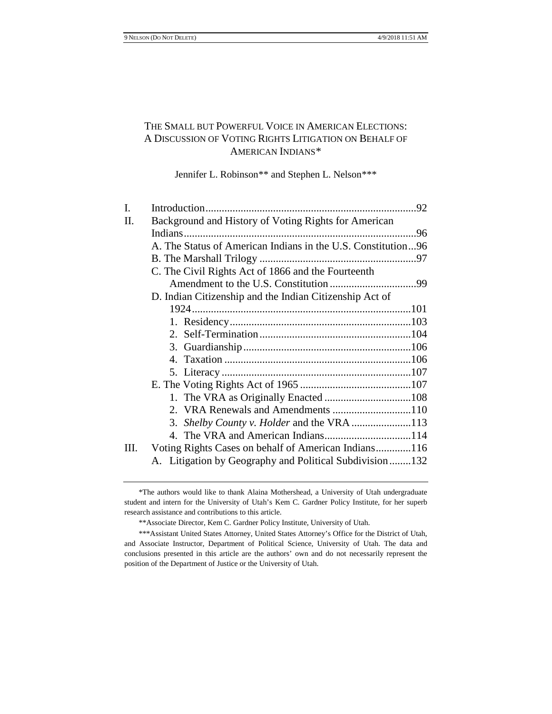# THE SMALL BUT POWERFUL VOICE IN AMERICAN ELECTIONS: A DISCUSSION OF VOTING RIGHTS LITIGATION ON BEHALF OF AMERICAN INDIANS[\\*](#page-0-0)

Jennifer L. Robinson\*\* and Stephen L. Nelson[\\*\\*\\*](#page-0-1)

| I.  |                                                              |    |
|-----|--------------------------------------------------------------|----|
| II. | Background and History of Voting Rights for American         |    |
|     | Indians                                                      | 96 |
|     | A. The Status of American Indians in the U.S. Constitution96 |    |
|     |                                                              |    |
|     | C. The Civil Rights Act of 1866 and the Fourteenth           |    |
|     |                                                              |    |
|     | D. Indian Citizenship and the Indian Citizenship Act of      |    |
|     |                                                              |    |
|     |                                                              |    |
|     |                                                              |    |
|     |                                                              |    |
|     |                                                              |    |
|     |                                                              |    |
|     |                                                              |    |
|     |                                                              |    |
|     |                                                              |    |
|     |                                                              |    |
|     |                                                              |    |
| Ш.  | Voting Rights Cases on behalf of American Indians116         |    |
|     | A. Litigation by Geography and Political Subdivision132      |    |

<span id="page-0-0"></span><sup>\*</sup>The authors would like to thank Alaina Mothershead, a University of Utah undergraduate student and intern for the University of Utah's Kem C. Gardner Policy Institute, for her superb research assistance and contributions to this article.

<sup>\*\*</sup>Associate Director, Kem C. Gardner Policy Institute, University of Utah.

<span id="page-0-1"></span><sup>\*\*\*</sup>Assistant United States Attorney, United States Attorney's Office for the District of Utah, and Associate Instructor, Department of Political Science, University of Utah. The data and conclusions presented in this article are the authors' own and do not necessarily represent the position of the Department of Justice or the University of Utah.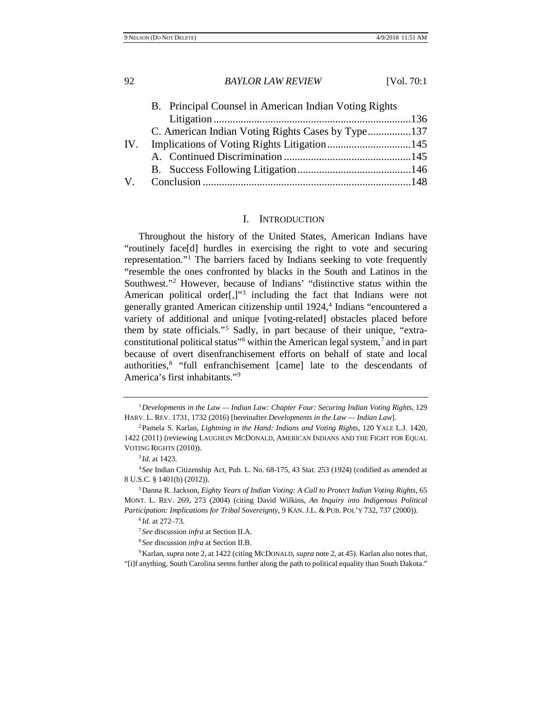|     | B. Principal Counsel in American Indian Voting Rights |  |
|-----|-------------------------------------------------------|--|
|     |                                                       |  |
|     | C. American Indian Voting Rights Cases by Type137     |  |
| IV. |                                                       |  |
|     |                                                       |  |
|     |                                                       |  |
| V.  |                                                       |  |

# <span id="page-1-11"></span>I. INTRODUCTION

<span id="page-1-10"></span><span id="page-1-0"></span>Throughout the history of the United States, American Indians have "routinely face[d] hurdles in exercising the right to vote and securing representation.["1](#page-1-1) The barriers faced by Indians seeking to vote frequently "resemble the ones confronted by blacks in the South and Latinos in the Southwest."[2](#page-1-2) However, because of Indians' "distinctive status within the American political order $[$ , $]$ <sup>[3](#page-1-3)</sup> including the fact that Indians were not generally granted American citizenship until 192[4](#page-1-4),<sup>4</sup> Indians "encountered a variety of additional and unique [voting-related] obstacles placed before them by state officials."<sup>[5](#page-1-5)</sup> Sadly, in part because of their unique, "extraconstitutional political status"[6](#page-1-6) within the American legal system,[7](#page-1-7) and in part because of overt disenfranchisement efforts on behalf of state and local authorities,[8](#page-1-8) "full enfranchisement [came] late to the descendants of America's first inhabitants."[9](#page-1-9)

<span id="page-1-1"></span><sup>1</sup>*Developments in the Law — Indian Law: Chapter Four: Securing Indian Voting Rights*, 129 HARV. L. REV. 1731, 1732 (2016) [hereinafter *Developments in the Law — Indian Law*].

<span id="page-1-2"></span><sup>2</sup>Pamela S. Karlan, *Lightning in the Hand: Indians and Voting Rights*, 120 YALE L.J. 1420, 1422 (2011) (reviewing LAUGHLIN MCDONALD, AMERICAN INDIANS AND THE FIGHT FOR EQUAL VOTING RIGHTS (2010)).

<sup>3</sup> *Id.* at 1423.

<span id="page-1-4"></span><span id="page-1-3"></span><sup>4</sup> *See* Indian Citizenship Act, Pub. L. No. 68-175, 43 Stat. 253 (1924) (codified as amended at 8 U.S.C. § 1401(b) (2012)).

<span id="page-1-6"></span><span id="page-1-5"></span><sup>5</sup>Danna R. Jackson, *Eighty Years of Indian Voting: A Call to Protect Indian Voting Rights*, 65 MONT. L. REV. 269, 273 (2004) (citing David Wilkins, *An Inquiry into Indigenous Political Participation: Implications for Tribal Sovereignty*, 9 KAN. J.L. & PUB. POL'Y 732, 737 (2000)).

<sup>6</sup> *Id.* at 272–73.

<sup>7</sup> *See* discussion *infra* at Section II.A.

<sup>8</sup> *See* discussion *infra* at Section II.B.

<span id="page-1-9"></span><span id="page-1-8"></span><span id="page-1-7"></span><sup>9</sup>Karlan, *supra* note [2,](#page-1-0) at 1422 (citing MCDONALD, *supra* note [2,](#page-1-0) at 45). Karlan also notes that, "[i]f anything, South Carolina seems further along the path to political equality than South Dakota."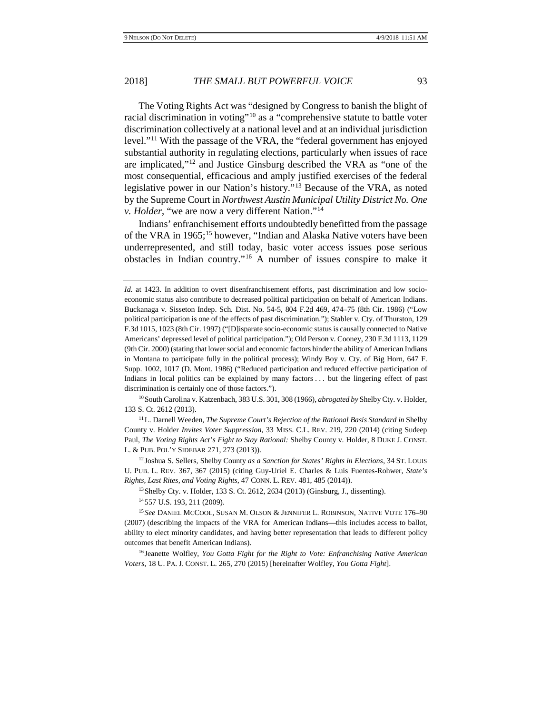<span id="page-2-10"></span>The Voting Rights Act was "designed by Congress to banish the blight of racial discrimination in voting"[10](#page-2-0) as a "comprehensive statute to battle voter discrimination collectively at a national level and at an individual jurisdiction level."[11](#page-2-1) With the passage of the VRA, the "federal government has enjoyed substantial authority in regulating elections, particularly when issues of race are implicated,"[12](#page-2-2) and Justice Ginsburg described the VRA as "one of the most consequential, efficacious and amply justified exercises of the federal legislative power in our Nation's history."[13](#page-2-3) Because of the VRA, as noted by the Supreme Court in *Northwest Austin Municipal Utility District No. One v. Holder*, "we are now a very different Nation."[14](#page-2-4)

<span id="page-2-9"></span><span id="page-2-7"></span>Indians' enfranchisement efforts undoubtedly benefitted from the passage of the VRA in 1965;[15](#page-2-5) however, "Indian and Alaska Native voters have been underrepresented, and still today, basic voter access issues pose serious obstacles in Indian country."[16](#page-2-6) A number of issues conspire to make it

<span id="page-2-0"></span>10South Carolina v. Katzenbach, 383 U.S. 301, 308 (1966), *abrogated by* Shelby Cty. v. Holder, 133 S. Ct. 2612 (2013).

<span id="page-2-1"></span><sup>11</sup> L. Darnell Weeden, *The Supreme Court's Rejection of the Rational Basis Standard in Shelby* County v. Holder *Invites Voter Suppression*, 33 MISS. C.L. REV. 219, 220 (2014) (citing Sudeep Paul, *The Voting Rights Act's Fight to Stay Rational:* Shelby County v. Holder, 8 DUKE J. CONST. L. & PUB. POL'Y SIDEBAR 271, 273 (2013)).

<span id="page-2-2"></span><sup>12</sup> Joshua S. Sellers, Shelby County *as a Sanction for States' Rights in Elections*, 34 ST. LOUIS U. PUB. L. REV. 367, 367 (2015) (citing Guy-Uriel E. Charles & Luis Fuentes-Rohwer, *State's Rights, Last Rites, and Voting Rights*, 47 CONN. L. REV. 481, 485 (2014)).

13Shelby Cty. v. Holder, 133 S. Ct. 2612, 2634 (2013) (Ginsburg, J., dissenting).

<span id="page-2-6"></span><sup>16</sup> Jeanette Wolfley, *You Gotta Fight for the Right to Vote: Enfranchising Native American Voters*, 18 U. PA. J. CONST. L. 265, 270 (2015) [hereinafter Wolfley, *You Gotta Fight*].

<span id="page-2-8"></span>*Id.* at 1423. In addition to overt disenfranchisement efforts, past discrimination and low socioeconomic status also contribute to decreased political participation on behalf of American Indians. Buckanaga v. Sisseton Indep. Sch. Dist. No. 54-5, 804 F.2d 469, 474–75 (8th Cir. 1986) ("Low political participation is one of the effects of past discrimination."); Stabler v. Cty. of Thurston, 129 F.3d 1015, 1023 (8th Cir. 1997) ("[D]isparate socio-economic status is causally connected to Native Americans' depressed level of political participation."); Old Person v. Cooney, 230 F.3d 1113, 1129 (9th Cir. 2000) (stating that lower social and economic factors hinder the ability of American Indians in Montana to participate fully in the political process); Windy Boy v. Cty. of Big Horn, 647 F. Supp. 1002, 1017 (D. Mont. 1986) ("Reduced participation and reduced effective participation of Indians in local politics can be explained by many factors . . . but the lingering effect of past discrimination is certainly one of those factors.").

<sup>14</sup> 557 U.S. 193, 211 (2009).

<span id="page-2-5"></span><span id="page-2-4"></span><span id="page-2-3"></span><sup>15</sup> *See* DANIEL MCCOOL, SUSAN M. OLSON & JENNIFER L. ROBINSON, NATIVE VOTE 176–90 (2007) (describing the impacts of the VRA for American Indians—this includes access to ballot, ability to elect minority candidates, and having better representation that leads to different policy outcomes that benefit American Indians).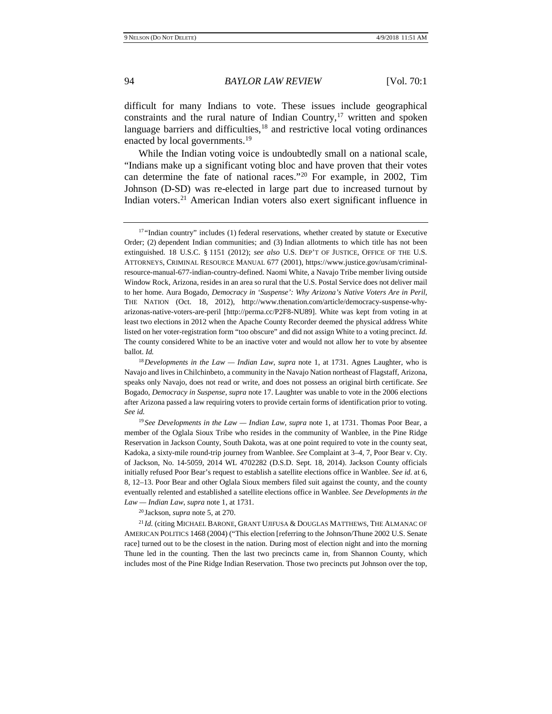<span id="page-3-0"></span>

difficult for many Indians to vote. These issues include geographical constraints and the rural nature of Indian Country, $17$  written and spoken language barriers and difficulties, $18$  and restrictive local voting ordinances enacted by local governments.<sup>[19](#page-3-3)</sup>

While the Indian voting voice is undoubtedly small on a national scale, "Indians make up a significant voting bloc and have proven that their votes can determine the fate of national races."[20](#page-3-4) For example, in 2002, Tim Johnson (D-SD) was re-elected in large part due to increased turnout by Indian voters.[21](#page-3-5) American Indian voters also exert significant influence in

<sup>20</sup> Jackson, *supra* note [5,](#page-1-11) at 270.

<span id="page-3-5"></span><span id="page-3-4"></span><sup>21</sup> *Id.* (citing MICHAEL BARONE, GRANT UJIFUSA & DOUGLAS MATTHEWS, THE ALMANAC OF AMERICAN POLITICS 1468 (2004) ("This election [referring to the Johnson/Thune 2002 U.S. Senate race] turned out to be the closest in the nation. During most of election night and into the morning Thune led in the counting. Then the last two precincts came in, from Shannon County, which includes most of the Pine Ridge Indian Reservation. Those two precincts put Johnson over the top,

<span id="page-3-1"></span><sup>&</sup>lt;sup>17</sup> "Indian country" includes (1) federal reservations, whether created by statute or Executive Order; (2) dependent Indian communities; and (3) Indian allotments to which title has not been extinguished. 18 U.S.C. § 1151 (2012); *see also* U.S. DEP'T OF JUSTICE, OFFICE OF THE U.S. ATTORNEYS, CRIMINAL RESOURCE MANUAL 677 (2001), https://www.justice.gov/usam/criminalresource-manual-677-indian-country-defined. Naomi White, a Navajo Tribe member living outside Window Rock, Arizona, resides in an area so rural that the U.S. Postal Service does not deliver mail to her home. Aura Bogado, *Democracy in 'Suspense': Why Arizona's Native Voters Are in Peril*, THE NATION (Oct. 18, 2012), http://www.thenation.com/article/democracy-suspense-whyarizonas-native-voters-are-peril [http://perma.cc/P2F8-NU89]. White was kept from voting in at least two elections in 2012 when the Apache County Recorder deemed the physical address White listed on her voter-registration form "too obscure" and did not assign White to a voting precinct. *Id.* The county considered White to be an inactive voter and would not allow her to vote by absentee ballot. *Id.*

<span id="page-3-2"></span><sup>18</sup>*Developments in the Law — Indian Law*, *supra* note [1,](#page-1-10) at 1731. Agnes Laughter, who is Navajo and lives in Chilchinbeto, a community in the Navajo Nation northeast of Flagstaff, Arizona, speaks only Navajo, does not read or write, and does not possess an original birth certificate. *See* Bogado, *Democracy in Suspense*, *supra* not[e 17.](#page-3-0) Laughter was unable to vote in the 2006 elections after Arizona passed a law requiring voters to provide certain forms of identification prior to voting. *See id.*

<span id="page-3-3"></span><sup>19</sup> *See Developments in the Law — Indian Law*, *supra* note [1,](#page-1-10) at 1731. Thomas Poor Bear, a member of the Oglala Sioux Tribe who resides in the community of Wanblee, in the Pine Ridge Reservation in Jackson County, South Dakota, was at one point required to vote in the county seat, Kadoka, a sixty-mile round-trip journey from Wanblee. *See* Complaint at 3–4, 7, Poor Bear v. Cty. of Jackson, No. 14-5059, 2014 WL 4702282 (D.S.D. Sept. 18, 2014). Jackson County officials initially refused Poor Bear's request to establish a satellite elections office in Wanblee. *See id.* at 6, 8, 12–13. Poor Bear and other Oglala Sioux members filed suit against the county, and the county eventually relented and established a satellite elections office in Wanblee. *See Developments in the Law — Indian Law*, *supra* note [1,](#page-1-10) at 1731.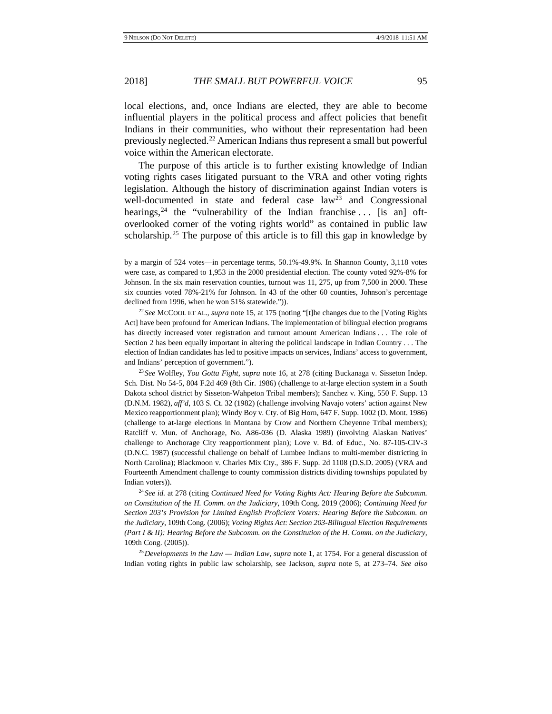local elections, and, once Indians are elected, they are able to become influential players in the political process and affect policies that benefit Indians in their communities, who without their representation had been previously neglected.<sup>[22](#page-4-0)</sup> American Indians thus represent a small but powerful voice within the American electorate.

The purpose of this article is to further existing knowledge of Indian voting rights cases litigated pursuant to the VRA and other voting rights legislation. Although the history of discrimination against Indian voters is well-documented in state and federal case  $law<sup>23</sup>$  and Congressional hearings,<sup>[24](#page-4-2)</sup> the "vulnerability of the Indian franchise ... [is an] oftoverlooked corner of the voting rights world" as contained in public law scholarship.<sup>[25](#page-4-3)</sup> The purpose of this article is to fill this gap in knowledge by

<span id="page-4-0"></span><sup>22</sup> *See* MCCOOL ET AL., *supra* note [15,](#page-2-7) at 175 (noting "[t]he changes due to the [Voting Rights Act] have been profound for American Indians. The implementation of bilingual election programs has directly increased voter registration and turnout amount American Indians . . . The role of Section 2 has been equally important in altering the political landscape in Indian Country . . . The election of Indian candidates has led to positive impacts on services, Indians' access to government, and Indians' perception of government.").

<span id="page-4-1"></span><sup>23</sup> *See* Wolfley, *You Gotta Fight*, *supra* note [16,](#page-2-8) at 278 (citing Buckanaga v. Sisseton Indep. Sch. Dist. No 54-5, 804 F.2d 469 (8th Cir. 1986) (challenge to at-large election system in a South Dakota school district by Sisseton-Wahpeton Tribal members); Sanchez v. King, 550 F. Supp. 13 (D.N.M. 1982), *aff'd*, 103 S. Ct. 32 (1982) (challenge involving Navajo voters' action against New Mexico reapportionment plan); Windy Boy v. Cty. of Big Horn, 647 F. Supp. 1002 (D. Mont. 1986) (challenge to at-large elections in Montana by Crow and Northern Cheyenne Tribal members); Ratcliff v. Mun. of Anchorage, No. A86-036 (D. Alaska 1989) (involving Alaskan Natives' challenge to Anchorage City reapportionment plan); Love v. Bd. of Educ., No. 87-105-CIV-3 (D.N.C. 1987) (successful challenge on behalf of Lumbee Indians to multi-member districting in North Carolina); Blackmoon v. Charles Mix Cty., 386 F. Supp. 2d 1108 (D.S.D. 2005) (VRA and Fourteenth Amendment challenge to county commission districts dividing townships populated by Indian voters)).

<span id="page-4-2"></span><sup>24</sup> *See id.* at 278 (citing *Continued Need for Voting Rights Act: Hearing Before the Subcomm. on Constitution of the H. Comm. on the Judiciary*, 109th Cong. 2019 (2006); *Continuing Need for Section 203's Provision for Limited English Proficient Voters: Hearing Before the Subcomm. on the Judiciary*, 109th Cong. (2006); *Voting Rights Act: Section 203-Bilingual Election Requirements (Part I & II): Hearing Before the Subcomm. on the Constitution of the H. Comm. on the Judiciary*, 109th Cong. (2005)).

<span id="page-4-3"></span><sup>25</sup>*Developments in the Law — Indian Law*, *supra* not[e 1,](#page-1-10) at 1754. For a general discussion of Indian voting rights in public law scholarship, see Jackson, *supra* note [5,](#page-1-11) at 273–74. *See also*

<span id="page-4-4"></span>by a margin of 524 votes—in percentage terms, 50.1%-49.9%. In Shannon County, 3,118 votes were case, as compared to 1,953 in the 2000 presidential election. The county voted 92%-8% for Johnson. In the six main reservation counties, turnout was 11, 275, up from 7,500 in 2000. These six counties voted 78%-21% for Johnson. In 43 of the other 60 counties, Johnson's percentage declined from 1996, when he won 51% statewide.")).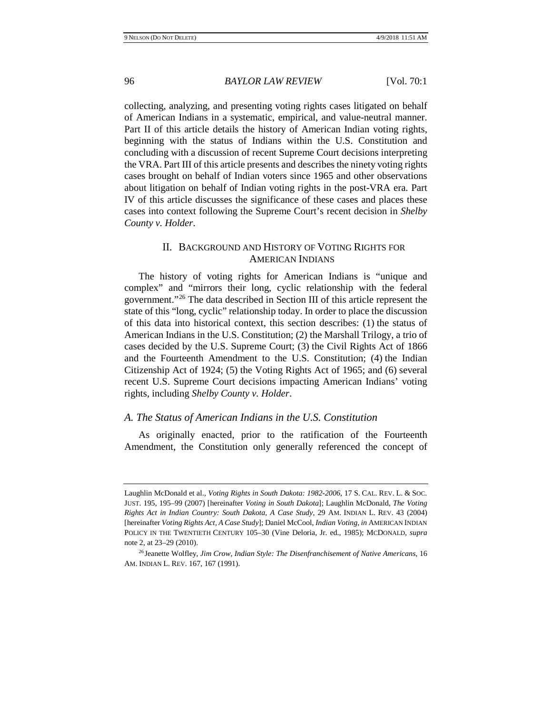collecting, analyzing, and presenting voting rights cases litigated on behalf of American Indians in a systematic, empirical, and value-neutral manner. Part II of this article details the history of American Indian voting rights, beginning with the status of Indians within the U.S. Constitution and concluding with a discussion of recent Supreme Court decisions interpreting the VRA. Part III of this article presents and describes the ninety voting rights cases brought on behalf of Indian voters since 1965 and other observations about litigation on behalf of Indian voting rights in the post-VRA era. Part IV of this article discusses the significance of these cases and places these cases into context following the Supreme Court's recent decision in *Shelby County v. Holder*.

# II. BACKGROUND AND HISTORY OF VOTING RIGHTS FOR AMERICAN INDIANS

The history of voting rights for American Indians is "unique and complex" and "mirrors their long, cyclic relationship with the federal government."[26](#page-5-0) The data described in Section III of this article represent the state of this "long, cyclic" relationship today. In order to place the discussion of this data into historical context, this section describes: (1) the status of American Indians in the U.S. Constitution; (2) the Marshall Trilogy, a trio of cases decided by the U.S. Supreme Court; (3) the Civil Rights Act of 1866 and the Fourteenth Amendment to the U.S. Constitution; (4) the Indian Citizenship Act of 1924; (5) the Voting Rights Act of 1965; and (6) several recent U.S. Supreme Court decisions impacting American Indians' voting rights, including *Shelby County v. Holder*.

#### *A. The Status of American Indians in the U.S. Constitution*

As originally enacted, prior to the ratification of the Fourteenth Amendment, the Constitution only generally referenced the concept of

Laughlin McDonald et al., *Voting Rights in South Dakota: 1982-2006*, 17 S. CAL. REV. L. & SOC. JUST. 195, 195–99 (2007) [hereinafter *Voting in South Dakota*]; Laughlin McDonald, *The Voting Rights Act in Indian Country: South Dakota, A Case Study*, 29 AM. INDIAN L. REV. 43 (2004) [hereinafter *Voting Rights Act, A Case Study*]; Daniel McCool, *Indian Voting, in* AMERICAN INDIAN POLICY IN THE TWENTIETH CENTURY 105–30 (Vine Deloria, Jr. ed., 1985); MCDONALD, *supra*  note [2,](#page-1-0) at 23–29 (2010).

<span id="page-5-0"></span><sup>26</sup> Jeanette Wolfley, *Jim Crow, Indian Style: The Disenfranchisement of Native Americans*, 16 AM. INDIAN L. REV. 167, 167 (1991).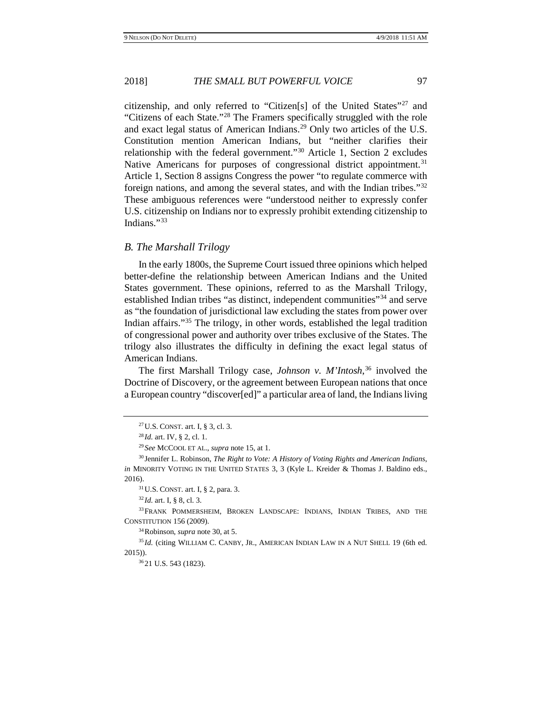<span id="page-6-0"></span>

citizenship, and only referred to "Citizen[s] of the United States"[27](#page-6-1) and "Citizens of each State."[28](#page-6-2) The Framers specifically struggled with the role and exact legal status of American Indians.[29](#page-6-3) Only two articles of the U.S. Constitution mention American Indians, but "neither clarifies their relationship with the federal government."[30](#page-6-4) Article 1, Section 2 excludes Native Americans for purposes of congressional district appointment.<sup>[31](#page-6-5)</sup> Article 1, Section 8 assigns Congress the power "to regulate commerce with foreign nations, and among the several states, and with the Indian tribes."[32](#page-6-6) These ambiguous references were "understood neither to expressly confer U.S. citizenship on Indians nor to expressly prohibit extending citizenship to Indians."[33](#page-6-7)

## *B. The Marshall Trilogy*

In the early 1800s, the Supreme Court issued three opinions which helped better-define the relationship between American Indians and the United States government. These opinions, referred to as the Marshall Trilogy, established Indian tribes "as distinct, independent communities"[34](#page-6-8) and serve as "the foundation of jurisdictional law excluding the states from power over Indian affairs."[35](#page-6-9) The trilogy, in other words, established the legal tradition of congressional power and authority over tribes exclusive of the States. The trilogy also illustrates the difficulty in defining the exact legal status of American Indians.

<span id="page-6-11"></span>The first Marshall Trilogy case, *Johnson v. M'Intosh*, [36](#page-6-10) involved the Doctrine of Discovery, or the agreement between European nations that once a European country "discover[ed]" a particular area of land, the Indians living

31U.S. CONST. art. I, § 2, para. 3.

34Robinson, *supra* not[e 30,](#page-6-0) at 5.

<span id="page-6-10"></span><span id="page-6-9"></span><span id="page-6-8"></span><sup>35</sup> Id. (citing WILLIAM C. CANBY, JR., AMERICAN INDIAN LAW IN A NUT SHELL 19 (6th ed. 2015)).

<sup>27</sup>U.S. CONST. art. I, § 3, cl. 3.

<sup>28</sup> *Id.* art. IV, § 2, cl. 1.

<sup>29</sup> *See* MCCOOL ET AL., *supra* not[e 15,](#page-2-7) at 1.

<span id="page-6-4"></span><span id="page-6-3"></span><span id="page-6-2"></span><span id="page-6-1"></span><sup>30</sup> Jennifer L. Robinson, *The Right to Vote: A History of Voting Rights and American Indians*, *in* MINORITY VOTING IN THE UNITED STATES 3, 3 (Kyle L. Kreider & Thomas J. Baldino eds., 2016).

<sup>32</sup> *Id.* art. I, § 8, cl. 3.

<span id="page-6-7"></span><span id="page-6-6"></span><span id="page-6-5"></span><sup>&</sup>lt;sup>33</sup>FRANK POMMERSHEIM, BROKEN LANDSCAPE: INDIANS, INDIAN TRIBES, AND THE CONSTITUTION 156 (2009).

<sup>36</sup> 21 U.S. 543 (1823).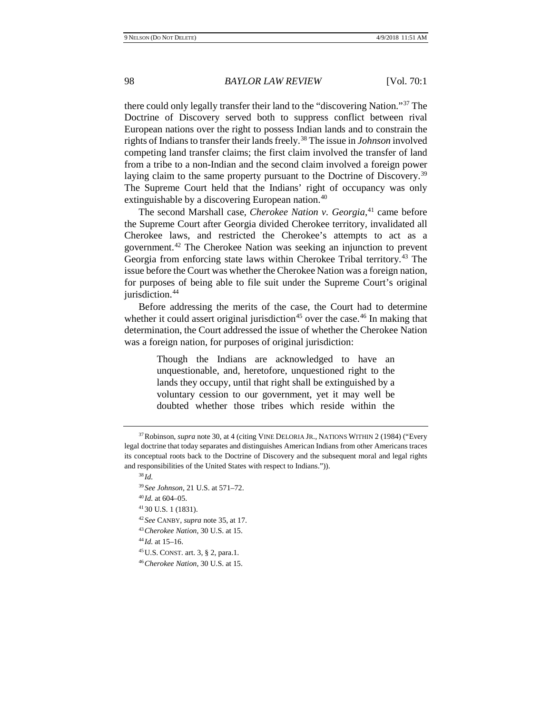there could only legally transfer their land to the "discovering Nation.["37](#page-7-0) The Doctrine of Discovery served both to suppress conflict between rival European nations over the right to possess Indian lands and to constrain the rights of Indians to transfer their lands freely.[38](#page-7-1) The issue in *Johnson* involved competing land transfer claims; the first claim involved the transfer of land from a tribe to a non-Indian and the second claim involved a foreign power laying claim to the same property pursuant to the Doctrine of Discovery.<sup>[39](#page-7-2)</sup> The Supreme Court held that the Indians' right of occupancy was only extinguishable by a discovering European nation.<sup>[40](#page-7-3)</sup>

The second Marshall case, *Cherokee Nation v. Georgia*, [41](#page-7-4) came before the Supreme Court after Georgia divided Cherokee territory, invalidated all Cherokee laws, and restricted the Cherokee's attempts to act as a government.[42](#page-7-5) The Cherokee Nation was seeking an injunction to prevent Georgia from enforcing state laws within Cherokee Tribal territory.[43](#page-7-6) The issue before the Court was whether the Cherokee Nation was a foreign nation, for purposes of being able to file suit under the Supreme Court's original jurisdiction.<sup>44</sup>

Before addressing the merits of the case, the Court had to determine whether it could assert original jurisdiction<sup>[45](#page-7-8)</sup> over the case.<sup>[46](#page-7-9)</sup> In making that determination, the Court addressed the issue of whether the Cherokee Nation was a foreign nation, for purposes of original jurisdiction:

> Though the Indians are acknowledged to have an unquestionable, and, heretofore, unquestioned right to the lands they occupy, until that right shall be extinguished by a voluntary cession to our government, yet it may well be doubted whether those tribes which reside within the

- <span id="page-7-5"></span><span id="page-7-4"></span><sup>42</sup> *See* CANBY, *supra* not[e 35,](#page-6-11) at 17.
- <span id="page-7-7"></span><span id="page-7-6"></span><sup>43</sup>*Cherokee Nation*, 30 U.S. at 15.

<sup>44</sup> *Id.* at 15–16.

<span id="page-7-8"></span>45U.S. CONST. art. 3, § 2, para.1.

<span id="page-7-3"></span><span id="page-7-2"></span><span id="page-7-1"></span><span id="page-7-0"></span><sup>&</sup>lt;sup>37</sup> Robinson, *supra* not[e 30,](#page-6-0) at 4 (citing VINE DELORIA JR., NATIONS WITHIN 2 (1984) ("Every legal doctrine that today separates and distinguishes American Indians from other Americans traces its conceptual roots back to the Doctrine of Discovery and the subsequent moral and legal rights and responsibilities of the United States with respect to Indians.")).

<sup>38</sup> *Id.*

<sup>39</sup> *See Johnson*, 21 U.S. at 571–72.

<sup>40</sup> *Id.* at 604–05.

<sup>41</sup> 30 U.S. 1 (1831).

<span id="page-7-9"></span><sup>46</sup>*Cherokee Nation*, 30 U.S. at 15.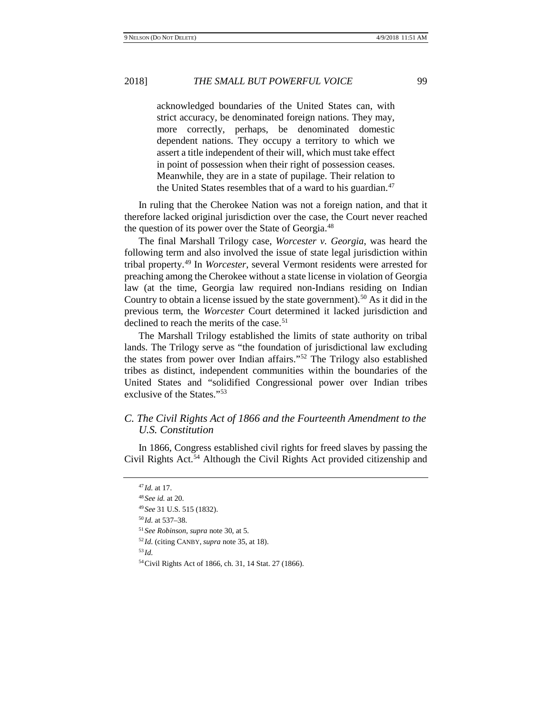acknowledged boundaries of the United States can, with strict accuracy, be denominated foreign nations. They may, more correctly, perhaps, be denominated domestic dependent nations. They occupy a territory to which we assert a title independent of their will, which must take effect in point of possession when their right of possession ceases. Meanwhile, they are in a state of pupilage. Their relation to the United States resembles that of a ward to his guardian.<sup>[47](#page-8-0)</sup>

In ruling that the Cherokee Nation was not a foreign nation, and that it therefore lacked original jurisdiction over the case, the Court never reached the question of its power over the State of Georgia[.48](#page-8-1)

The final Marshall Trilogy case, *Worcester v. Georgia*, was heard the following term and also involved the issue of state legal jurisdiction within tribal property.[49](#page-8-2) In *Worcester*, several Vermont residents were arrested for preaching among the Cherokee without a state license in violation of Georgia law (at the time, Georgia law required non-Indians residing on Indian Country to obtain a license issued by the state government).<sup>[50](#page-8-3)</sup> As it did in the previous term, the *Worcester* Court determined it lacked jurisdiction and declined to reach the merits of the case.<sup>[51](#page-8-4)</sup>

The Marshall Trilogy established the limits of state authority on tribal lands. The Trilogy serve as "the foundation of jurisdictional law excluding the states from power over Indian affairs."[52](#page-8-5) The Trilogy also established tribes as distinct, independent communities within the boundaries of the United States and "solidified Congressional power over Indian tribes exclusive of the States."[53](#page-8-6)

# *C. The Civil Rights Act of 1866 and the Fourteenth Amendment to the U.S. Constitution*

<span id="page-8-1"></span><span id="page-8-0"></span>In 1866, Congress established civil rights for freed slaves by passing the Civil Rights Act.[54](#page-8-7) Although the Civil Rights Act provided citizenship and

<sup>50</sup> *Id.* at 537–38.

<sup>53</sup> *Id.*

<sup>47</sup> *Id.* at 17.

<span id="page-8-2"></span><sup>48</sup> *See id.* at 20.

<sup>49</sup> *See* 31 U.S. 515 (1832).

<span id="page-8-4"></span><span id="page-8-3"></span><sup>51</sup> *See Robinson*, *supra* note [30,](#page-6-0) at 5*.*

<span id="page-8-6"></span><span id="page-8-5"></span><sup>52</sup> *Id.* (citing CANBY, *supra* note [35,](#page-6-11) at 18).

<span id="page-8-7"></span><sup>54</sup>Civil Rights Act of 1866, ch. 31, 14 Stat. 27 (1866).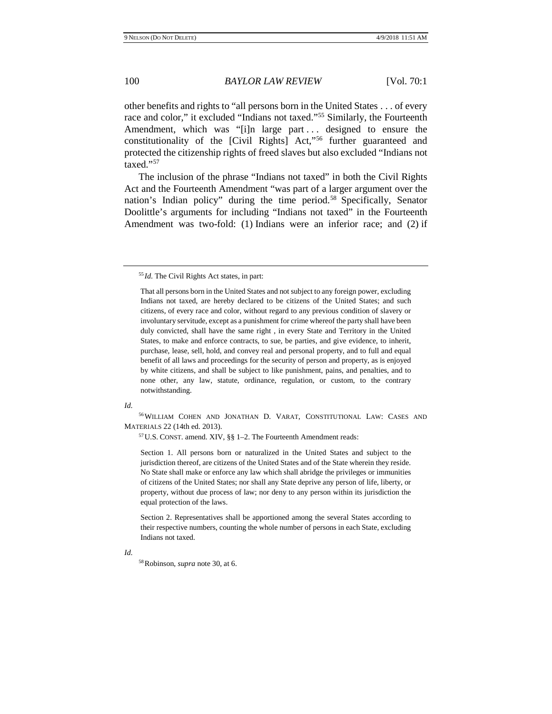other benefits and rights to "all persons born in the United States . . . of every race and color," it excluded "Indians not taxed."[55](#page-9-0) Similarly, the Fourteenth Amendment, which was "[i]n large part ... designed to ensure the constitutionality of the [Civil Rights] Act,"[56](#page-9-1) further guaranteed and protected the citizenship rights of freed slaves but also excluded "Indians not taxed."[57](#page-9-2)

The inclusion of the phrase "Indians not taxed" in both the Civil Rights Act and the Fourteenth Amendment "was part of a larger argument over the nation's Indian policy" during the time period.<sup>58</sup> Specifically, Senator Doolittle's arguments for including "Indians not taxed" in the Fourteenth Amendment was two-fold: (1) Indians were an inferior race; and (2) if

#### <span id="page-9-1"></span>*Id.*

<span id="page-9-2"></span>56WILLIAM COHEN AND JONATHAN D. VARAT, CONSTITUTIONAL LAW: CASES AND MATERIALS 22 (14th ed. 2013).

57U.S. CONST. amend. XIV, §§ 1–2. The Fourteenth Amendment reads:

Section 1. All persons born or naturalized in the United States and subject to the jurisdiction thereof, are citizens of the United States and of the State wherein they reside. No State shall make or enforce any law which shall abridge the privileges or immunities of citizens of the United States; nor shall any State deprive any person of life, liberty, or property, without due process of law; nor deny to any person within its jurisdiction the equal protection of the laws.

Section 2. Representatives shall be apportioned among the several States according to their respective numbers, counting the whole number of persons in each State, excluding Indians not taxed.

58Robinson, *supra* not[e 30,](#page-6-0) at 6.

<span id="page-9-0"></span><sup>55</sup> *Id.* The Civil Rights Act states, in part:

That all persons born in the United States and not subject to any foreign power, excluding Indians not taxed, are hereby declared to be citizens of the United States; and such citizens, of every race and color, without regard to any previous condition of slavery or involuntary servitude, except as a punishment for crime whereof the party shall have been duly convicted, shall have the same right , in every State and Territory in the United States, to make and enforce contracts, to sue, be parties, and give evidence, to inherit, purchase, lease, sell, hold, and convey real and personal property, and to full and equal benefit of all laws and proceedings for the security of person and property, as is enjoyed by white citizens, and shall be subject to like punishment, pains, and penalties, and to none other, any law, statute, ordinance, regulation, or custom, to the contrary notwithstanding.

<span id="page-9-3"></span>*Id.*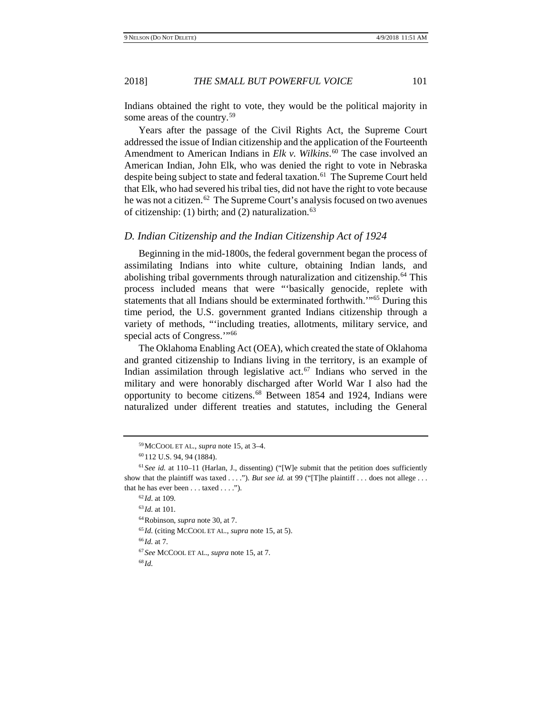Indians obtained the right to vote, they would be the political majority in some areas of the country.<sup>[59](#page-10-0)</sup>

Years after the passage of the Civil Rights Act, the Supreme Court addressed the issue of Indian citizenship and the application of the Fourteenth Amendment to American Indians in *Elk v. Wilkins*. [60](#page-10-1) The case involved an American Indian, John Elk, who was denied the right to vote in Nebraska despite being subject to state and federal taxation.<sup>[61](#page-10-2)</sup> The Supreme Court held that Elk, who had severed his tribal ties, did not have the right to vote because he was not a citizen.<sup>62</sup> The Supreme Court's analysis focused on two avenues of citizenship: (1) birth; and (2) naturalization. $63$ 

# *D. Indian Citizenship and the Indian Citizenship Act of 1924*

Beginning in the mid-1800s, the federal government began the process of assimilating Indians into white culture, obtaining Indian lands, and abolishing tribal governments through naturalization and citizenship[.64](#page-10-5) This process included means that were "'basically genocide, replete with statements that all Indians should be exterminated forthwith.'"[65](#page-10-6) During this time period, the U.S. government granted Indians citizenship through a variety of methods, "'including treaties, allotments, military service, and special acts of Congress."<sup>[66](#page-10-7)</sup>

The Oklahoma Enabling Act (OEA), which created the state of Oklahoma and granted citizenship to Indians living in the territory, is an example of Indian assimilation through legislative act.[67](#page-10-8) Indians who served in the military and were honorably discharged after World War I also had the opportunity to become citizens.[68](#page-10-9) Between 1854 and 1924, Indians were naturalized under different treaties and statutes, including the General

64Robinson, *supra* not[e 30,](#page-6-0) at 7.

- <span id="page-10-7"></span><sup>66</sup> *Id.* at 7.
- <span id="page-10-9"></span><span id="page-10-8"></span><sup>67</sup> *See* MCCOOL ET AL., *supra* not[e 15,](#page-2-7) at 7.

<sup>68</sup> *Id.*

<sup>59</sup>MCCOOL ET AL., *supra* note [15,](#page-2-7) at 3–4.

<sup>60</sup> 112 U.S. 94, 94 (1884).

<span id="page-10-5"></span><span id="page-10-4"></span><span id="page-10-3"></span><span id="page-10-2"></span><span id="page-10-1"></span><span id="page-10-0"></span> $61$  *See id.* at 110–11 (Harlan, J., dissenting) ("[W]e submit that the petition does sufficiently show that the plaintiff was taxed . . . ."). *But see id.* at 99 ("[T]he plaintiff . . . does not allege . . . that he has ever been . . . taxed . . . .").

<sup>62</sup> *Id*. at 109.

<sup>63</sup> *Id.* at 101.

<span id="page-10-6"></span><sup>65</sup> *Id.* (citing MCCOOL ET AL., *supra* not[e 15,](#page-2-9) at 5).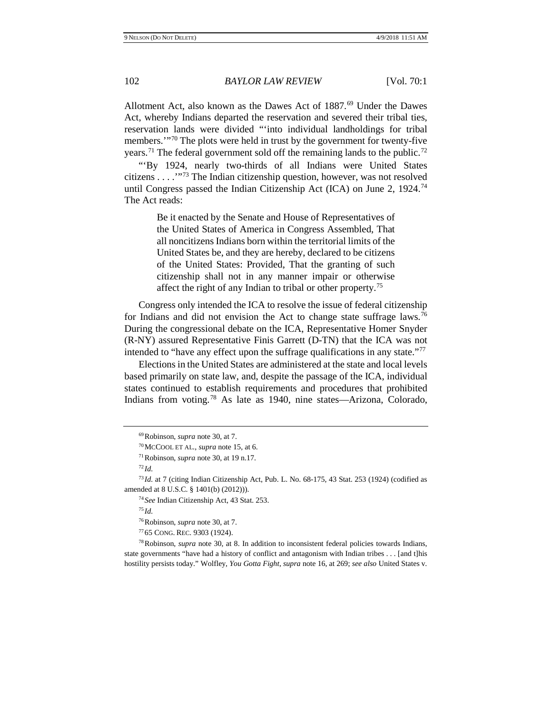Allotment Act, also known as the Dawes Act of 1887.<sup>[69](#page-11-0)</sup> Under the Dawes Act, whereby Indians departed the reservation and severed their tribal ties, reservation lands were divided "'into individual landholdings for tribal members.'"[70](#page-11-1) The plots were held in trust by the government for twenty-five years.<sup>[71](#page-11-2)</sup> The federal government sold off the remaining lands to the public.<sup>[72](#page-11-3)</sup>

"'By 1924, nearly two-thirds of all Indians were United States citizens . . . .'"[73](#page-11-4) The Indian citizenship question, however, was not resolved until Congress passed the Indian Citizenship Act (ICA) on June 2, 1924.<sup>[74](#page-11-5)</sup> The Act reads:

> Be it enacted by the Senate and House of Representatives of the United States of America in Congress Assembled, That all noncitizens Indians born within the territorial limits of the United States be, and they are hereby, declared to be citizens of the United States: Provided, That the granting of such citizenship shall not in any manner impair or otherwise affect the right of any Indian to tribal or other property.[75](#page-11-6)

Congress only intended the ICA to resolve the issue of federal citizenship for Indians and did not envision the Act to change state suffrage laws.<sup>[76](#page-11-7)</sup> During the congressional debate on the ICA, Representative Homer Snyder (R-NY) assured Representative Finis Garrett (D-TN) that the ICA was not intended to "have any effect upon the suffrage qualifications in any state."[77](#page-11-8)

Elections in the United States are administered at the state and local levels based primarily on state law, and, despite the passage of the ICA, individual states continued to establish requirements and procedures that prohibited Indians from voting.[78](#page-11-9) As late as 1940, nine states—Arizona, Colorado,

<sup>74</sup> *See* Indian Citizenship Act, 43 Stat. 253.

<sup>75</sup> *Id.*

76Robinson, *supra* not[e 30,](#page-6-0) at 7.

<sup>77</sup> 65 CONG. REC. 9303 (1924).

<span id="page-11-9"></span><span id="page-11-8"></span><span id="page-11-7"></span>78Robinson, *supra* note [30,](#page-6-0) at 8. In addition to inconsistent federal policies towards Indians, state governments "have had a history of conflict and antagonism with Indian tribes . . . [and t]his hostility persists today." Wolfley, *You Gotta Fight*, *supra* not[e 16,](#page-2-8) at 269; *see also* United States v.

<sup>69</sup>Robinson, *supra* not[e 30,](#page-6-0) at 7.

<sup>70</sup>MCCOOL ET AL., *supra* note [15,](#page-2-7) at 6.

<sup>71</sup>Robinson, *supra* not[e 30,](#page-6-0) at 19 n.17.

 $^{72}$ *Id.* 

<span id="page-11-6"></span><span id="page-11-5"></span><span id="page-11-4"></span><span id="page-11-3"></span><span id="page-11-2"></span><span id="page-11-1"></span><span id="page-11-0"></span><sup>73</sup> *Id.* at 7 (citing Indian Citizenship Act, Pub. L. No. 68-175, 43 Stat. 253 (1924) (codified as amended at 8 U.S.C. § 1401(b) (2012))).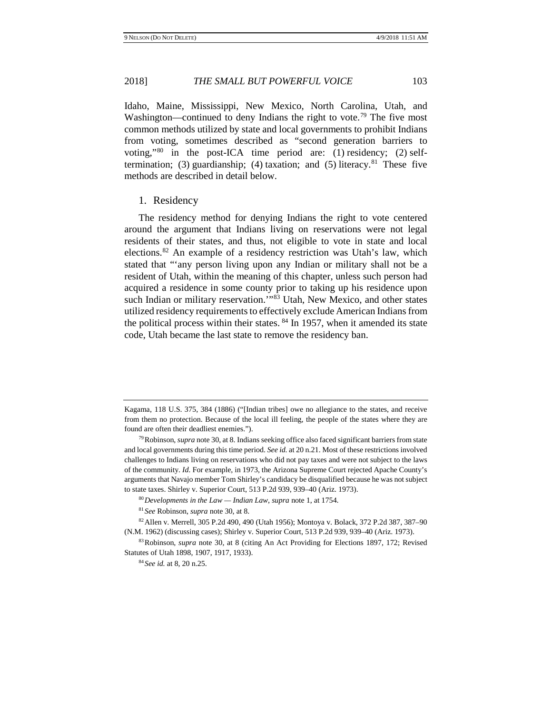Idaho, Maine, Mississippi, New Mexico, North Carolina, Utah, and Washington—continued to deny Indians the right to vote.<sup>[79](#page-12-0)</sup> The five most common methods utilized by state and local governments to prohibit Indians from voting, sometimes described as "second generation barriers to voting,"[80](#page-12-1) in the post-ICA time period are: (1) residency; (2) self-termination; (3) guardianship; (4) taxation; and (5) literacy.<sup>[81](#page-12-2)</sup> These five methods are described in detail below.

#### 1. Residency

The residency method for denying Indians the right to vote centered around the argument that Indians living on reservations were not legal residents of their states, and thus, not eligible to vote in state and local elections[.82](#page-12-3) An example of a residency restriction was Utah's law, which stated that "'any person living upon any Indian or military shall not be a resident of Utah, within the meaning of this chapter, unless such person had acquired a residence in some county prior to taking up his residence upon such Indian or military reservation."<sup>[83](#page-12-4)</sup> Utah, New Mexico, and other states utilized residency requirements to effectively exclude American Indians from the political process within their states.  $84$  In 1957, when it amended its state code, Utah became the last state to remove the residency ban.

Kagama, 118 U.S. 375, 384 (1886) ("[Indian tribes] owe no allegiance to the states, and receive from them no protection. Because of the local ill feeling, the people of the states where they are found are often their deadliest enemies.").

<span id="page-12-0"></span><sup>79</sup>Robinson, *supra* not[e 30,](#page-6-0) at 8. Indians seeking office also faced significant barriers from state and local governments during this time period. *See id.* at 20 n.21. Most of these restrictions involved challenges to Indians living on reservations who did not pay taxes and were not subject to the laws of the community. *Id.* For example, in 1973, the Arizona Supreme Court rejected Apache County's arguments that Navajo member Tom Shirley's candidacy be disqualified because he was not subject to state taxes. Shirley v. Superior Court, 513 P.2d 939, 939–40 (Ariz. 1973).

<sup>80</sup>*Developments in the Law — Indian Law*, *supra* note [1,](#page-1-10) at 1754.

<sup>81</sup> *See* Robinson, *supra* not[e 30,](#page-6-0) at 8.

<span id="page-12-3"></span><span id="page-12-2"></span><span id="page-12-1"></span><sup>82</sup>Allen v. Merrell, 305 P.2d 490, 490 (Utah 1956); Montoya v. Bolack, 372 P.2d 387, 387–90 (N.M. 1962) (discussing cases); Shirley v. Superior Court, 513 P.2d 939, 939–40 (Ariz. 1973).

<span id="page-12-5"></span><span id="page-12-4"></span><sup>83</sup>Robinson, *supra* note [30,](#page-6-0) at 8 (citing An Act Providing for Elections 1897, 172; Revised Statutes of Utah 1898, 1907, 1917, 1933).

<sup>84</sup> *See id.* at 8, 20 n.25.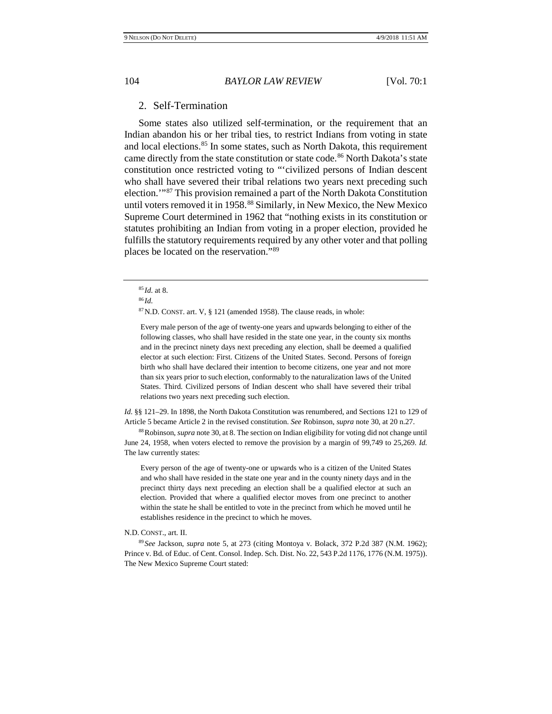# 2. Self-Termination

Some states also utilized self-termination, or the requirement that an Indian abandon his or her tribal ties, to restrict Indians from voting in state and local elections.<sup>[85](#page-13-0)</sup> In some states, such as North Dakota, this requirement came directly from the state constitution or state code.<sup>[86](#page-13-1)</sup> North Dakota's state constitution once restricted voting to "'civilized persons of Indian descent who shall have severed their tribal relations two years next preceding such election.'"[87](#page-13-2) This provision remained a part of the North Dakota Constitution until voters removed it in 1958.<sup>[88](#page-13-3)</sup> Similarly, in New Mexico, the New Mexico Supreme Court determined in 1962 that "nothing exists in its constitution or statutes prohibiting an Indian from voting in a proper election, provided he fulfills the statutory requirements required by any other voter and that polling places be located on the reservation."[89](#page-13-4)

87N.D. CONST. art. V, § 121 (amended 1958). The clause reads, in whole:

Every male person of the age of twenty-one years and upwards belonging to either of the following classes, who shall have resided in the state one year, in the county six months and in the precinct ninety days next preceding any election, shall be deemed a qualified elector at such election: First. Citizens of the United States. Second. Persons of foreign birth who shall have declared their intention to become citizens, one year and not more than six years prior to such election, conformably to the naturalization laws of the United States. Third. Civilized persons of Indian descent who shall have severed their tribal relations two years next preceding such election.

*Id.* §§ 121–29. In 1898, the North Dakota Constitution was renumbered, and Sections 121 to 129 of Article 5 became Article 2 in the revised constitution. *See* Robinson, *supra* not[e 30,](#page-6-0) at 20 n.27.

<span id="page-13-3"></span>88Robinson, *supra* not[e 30,](#page-6-0) at 8. The section on Indian eligibility for voting did not change until June 24, 1958, when voters elected to remove the provision by a margin of 99,749 to 25,269. *Id.* The law currently states:

Every person of the age of twenty-one or upwards who is a citizen of the United States and who shall have resided in the state one year and in the county ninety days and in the precinct thirty days next preceding an election shall be a qualified elector at such an election. Provided that where a qualified elector moves from one precinct to another within the state he shall be entitled to vote in the precinct from which he moved until he establishes residence in the precinct to which he moves.

#### N.D. CONST., art. II.

<span id="page-13-4"></span><sup>89</sup> *See* Jackson, *supra* note [5,](#page-1-11) at 273 (citing Montoya v. Bolack, 372 P.2d 387 (N.M. 1962); Prince v. Bd. of Educ. of Cent. Consol. Indep. Sch. Dist. No. 22, 543 P.2d 1176, 1776 (N.M. 1975)). The New Mexico Supreme Court stated:

<span id="page-13-0"></span><sup>85</sup> *Id.* at 8.

<span id="page-13-2"></span><span id="page-13-1"></span><sup>86</sup> *Id.*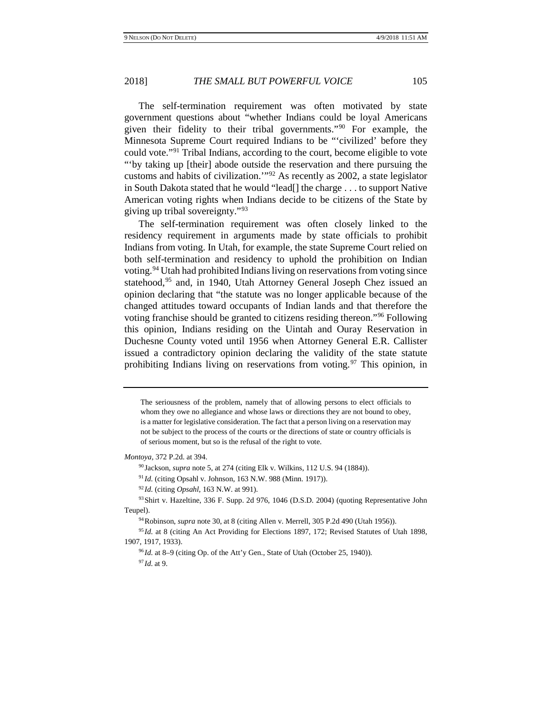The self-termination requirement was often motivated by state government questions about "whether Indians could be loyal Americans given their fidelity to their tribal governments."[90](#page-14-0) For example, the Minnesota Supreme Court required Indians to be "'civilized' before they could vote."[91](#page-14-1) Tribal Indians, according to the court, become eligible to vote "'by taking up [their] abode outside the reservation and there pursuing the customs and habits of civilization.'"[92](#page-14-2) As recently as 2002, a state legislator in South Dakota stated that he would "lead[] the charge . . . to support Native American voting rights when Indians decide to be citizens of the State by giving up tribal sovereignty."[93](#page-14-3)

The self-termination requirement was often closely linked to the residency requirement in arguments made by state officials to prohibit Indians from voting. In Utah, for example, the state Supreme Court relied on both self-termination and residency to uphold the prohibition on Indian voting.[94](#page-14-4) Utah had prohibited Indians living on reservations from voting since statehood,<sup>95</sup> and, in 1940, Utah Attorney General Joseph Chez issued an opinion declaring that "the statute was no longer applicable because of the changed attitudes toward occupants of Indian lands and that therefore the voting franchise should be granted to citizens residing thereon."[96](#page-14-6) Following this opinion, Indians residing on the Uintah and Ouray Reservation in Duchesne County voted until 1956 when Attorney General E.R. Callister issued a contradictory opinion declaring the validity of the state statute prohibiting Indians living on reservations from voting. <sup>[97](#page-14-7)</sup> This opinion, in

<span id="page-14-1"></span><span id="page-14-0"></span>*Montoya*, 372 P.2d. at 394.

<sup>90</sup> Jackson, *supra* note [5,](#page-1-11) at 274 (citing Elk v. Wilkins, 112 U.S. 94 (1884)).

<sup>91</sup> *Id.* (citing Opsahl v. Johnson, 163 N.W. 988 (Minn. 1917)).

<sup>92</sup> *Id.* (citing *Opsahl*, 163 N.W. at 991).

<span id="page-14-4"></span><span id="page-14-3"></span><span id="page-14-2"></span>93 Shirt v. Hazeltine, 336 F. Supp. 2d 976, 1046 (D.S.D. 2004) (quoting Representative John Teupel).

94Robinson, *supra* not[e 30,](#page-6-0) at 8 (citing Allen v. Merrell, 305 P.2d 490 (Utah 1956)).

<span id="page-14-7"></span><span id="page-14-6"></span><span id="page-14-5"></span><sup>95</sup> Id. at 8 (citing An Act Providing for Elections 1897, 172; Revised Statutes of Utah 1898, 1907, 1917, 1933).

<sup>96</sup> *Id.* at 8–9 (citing Op. of the Att'y Gen., State of Utah (October 25, 1940)). <sup>97</sup> *Id.* at 9.

The seriousness of the problem, namely that of allowing persons to elect officials to whom they owe no allegiance and whose laws or directions they are not bound to obey, is a matter for legislative consideration. The fact that a person living on a reservation may not be subject to the process of the courts or the directions of state or country officials is of serious moment, but so is the refusal of the right to vote.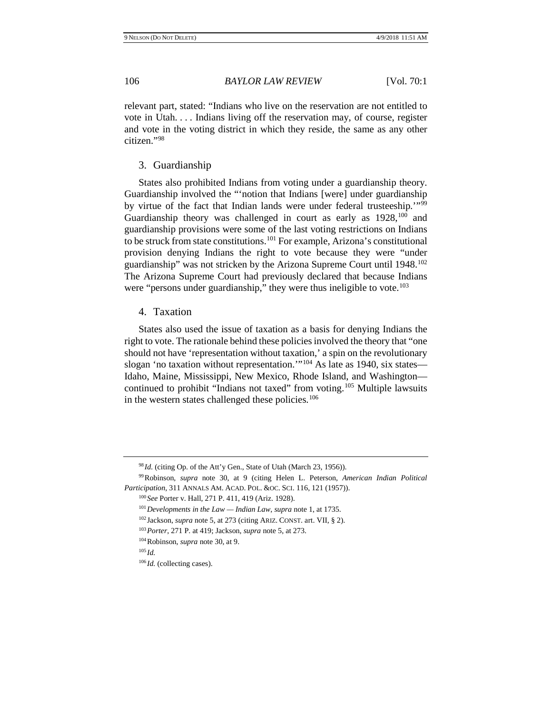relevant part, stated: "Indians who live on the reservation are not entitled to vote in Utah. . . . Indians living off the reservation may, of course, register and vote in the voting district in which they reside, the same as any other citizen<sup>["98](#page-15-0)</sup>

# 3. Guardianship

States also prohibited Indians from voting under a guardianship theory. Guardianship involved the "'notion that Indians [were] under guardianship by virtue of the fact that Indian lands were under federal trusteeship.'"[99](#page-15-1) Guardianship theory was challenged in court as early as  $1928$ ,<sup>[100](#page-15-2)</sup> and guardianship provisions were some of the last voting restrictions on Indians to be struck from state constitutions.[101](#page-15-3) For example, Arizona's constitutional provision denying Indians the right to vote because they were "under guardianship" was not stricken by the Arizona Supreme Court until 1948.[102](#page-15-4) The Arizona Supreme Court had previously declared that because Indians were "persons under guardianship," they were thus ineligible to vote.<sup>[103](#page-15-5)</sup>

# 4. Taxation

States also used the issue of taxation as a basis for denying Indians the right to vote. The rationale behind these policies involved the theory that "one should not have 'representation without taxation,' a spin on the revolutionary slogan 'no taxation without representation.'"<sup>[104](#page-15-6)</sup> As late as 1940, six states— Idaho, Maine, Mississippi, New Mexico, Rhode Island, and Washington— continued to prohibit "Indians not taxed" from voting.<sup>[105](#page-15-7)</sup> Multiple lawsuits in the western states challenged these policies.<sup>[106](#page-15-8)</sup>

<sup>&</sup>lt;sup>98</sup> *Id.* (citing Op. of the Att'y Gen., State of Utah (March 23, 1956)).

<span id="page-15-5"></span><span id="page-15-4"></span><span id="page-15-3"></span><span id="page-15-2"></span><span id="page-15-1"></span><span id="page-15-0"></span><sup>99</sup>Robinson*, supra* note [30,](#page-6-0) at 9 (citing Helen L. Peterson, *American Indian Political Participation*, 311 ANNALS AM. ACAD. POL. &OC. SCI. 116, 121 (1957)).

<sup>100</sup> *See* Porter v. Hall, 271 P. 411, 419 (Ariz. 1928).

<sup>101</sup>*Developments in the Law — Indian Law*, *supra* not[e 1,](#page-1-10) at 1735.

<sup>102</sup> Jackson, *supra* not[e 5,](#page-1-11) at 273 (citing ARIZ. CONST. art. VII, § 2).

<sup>103</sup>*Porter*, 271 P. at 419; Jackson, *supra* not[e 5,](#page-1-11) at 273.

<span id="page-15-7"></span><span id="page-15-6"></span><sup>104</sup>Robinson, *supra* note [30,](#page-6-0) at 9.

<span id="page-15-8"></span><sup>105</sup> *Id.*

<sup>106</sup> *Id.* (collecting cases).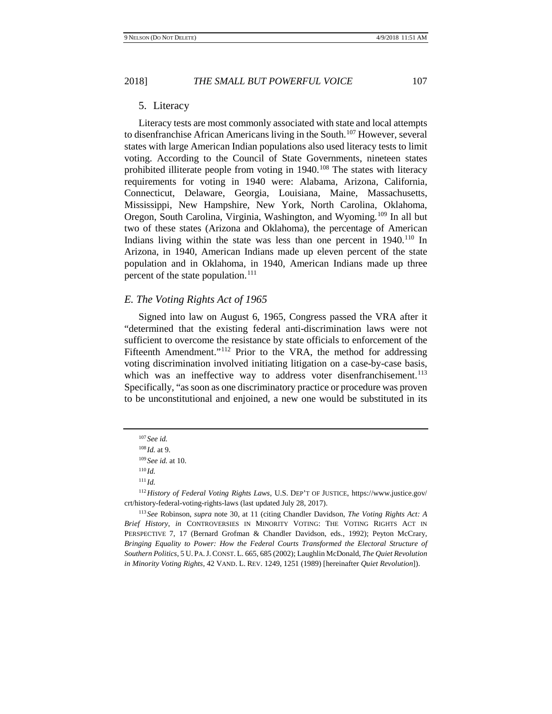5. Literacy

Literacy tests are most commonly associated with state and local attempts to disenfranchise African Americans living in the South.[107](#page-16-0) However, several states with large American Indian populations also used literacy tests to limit voting. According to the Council of State Governments, nineteen states prohibited illiterate people from voting in  $1940$ .<sup>[108](#page-16-1)</sup> The states with literacy requirements for voting in 1940 were: Alabama, Arizona, California, Connecticut, Delaware, Georgia, Louisiana, Maine, Massachusetts, Mississippi, New Hampshire, New York, North Carolina, Oklahoma, Oregon, South Carolina, Virginia, Washington, and Wyoming.[109](#page-16-2) In all but two of these states (Arizona and Oklahoma), the percentage of American Indians living within the state was less than one percent in  $1940$ .<sup>[110](#page-16-3)</sup> In Arizona, in 1940, American Indians made up eleven percent of the state population and in Oklahoma, in 1940, American Indians made up three percent of the state population.<sup>[111](#page-16-4)</sup>

# *E. The Voting Rights Act of 1965*

<span id="page-16-7"></span>Signed into law on August 6, 1965, Congress passed the VRA after it "determined that the existing federal anti-discrimination laws were not sufficient to overcome the resistance by state officials to enforcement of the Fifteenth Amendment."<sup>[112](#page-16-5)</sup> Prior to the VRA, the method for addressing voting discrimination involved initiating litigation on a case-by-case basis, which was an ineffective way to address voter disenfranchisement.<sup>[113](#page-16-6)</sup> Specifically, "as soon as one discriminatory practice or procedure was proven to be unconstitutional and enjoined, a new one would be substituted in its

<span id="page-16-8"></span><sup>107</sup> *See id.* 

<sup>108</sup> *Id.* at 9.

<sup>109</sup> *See id.* at 10.

<sup>110</sup> *Id.*

<sup>111</sup> *Id.*

<span id="page-16-5"></span><span id="page-16-4"></span><span id="page-16-3"></span><span id="page-16-2"></span><span id="page-16-1"></span><span id="page-16-0"></span><sup>112</sup>*History of Federal Voting Rights Laws,* U.S. DEP'T OF JUSTICE, https://www.justice.gov/ crt/history-federal-voting-rights-laws (last updated July 28, 2017).

<span id="page-16-6"></span><sup>113</sup> *See* Robinson, *supra* note [30,](#page-6-0) at 11 (citing Chandler Davidson, *The Voting Rights Act: A Brief History*, *in* CONTROVERSIES IN MINORITY VOTING: THE VOTING RIGHTS ACT IN PERSPECTIVE 7, 17 (Bernard Grofman & Chandler Davidson, eds., 1992); Peyton McCrary, *Bringing Equality to Power: How the Federal Courts Transformed the Electoral Structure of Southern Politics,* 5 U. PA.J. CONST. L. 665, 685 (2002); Laughlin McDonald, *The Quiet Revolution in Minority Voting Rights,* 42 VAND. L. REV. 1249, 1251 (1989) [hereinafter *Quiet Revolution*]).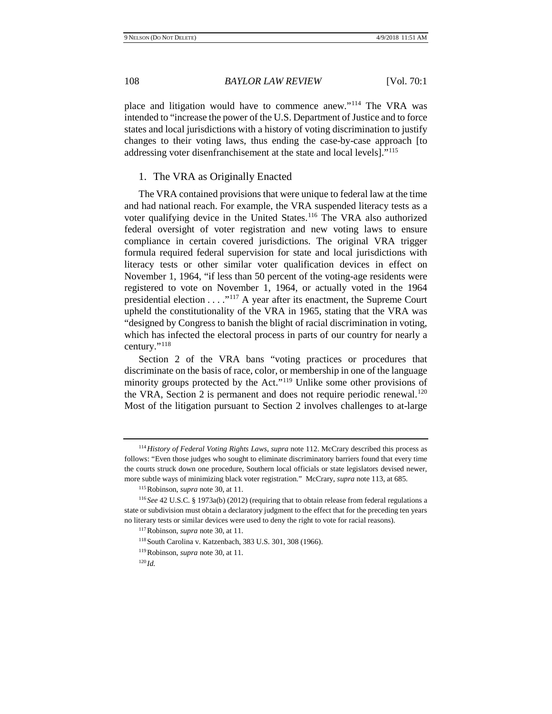place and litigation would have to commence anew."[114](#page-17-0) The VRA was intended to "increase the power of the U.S. Department of Justice and to force states and local jurisdictions with a history of voting discrimination to justify changes to their voting laws, thus ending the case-by-case approach [to addressing voter disenfranchisement at the state and local levels].["115](#page-17-1)

#### 1. The VRA as Originally Enacted

The VRA contained provisions that were unique to federal law at the time and had national reach. For example, the VRA suspended literacy tests as a voter qualifying device in the United States.[116](#page-17-2) The VRA also authorized federal oversight of voter registration and new voting laws to ensure compliance in certain covered jurisdictions. The original VRA trigger formula required federal supervision for state and local jurisdictions with literacy tests or other similar voter qualification devices in effect on November 1, 1964, "if less than 50 percent of the voting-age residents were registered to vote on November 1, 1964, or actually voted in the 1964 presidential election . . . ."[117](#page-17-3) A year after its enactment, the Supreme Court upheld the constitutionality of the VRA in 1965, stating that the VRA was "designed by Congress to banish the blight of racial discrimination in voting, which has infected the electoral process in parts of our country for nearly a century."[118](#page-17-4)

Section 2 of the VRA bans "voting practices or procedures that discriminate on the basis of race, color, or membership in one of the language minority groups protected by the Act."[119](#page-17-5) Unlike some other provisions of the VRA, Section 2 is permanent and does not require periodic renewal.<sup>[120](#page-17-6)</sup> Most of the litigation pursuant to Section 2 involves challenges to at-large

<span id="page-17-0"></span><sup>114</sup>*History of Federal Voting Rights Laws*, *supra* not[e 112.](#page-16-7) McCrary described this process as follows: "Even those judges who sought to eliminate discriminatory barriers found that every time the courts struck down one procedure, Southern local officials or state legislators devised newer, more subtle ways of minimizing black voter registration." McCrary, *supra* not[e 113,](#page-16-8) at 685.

<sup>115</sup>Robinson, *supra* not[e 30,](#page-6-0) at 11.

<span id="page-17-6"></span><span id="page-17-5"></span><span id="page-17-4"></span><span id="page-17-3"></span><span id="page-17-2"></span><span id="page-17-1"></span><sup>116</sup> *See* 42 U.S.C. § 1973a(b) (2012) (requiring that to obtain release from federal regulations a state or subdivision must obtain a declaratory judgment to the effect that for the preceding ten years no literary tests or similar devices were used to deny the right to vote for racial reasons).

<sup>117</sup>Robinson, *supra* not[e 30,](#page-6-0) at 11.

<sup>118</sup>South Carolina v. Katzenbach, 383 U.S. 301, 308 (1966).

<sup>119</sup>Robinson, *supra* not[e 30,](#page-6-0) at 11.

<sup>120</sup> *Id.*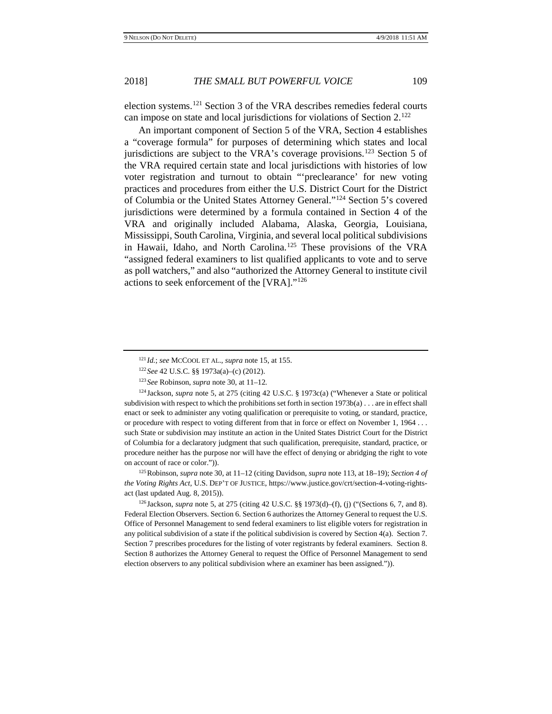election systems.[121](#page-18-0) Section 3 of the VRA describes remedies federal courts can impose on state and local jurisdictions for violations of Section 2.[122](#page-18-1)

An important component of Section 5 of the VRA, Section 4 establishes a "coverage formula" for purposes of determining which states and local jurisdictions are subject to the VRA's coverage provisions.<sup>[123](#page-18-2)</sup> Section 5 of the VRA required certain state and local jurisdictions with histories of low voter registration and turnout to obtain "'preclearance' for new voting practices and procedures from either the U.S. District Court for the District of Columbia or the United States Attorney General."[124](#page-18-3) Section 5's covered jurisdictions were determined by a formula contained in Section 4 of the VRA and originally included Alabama, Alaska, Georgia, Louisiana, Mississippi, South Carolina, Virginia, and several local political subdivisions in Hawaii, Idaho, and North Carolina.<sup>[125](#page-18-4)</sup> These provisions of the VRA "assigned federal examiners to list qualified applicants to vote and to serve as poll watchers," and also "authorized the Attorney General to institute civil actions to seek enforcement of the [VRA]."[126](#page-18-5)

<span id="page-18-3"></span><span id="page-18-2"></span><span id="page-18-1"></span><span id="page-18-0"></span><sup>124</sup> Jackson, *supra* note [5,](#page-1-11) at 275 (citing 42 U.S.C. § 1973c(a) ("Whenever a State or political subdivision with respect to which the prohibitions set forth in section 1973b(a) . . . are in effect shall enact or seek to administer any voting qualification or prerequisite to voting, or standard, practice, or procedure with respect to voting different from that in force or effect on November 1, 1964 . . . such State or subdivision may institute an action in the United States District Court for the District of Columbia for a declaratory judgment that such qualification, prerequisite, standard, practice, or procedure neither has the purpose nor will have the effect of denying or abridging the right to vote on account of race or color.")).

<span id="page-18-4"></span>125Robinson, *supra* note [30,](#page-6-0) at 11–12 (citing Davidson, *supra* not[e 113,](#page-16-8) at 18–19); *Section 4 of the Voting Rights Act,* U.S. DEP'T OF JUSTICE, https://www.justice.gov/crt/section-4-voting-rightsact (last updated Aug. 8, 2015)).

<span id="page-18-5"></span><sup>126</sup> Jackson, *supra* not[e 5,](#page-1-11) at 275 (citing 42 U.S.C. §§ 1973(d)–(f), (j) ("(Sections 6, 7, and 8). Federal Election Observers. Section 6. Section 6 authorizes the Attorney General to request the U.S. Office of Personnel Management to send federal examiners to list eligible voters for registration in any political subdivision of a state if the political subdivision is covered by Section 4(a). Section 7. Section 7 prescribes procedures for the listing of voter registrants by federal examiners. Section 8. Section 8 authorizes the Attorney General to request the Office of Personnel Management to send election observers to any political subdivision where an examiner has been assigned.")).

<sup>121</sup> *Id.*; *see* MCCOOL ET AL., *supra* not[e 15,](#page-2-7) at 155.

<sup>122</sup> *See* 42 U.S.C. §§ 1973a(a)–(c) (2012).

<sup>123</sup> *See* Robinson, *supra* not[e 30,](#page-6-0) at 11–12*.*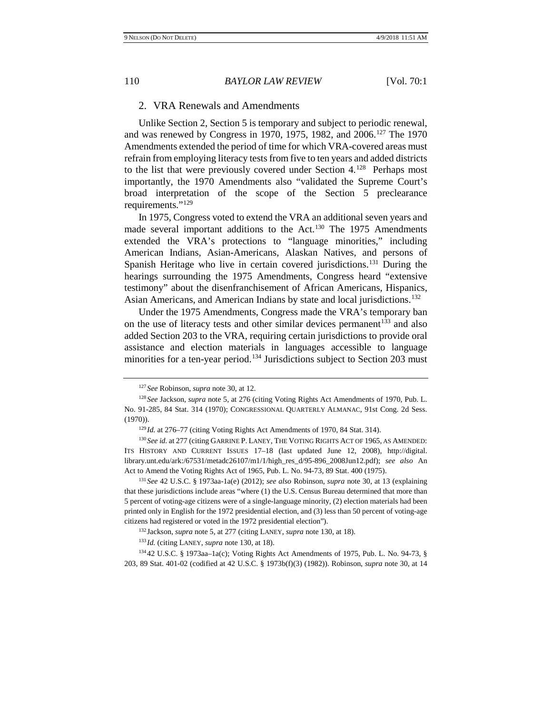<span id="page-19-0"></span>

# 2. VRA Renewals and Amendments

Unlike Section 2, Section 5 is temporary and subject to periodic renewal, and was renewed by Congress in 1970, 1975, 1982, and 2006.<sup>[127](#page-19-1)</sup> The 1970 Amendments extended the period of time for which VRA-covered areas must refrain from employing literacy tests from five to ten years and added districts to the list that were previously covered under Section  $4.^{128}$  Perhaps most importantly, the 1970 Amendments also "validated the Supreme Court's broad interpretation of the scope of the Section 5 preclearance requirements."<sup>[129](#page-19-3)</sup>

In 1975, Congress voted to extend the VRA an additional seven years and made several important additions to the Act.<sup>[130](#page-19-4)</sup> The 1975 Amendments extended the VRA's protections to "language minorities," including American Indians, Asian-Americans, Alaskan Natives, and persons of Spanish Heritage who live in certain covered jurisdictions.<sup>[131](#page-19-5)</sup> During the hearings surrounding the 1975 Amendments, Congress heard "extensive testimony" about the disenfranchisement of African Americans, Hispanics, Asian Americans, and American Indians by state and local jurisdictions.<sup>132</sup>

Under the 1975 Amendments, Congress made the VRA's temporary ban on the use of literacy tests and other similar devices permanent<sup>[133](#page-19-7)</sup> and also added Section 203 to the VRA, requiring certain jurisdictions to provide oral assistance and election materials in languages accessible to language minorities for a ten-year period.<sup>[134](#page-19-8)</sup> Jurisdictions subject to Section 203 must

<sup>127</sup> *See* Robinson, *supra* not[e 30,](#page-6-0) at 12.

<span id="page-19-2"></span><span id="page-19-1"></span><sup>128</sup> *See* Jackson, *supra* not[e 5,](#page-1-11) at 276 (citing Voting Rights Act Amendments of 1970, Pub. L. No. 91-285, 84 Stat. 314 (1970); CONGRESSIONAL QUARTERLY ALMANAC, 91st Cong. 2d Sess. (1970)).

<sup>&</sup>lt;sup>129</sup> Id. at 276–77 (citing Voting Rights Act Amendments of 1970, 84 Stat. 314).

<span id="page-19-4"></span><span id="page-19-3"></span><sup>&</sup>lt;sup>130</sup> See id. at 277 (citing GARRINE P. LANEY, THE VOTING RIGHTS ACT OF 1965, AS AMENDED: ITS HISTORY AND CURRENT ISSUES 17–18 (last updated June 12, 2008), http://digital. library.unt.edu/ark:/67531/metadc26107/m1/1/high\_res\_d/95-896\_2008Jun12.pdf); *see also* An Act to Amend the Voting Rights Act of 1965, Pub. L. No. 94-73, 89 Stat. 400 (1975).

<span id="page-19-5"></span><sup>131</sup> *See* 42 U.S.C. § 1973aa-1a(e) (2012); *see also* Robinson, *supra* note [30,](#page-6-0) at 13 (explaining that these jurisdictions include areas "where (1) the U.S. Census Bureau determined that more than 5 percent of voting-age citizens were of a single-language minority, (2) election materials had been printed only in English for the 1972 presidential election, and (3) less than 50 percent of voting-age citizens had registered or voted in the 1972 presidential election").

<sup>132</sup> Jackson, *supra* not[e 5,](#page-1-11) at 277 (citing LANEY, *supra* not[e 130,](#page-19-0) at 18).

<sup>133</sup> *Id.* (citing LANEY, *supra* note [130,](#page-19-0) at 18).

<span id="page-19-8"></span><span id="page-19-7"></span><span id="page-19-6"></span><sup>134</sup> 42 U.S.C. § 1973aa–1a(c); Voting Rights Act Amendments of 1975, Pub. L. No. 94-73, § 203, 89 Stat. 401-02 (codified at 42 U.S.C. § 1973b(f)(3) (1982)). Robinson, *supra* note [30,](#page-6-0) at 14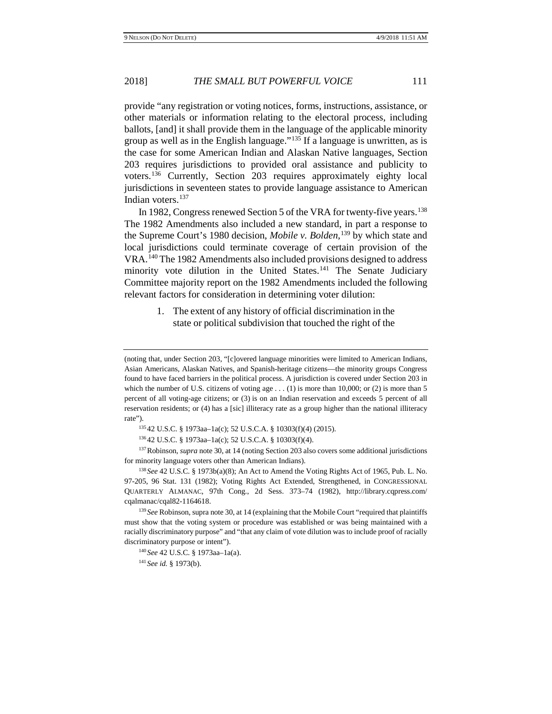provide "any registration or voting notices, forms, instructions, assistance, or other materials or information relating to the electoral process, including ballots, [and] it shall provide them in the language of the applicable minority group as well as in the English language."<sup>[135](#page-20-0)</sup> If a language is unwritten, as is the case for some American Indian and Alaskan Native languages, Section 203 requires jurisdictions to provided oral assistance and publicity to voters.[136](#page-20-1) Currently, Section 203 requires approximately eighty local jurisdictions in seventeen states to provide language assistance to American Indian voters.<sup>[137](#page-20-2)</sup>

In 1982, Congress renewed Section 5 of the VRA for twenty-five years.<sup>[138](#page-20-3)</sup> The 1982 Amendments also included a new standard, in part a response to the Supreme Court's 1980 decision, *Mobile v. Bolden*, [139](#page-20-4) by which state and local jurisdictions could terminate coverage of certain provision of the VRA.[140](#page-20-5) The 1982 Amendments also included provisions designed to address minority vote dilution in the United States.<sup>[141](#page-20-6)</sup> The Senate Judiciary Committee majority report on the 1982 Amendments included the following relevant factors for consideration in determining voter dilution:

> 1. The extent of any history of official discrimination in the state or political subdivision that touched the right of the

<sup>135</sup> 42 U.S.C. § 1973aa–1a(c); 52 U.S.C.A. § 10303(f)(4) (2015).

<sup>136</sup> 42 U.S.C. § 1973aa–1a(c); 52 U.S.C.A. § 10303(f)(4).

<span id="page-20-2"></span><span id="page-20-1"></span><span id="page-20-0"></span><sup>137</sup>Robinson, *supra* not[e 30,](#page-6-0) at 14 (noting Section 203 also covers some additional jurisdictions for minority language voters other than American Indians).

<span id="page-20-3"></span><sup>138</sup> *See* 42 U.S.C. § 1973b(a)(8); An Act to Amend the Voting Rights Act of 1965, Pub. L. No. 97-205, 96 Stat. 131 (1982); Voting Rights Act Extended, Strengthened, in CONGRESSIONAL QUARTERLY ALMANAC, 97th Cong., 2d Sess. 373–74 (1982), http://library.cqpress.com/ cqalmanac/cqal82-1164618.

<span id="page-20-6"></span><span id="page-20-5"></span><span id="page-20-4"></span><sup>139</sup> *See* Robinson, supra not[e 30,](#page-6-0) at 14 (explaining that the Mobile Court "required that plaintiffs" must show that the voting system or procedure was established or was being maintained with a racially discriminatory purpose" and "that any claim of vote dilution was to include proof of racially discriminatory purpose or intent").

<sup>140</sup> *See* 42 U.S.C. § 1973aa–1a(a).

<sup>141</sup> *See id.* § 1973(b).

<sup>(</sup>noting that, under Section 203, "[c]overed language minorities were limited to American Indians, Asian Americans, Alaskan Natives, and Spanish-heritage citizens—the minority groups Congress found to have faced barriers in the political process. A jurisdiction is covered under Section 203 in which the number of U.S. citizens of voting age  $\dots$  (1) is more than 10,000; or (2) is more than 5 percent of all voting-age citizens; or (3) is on an Indian reservation and exceeds 5 percent of all reservation residents; or (4) has a [sic] illiteracy rate as a group higher than the national illiteracy rate").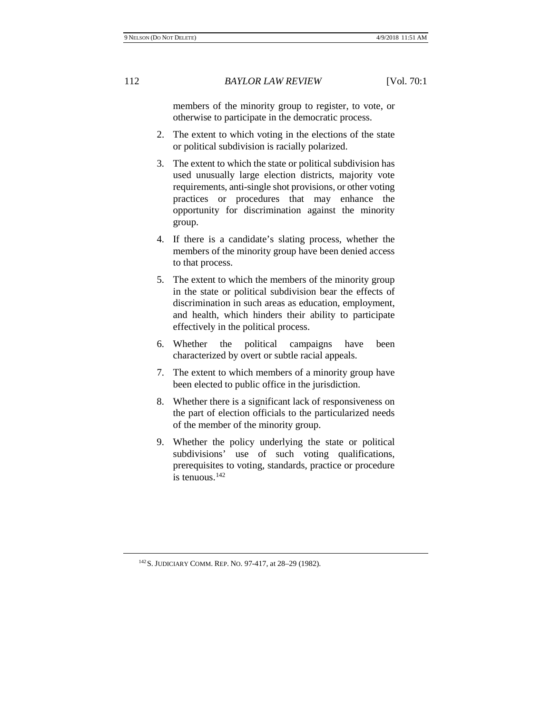members of the minority group to register, to vote, or otherwise to participate in the democratic process.

- 2. The extent to which voting in the elections of the state or political subdivision is racially polarized.
- 3. The extent to which the state or political subdivision has used unusually large election districts, majority vote requirements, anti-single shot provisions, or other voting practices or procedures that may enhance the opportunity for discrimination against the minority group.
- 4. If there is a candidate's slating process, whether the members of the minority group have been denied access to that process.
- 5. The extent to which the members of the minority group in the state or political subdivision bear the effects of discrimination in such areas as education, employment, and health, which hinders their ability to participate effectively in the political process.
- 6. Whether the political campaigns have been characterized by overt or subtle racial appeals.
- 7. The extent to which members of a minority group have been elected to public office in the jurisdiction.
- 8. Whether there is a significant lack of responsiveness on the part of election officials to the particularized needs of the member of the minority group.
- 9. Whether the policy underlying the state or political subdivisions' use of such voting qualifications, prerequisites to voting, standards, practice or procedure is tenuous.<sup>[142](#page-21-0)</sup>

<span id="page-21-0"></span>142S. JUDICIARY COMM. REP. NO. 97-417, at 28–29 (1982).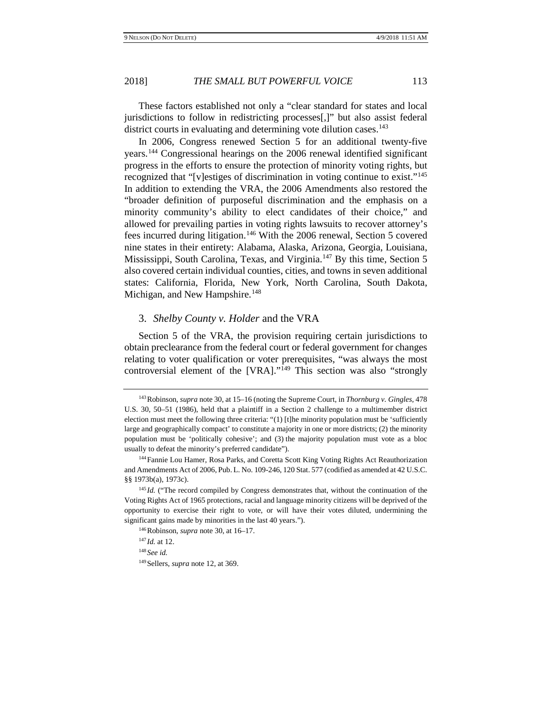These factors established not only a "clear standard for states and local jurisdictions to follow in redistricting processes[,]" but also assist federal district courts in evaluating and determining vote dilution cases.<sup>143</sup>

In 2006, Congress renewed Section 5 for an additional twenty-five years.[144](#page-22-1) Congressional hearings on the 2006 renewal identified significant progress in the efforts to ensure the protection of minority voting rights, but recognized that "[v]estiges of discrimination in voting continue to exist."[145](#page-22-2) In addition to extending the VRA, the 2006 Amendments also restored the "broader definition of purposeful discrimination and the emphasis on a minority community's ability to elect candidates of their choice," and allowed for prevailing parties in voting rights lawsuits to recover attorney's fees incurred during litigation[.146](#page-22-3) With the 2006 renewal, Section 5 covered nine states in their entirety: Alabama, Alaska, Arizona, Georgia, Louisiana, Mississippi, South Carolina, Texas, and Virginia.[147](#page-22-4) By this time, Section 5 also covered certain individual counties, cities, and towns in seven additional states: California, Florida, New York, North Carolina, South Dakota, Michigan, and New Hampshire.<sup>[148](#page-22-5)</sup>

#### 3. *Shelby County v. Holder* and the VRA

Section 5 of the VRA, the provision requiring certain jurisdictions to obtain preclearance from the federal court or federal government for changes relating to voter qualification or voter prerequisites, "was always the most controversial element of the [VRA]."<sup>[149](#page-22-6)</sup> This section was also "strongly

146Robinson, *supra* not[e 30,](#page-6-0) at 16–17.

<sup>147</sup> *Id.* at 12.

<sup>148</sup> *See id.*

<span id="page-22-6"></span>149Sellers, *supra* note [12,](#page-2-10) at 369.

<span id="page-22-0"></span><sup>143</sup>Robinson, *supra* not[e 30,](#page-6-0) at 15–16 (noting the Supreme Court, in *Thornburg v. Gingles*, 478 U.S. 30, 50–51 (1986), held that a plaintiff in a Section 2 challenge to a multimember district election must meet the following three criteria: "(1) [t]he minority population must be 'sufficiently large and geographically compact' to constitute a majority in one or more districts; (2) the minority population must be 'politically cohesive'; and (3) the majority population must vote as a bloc usually to defeat the minority's preferred candidate").

<span id="page-22-1"></span><sup>144</sup>Fannie Lou Hamer, Rosa Parks, and Coretta Scott King Voting Rights Act Reauthorization and Amendments Act of 2006, Pub. L. No. 109-246, 120 Stat. 577 (codified as amended at 42 U.S.C. §§ 1973b(a), 1973c).

<span id="page-22-5"></span><span id="page-22-4"></span><span id="page-22-3"></span><span id="page-22-2"></span><sup>&</sup>lt;sup>145</sup> *Id.* ("The record compiled by Congress demonstrates that, without the continuation of the Voting Rights Act of 1965 protections, racial and language minority citizens will be deprived of the opportunity to exercise their right to vote, or will have their votes diluted, undermining the significant gains made by minorities in the last 40 years.").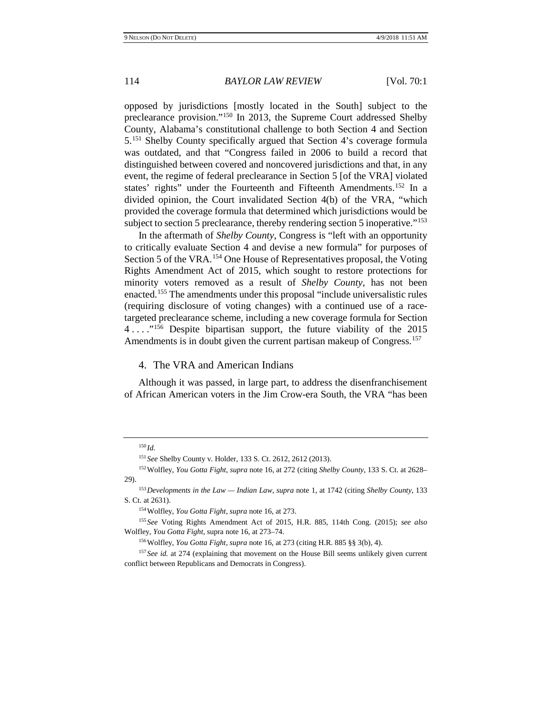opposed by jurisdictions [mostly located in the South] subject to the preclearance provision."[150](#page-23-0) In 2013, the Supreme Court addressed Shelby County, Alabama's constitutional challenge to both Section 4 and Section 5.[151](#page-23-1) Shelby County specifically argued that Section 4's coverage formula was outdated, and that "Congress failed in 2006 to build a record that distinguished between covered and noncovered jurisdictions and that, in any event, the regime of federal preclearance in Section 5 [of the VRA] violated states' rights" under the Fourteenth and Fifteenth Amendments.[152](#page-23-2) In a divided opinion, the Court invalidated Section 4(b) of the VRA, "which provided the coverage formula that determined which jurisdictions would be subject to section 5 preclearance, thereby rendering section 5 inoperative."<sup>[153](#page-23-3)</sup>

In the aftermath of *Shelby County*, Congress is "left with an opportunity to critically evaluate Section 4 and devise a new formula" for purposes of Section 5 of the VRA.<sup>[154](#page-23-4)</sup> One House of Representatives proposal, the Voting Rights Amendment Act of 2015, which sought to restore protections for minority voters removed as a result of *Shelby County*, has not been enacted.[155](#page-23-5) The amendments under this proposal "include universalistic rules (requiring disclosure of voting changes) with a continued use of a racetargeted preclearance scheme, including a new coverage formula for Section 4 . . . ."[156](#page-23-6) Despite bipartisan support, the future viability of the 2015 Amendments is in doubt given the current partisan makeup of Congress.<sup>[157](#page-23-7)</sup>

#### 4. The VRA and American Indians

Although it was passed, in large part, to address the disenfranchisement of African American voters in the Jim Crow-era South, the VRA "has been

<sup>150</sup> *Id.*

<sup>151</sup> *See* Shelby County v. Holder, 133 S. Ct. 2612, 2612 (2013).

<span id="page-23-2"></span><span id="page-23-1"></span><span id="page-23-0"></span><sup>152</sup>Wolfley, *You Gotta Fight*, *supra* not[e 16,](#page-2-8) at 272 (citing *Shelby County*, 133 S. Ct. at 2628– 29).

<span id="page-23-3"></span><sup>153</sup>*Developments in the Law — Indian Law*, *supra* not[e 1,](#page-1-10) at 1742 (citing *Shelby County*, 133 S. Ct. at 2631).

<sup>154</sup>Wolfley, *You Gotta Fight*, *supra* note [16,](#page-2-8) at 273.

<span id="page-23-5"></span><span id="page-23-4"></span><sup>155</sup> *See* Voting Rights Amendment Act of 2015, H.R. 885, 114th Cong. (2015); *see also*  Wolfley, *You Gotta Fight*, supra note [16,](#page-2-8) at 273–74.

<sup>156</sup>Wolfley, *You Gotta Fight*, *supra* note [16,](#page-2-8) at 273 (citing H.R. 885 §§ 3(b), 4).

<span id="page-23-7"></span><span id="page-23-6"></span><sup>&</sup>lt;sup>157</sup> See id. at 274 (explaining that movement on the House Bill seems unlikely given current conflict between Republicans and Democrats in Congress).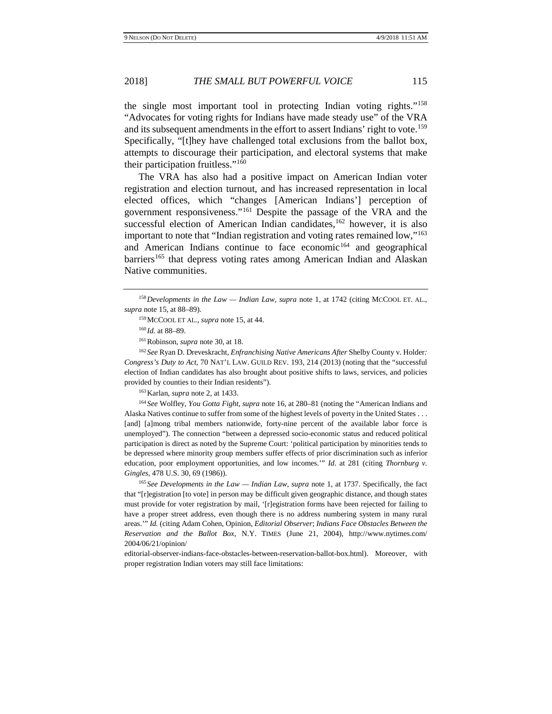the single most important tool in protecting Indian voting rights."[158](#page-24-0) "Advocates for voting rights for Indians have made steady use" of the VRA and its subsequent amendments in the effort to assert Indians' right to vote.<sup>[159](#page-24-1)</sup> Specifically, "[t]hey have challenged total exclusions from the ballot box, attempts to discourage their participation, and electoral systems that make their participation fruitless."[160](#page-24-2)

The VRA has also had a positive impact on American Indian voter registration and election turnout, and has increased representation in local elected offices, which "changes [American Indians'] perception of government responsiveness."[161](#page-24-3) Despite the passage of the VRA and the successful election of American Indian candidates,<sup>162</sup> however, it is also important to note that "Indian registration and voting rates remained low,"[163](#page-24-5) and American Indians continue to face economic<sup>[164](#page-24-6)</sup> and geographical barriers<sup>[165](#page-24-7)</sup> that depress voting rates among American Indian and Alaskan Native communities.

<span id="page-24-4"></span><span id="page-24-3"></span><span id="page-24-2"></span><sup>162</sup> *See* Ryan D. Dreveskracht, *Enfranchising Native Americans After* Shelby County v. Holder*: Congress's Duty to Act*, 70 NAT'L LAW. GUILD REV. 193, 214 (2013) (noting that the "successful election of Indian candidates has also brought about positive shifts to laws, services, and policies provided by counties to their Indian residents").

163Karlan, *supra* note [2,](#page-1-0) at 1433.

<span id="page-24-6"></span><span id="page-24-5"></span><sup>164</sup> *See* Wolfley, *You Gotta Fight*, *supra* not[e 16,](#page-2-8) at 280–81 (noting the "American Indians and Alaska Natives continue to suffer from some of the highest levels of poverty in the United States . . . [and] [a]mong tribal members nationwide, forty-nine percent of the available labor force is unemployed"). The connection "between a depressed socio-economic status and reduced political participation is direct as noted by the Supreme Court: 'political participation by minorities tends to be depressed where minority group members suffer effects of prior discrimination such as inferior education, poor employment opportunities, and low incomes.'" *Id.* at 281 (citing *Thornburg v. Gingles*, 478 U.S. 30, 69 (1986)).

<span id="page-24-7"></span><sup>165</sup> *See Developments in the Law — Indian Law*, *supra* note [1,](#page-1-10) at 1737. Specifically, the fact that "[r]egistration [to vote] in person may be difficult given geographic distance, and though states must provide for voter registration by mail, '[r]egistration forms have been rejected for failing to have a proper street address, even though there is no address numbering system in many rural areas.'" *Id.* (citing Adam Cohen, Opinion*, Editorial Observer*; *Indians Face Obstacles Between the Reservation and the Ballot Box*, N.Y. TIMES (June 21, 2004), http://www.nytimes.com/ 2004/06/21/opinion/

editorial-observer-indians-face-obstacles-between-reservation-ballot-box.html). Moreover, with proper registration Indian voters may still face limitations:

<span id="page-24-1"></span><span id="page-24-0"></span><sup>158</sup>*Developments in the Law — Indian Law*, *supra* note [1,](#page-1-10) at 1742 (citing MCCOOL ET. AL., *supra* not[e 15,](#page-2-7) at 88–89).

<sup>159</sup>MCCOOL ET AL., *supra* not[e 15,](#page-2-9) at 44.

<sup>160</sup> *Id.* at 88–89.

<sup>161</sup>Robinson, *supra* not[e 30,](#page-6-0) at 18.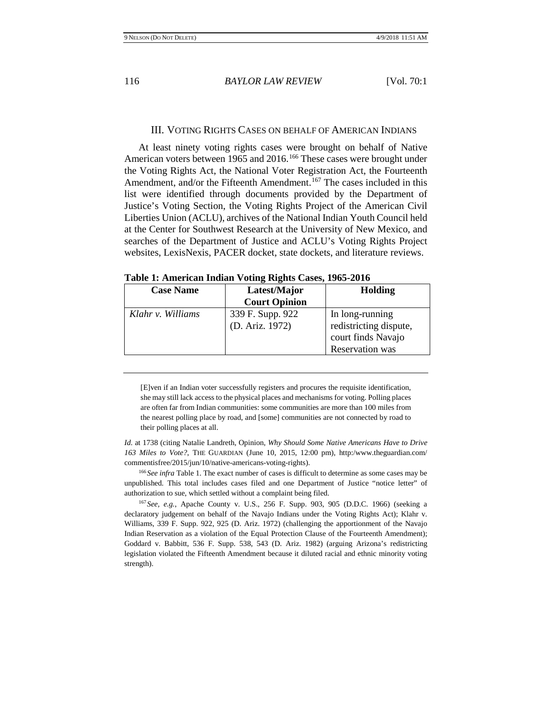#### III. VOTING RIGHTS CASES ON BEHALF OF AMERICAN INDIANS

At least ninety voting rights cases were brought on behalf of Native American voters between 1965 and 2016.<sup>[166](#page-25-0)</sup> These cases were brought under the Voting Rights Act, the National Voter Registration Act, the Fourteenth Amendment, and/or the Fifteenth Amendment.<sup>[167](#page-25-1)</sup> The cases included in this list were identified through documents provided by the Department of Justice's Voting Section, the Voting Rights Project of the American Civil Liberties Union (ACLU), archives of the National Indian Youth Council held at the Center for Southwest Research at the University of New Mexico, and searches of the Department of Justice and ACLU's Voting Rights Project websites, LexisNexis, PACER docket, state dockets, and literature reviews.

| <b>Case Name</b>  | Latest/Major<br><b>Court Opinion</b> | <b>Holding</b>                                                                     |
|-------------------|--------------------------------------|------------------------------------------------------------------------------------|
| Klahr v. Williams | 339 F. Supp. 922<br>(D. Ariz. 1972)  | In long-running<br>redistricting dispute,<br>court finds Navajo<br>Reservation was |

**Table 1: American Indian Voting Rights Cases, 1965-2016**

[E]ven if an Indian voter successfully registers and procures the requisite identification, she may still lack access to the physical places and mechanisms for voting. Polling places are often far from Indian communities: some communities are more than 100 miles from the nearest polling place by road, and [some] communities are not connected by road to their polling places at all.

*Id.* at 1738 (citing Natalie Landreth, Opinion, *Why Should Some Native Americans Have to Drive 163 Miles to Vote?*, THE GUARDIAN (June 10, 2015, 12:00 pm), http:/www.theguardian.com/ commentisfree/2015/jun/10/native-americans-voting-rights).

<span id="page-25-0"></span><sup>166</sup> *See infra* Table 1. The exact number of cases is difficult to determine as some cases may be unpublished. This total includes cases filed and one Department of Justice "notice letter" of authorization to sue, which settled without a complaint being filed.

<span id="page-25-1"></span><sup>167</sup> *See, e.g.*, Apache County v. U.S., 256 F. Supp. 903, 905 (D.D.C. 1966) (seeking a declaratory judgement on behalf of the Navajo Indians under the Voting Rights Act); Klahr v. Williams, 339 F. Supp. 922, 925 (D. Ariz. 1972) (challenging the apportionment of the Navajo Indian Reservation as a violation of the Equal Protection Clause of the Fourteenth Amendment); Goddard v. Babbitt, 536 F. Supp. 538, 543 (D. Ariz. 1982) (arguing Arizona's redistricting legislation violated the Fifteenth Amendment because it diluted racial and ethnic minority voting strength).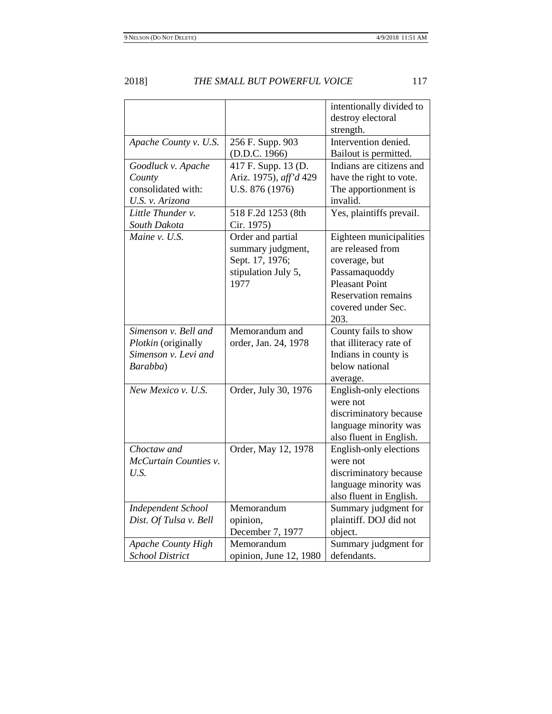|                           |                        | intentionally divided to               |
|---------------------------|------------------------|----------------------------------------|
|                           |                        | destroy electoral                      |
|                           |                        | strength.                              |
| Apache County v. U.S.     | 256 F. Supp. 903       | Intervention denied.                   |
|                           | (D.D.C. 1966)          | Bailout is permitted.                  |
| Goodluck v. Apache        | 417 F. Supp. 13 (D.    | Indians are citizens and               |
| County                    | Ariz. 1975), aff'd 429 | have the right to vote.                |
| consolidated with:        | U.S. 876 (1976)        | The apportionment is                   |
| U.S. v. Arizona           |                        | invalid.                               |
| Little Thunder v.         | 518 F.2d 1253 (8th     | Yes, plaintiffs prevail.               |
| South Dakota              | Cir. 1975)             |                                        |
| Maine v. U.S.             | Order and partial      | Eighteen municipalities                |
|                           | summary judgment,      | are released from                      |
|                           | Sept. 17, 1976;        | coverage, but                          |
|                           | stipulation July 5,    | Passamaquoddy                          |
|                           | 1977                   | <b>Pleasant Point</b>                  |
|                           |                        | <b>Reservation remains</b>             |
|                           |                        | covered under Sec.                     |
|                           |                        | 203.                                   |
| Simenson v. Bell and      | Memorandum and         | County fails to show                   |
| Plotkin (originally       | order, Jan. 24, 1978   | that illiteracy rate of                |
| Simenson v. Levi and      |                        |                                        |
| Barabba)                  |                        | Indians in county is<br>below national |
|                           |                        |                                        |
| New Mexico v. U.S.        |                        | average.                               |
|                           | Order, July 30, 1976   | English-only elections<br>were not     |
|                           |                        |                                        |
|                           |                        | discriminatory because                 |
|                           |                        | language minority was                  |
|                           |                        | also fluent in English.                |
| Choctaw and               | Order, May 12, 1978    | English-only elections                 |
| McCurtain Counties v.     |                        | were not                               |
| U.S.                      |                        | discriminatory because                 |
|                           |                        | language minority was                  |
|                           |                        | also fluent in English.                |
| <b>Independent School</b> | Memorandum             | Summary judgment for                   |
| Dist. Of Tulsa v. Bell    | opinion,               | plaintiff. DOJ did not                 |
|                           | December 7, 1977       | object.                                |
| <b>Apache County High</b> | Memorandum             | Summary judgment for                   |
| <b>School District</b>    | opinion, June 12, 1980 | defendants.                            |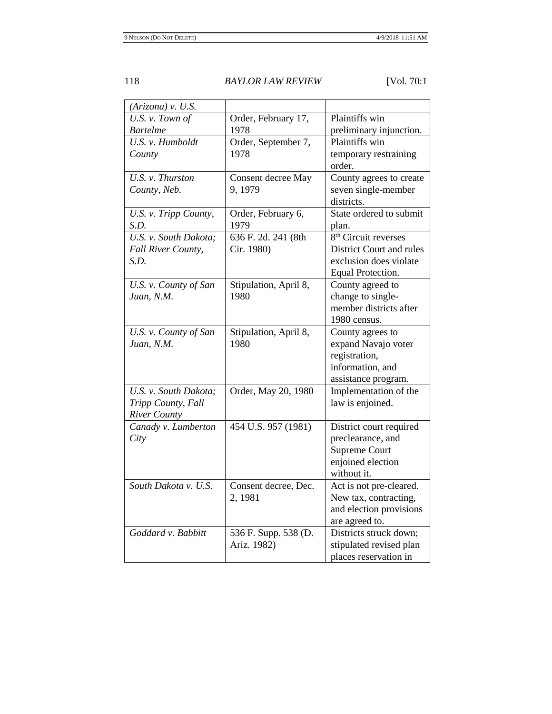| (Arizona) v. U.S.     |                       |                                  |
|-----------------------|-----------------------|----------------------------------|
| U.S. v. Town of       | Order, February 17,   | Plaintiffs win                   |
| <b>Bartelme</b>       | 1978                  | preliminary injunction.          |
| U.S. v. Humboldt      | Order, September 7,   | Plaintiffs win                   |
| County                | 1978                  | temporary restraining            |
|                       |                       | order.                           |
| U.S. v. Thurston      | Consent decree May    | County agrees to create          |
| County, Neb.          | 9, 1979               | seven single-member              |
|                       |                       | districts.                       |
| U.S. v. Tripp County, | Order, February 6,    | State ordered to submit          |
| S.D.                  | 1979                  | plan.                            |
| U.S. v. South Dakota; | 636 F. 2d. 241 (8th   | 8 <sup>th</sup> Circuit reverses |
| Fall River County,    | Cir. 1980)            | District Court and rules         |
| S.D.                  |                       | exclusion does violate           |
|                       |                       | Equal Protection.                |
| U.S. v. County of San | Stipulation, April 8, | County agreed to                 |
| Juan, N.M.            | 1980                  | change to single-                |
|                       |                       | member districts after           |
|                       |                       | 1980 census.                     |
| U.S. v. County of San | Stipulation, April 8, | County agrees to                 |
| Juan, N.M.            | 1980                  | expand Navajo voter              |
|                       |                       | registration,                    |
|                       |                       | information, and                 |
|                       |                       | assistance program.              |
| U.S. v. South Dakota; | Order, May 20, 1980   | Implementation of the            |
| Tripp County, Fall    |                       | law is enjoined.                 |
| <b>River County</b>   |                       |                                  |
| Canady v. Lumberton   | 454 U.S. 957 (1981)   | District court required          |
| City                  |                       | preclearance, and                |
|                       |                       | <b>Supreme Court</b>             |
|                       |                       | enjoined election                |
|                       |                       | without it.                      |
| South Dakota v. U.S.  | Consent decree, Dec.  | Act is not pre-cleared.          |
|                       | 2, 1981               | New tax, contracting,            |
|                       |                       | and election provisions          |
|                       |                       | are agreed to.                   |
| Goddard v. Babbitt    | 536 F. Supp. 538 (D.  | Districts struck down;           |
|                       | Ariz. 1982)           | stipulated revised plan          |
|                       |                       | places reservation in            |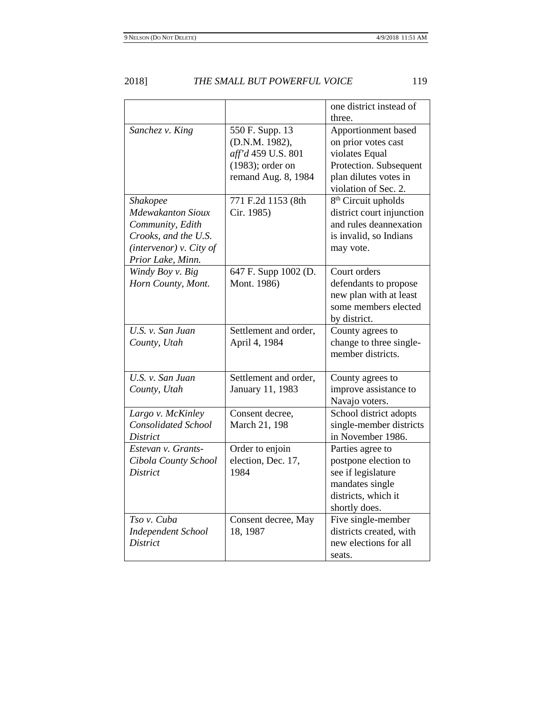|                            |                       | one district instead of         |
|----------------------------|-----------------------|---------------------------------|
|                            |                       | three.                          |
| Sanchez v. King            | 550 F. Supp. 13       | Apportionment based             |
|                            | (D.N.M. 1982),        | on prior votes cast             |
|                            | aff'd 459 U.S. 801    | violates Equal                  |
|                            | $(1983)$ ; order on   | Protection. Subsequent          |
|                            | remand Aug. 8, 1984   | plan dilutes votes in           |
|                            |                       | violation of Sec. 2.            |
| <b>Shakopee</b>            | 771 F.2d 1153 (8th    | 8 <sup>th</sup> Circuit upholds |
| <b>Mdewakanton Sioux</b>   | Cir. 1985)            | district court injunction       |
| Community, Edith           |                       | and rules deannexation          |
| Crooks, and the U.S.       |                       | is invalid, so Indians          |
| (intervenor) $v$ . City of |                       | may vote.                       |
| Prior Lake, Minn.          |                       |                                 |
| Windy Boy v. Big           | 647 F. Supp 1002 (D.  | Court orders                    |
| Horn County, Mont.         | Mont. 1986)           | defendants to propose           |
|                            |                       | new plan with at least          |
|                            |                       | some members elected            |
|                            |                       | by district.                    |
| U.S. v. San Juan           | Settlement and order, | County agrees to                |
| County, Utah               | April 4, 1984         | change to three single-         |
|                            |                       | member districts.               |
|                            |                       |                                 |
| U.S. v. San Juan           | Settlement and order, | County agrees to                |
| County, Utah               | January 11, 1983      | improve assistance to           |
|                            |                       | Navajo voters.                  |
| Largo v. McKinley          | Consent decree,       | School district adopts          |
| <b>Consolidated School</b> | March 21, 198         | single-member districts         |
| <i>District</i>            |                       | in November 1986.               |
| Estevan v. Grants-         | Order to enjoin       | Parties agree to                |
| Cibola County School       | election, Dec. 17,    | postpone election to            |
| <b>District</b>            | 1984                  | see if legislature              |
|                            |                       | mandates single                 |
|                            |                       | districts, which it             |
|                            |                       | shortly does.                   |
| Tso v. Cuba                | Consent decree, May   | Five single-member              |
| <b>Independent School</b>  | 18, 1987              | districts created, with         |
| <b>District</b>            |                       | new elections for all           |
|                            |                       | seats.                          |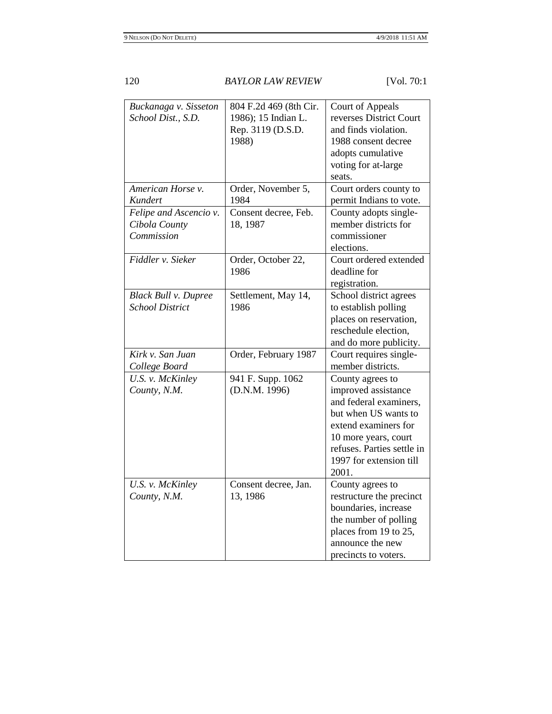| Buckanaga v. Sisseton<br>School Dist., S.D. | 804 F.2d 469 (8th Cir.<br>1986); 15 Indian L.<br>Rep. 3119 (D.S.D. | Court of Appeals<br>reverses District Court<br>and finds violation. |
|---------------------------------------------|--------------------------------------------------------------------|---------------------------------------------------------------------|
|                                             | 1988)                                                              | 1988 consent decree                                                 |
|                                             |                                                                    | adopts cumulative                                                   |
|                                             |                                                                    | voting for at-large                                                 |
|                                             |                                                                    | seats.                                                              |
| American Horse v.                           | Order, November 5,                                                 | Court orders county to                                              |
| Kundert                                     | 1984                                                               | permit Indians to vote.                                             |
| Felipe and Ascencio v.                      | Consent decree, Feb.                                               | County adopts single-                                               |
| Cibola County                               | 18, 1987                                                           | member districts for                                                |
| Commission                                  |                                                                    | commissioner                                                        |
|                                             |                                                                    | elections.                                                          |
| Fiddler v. Sieker                           | Order, October 22,                                                 | Court ordered extended                                              |
|                                             | 1986                                                               | deadline for                                                        |
|                                             |                                                                    | registration.                                                       |
| <b>Black Bull v. Dupree</b>                 | Settlement, May 14,                                                | School district agrees                                              |
| <b>School District</b>                      | 1986                                                               | to establish polling                                                |
|                                             |                                                                    | places on reservation,                                              |
|                                             |                                                                    | reschedule election,                                                |
|                                             |                                                                    | and do more publicity.                                              |
| Kirk v. San Juan                            | Order, February 1987                                               | Court requires single-                                              |
| College Board                               |                                                                    | member districts.                                                   |
| U.S. v. McKinley                            | 941 F. Supp. 1062                                                  | County agrees to                                                    |
| County, N.M.                                | (D.N.M. 1996)                                                      | improved assistance                                                 |
|                                             |                                                                    | and federal examiners,                                              |
|                                             |                                                                    | but when US wants to                                                |
|                                             |                                                                    | extend examiners for                                                |
|                                             |                                                                    | 10 more years, court                                                |
|                                             |                                                                    | refuses. Parties settle in                                          |
|                                             |                                                                    | 1997 for extension till                                             |
|                                             |                                                                    | 2001.                                                               |
| U.S. v. McKinley                            | Consent decree, Jan.                                               | County agrees to                                                    |
| County, N.M.                                | 13, 1986                                                           | restructure the precinct                                            |
|                                             |                                                                    | boundaries, increase                                                |
|                                             |                                                                    | the number of polling                                               |
|                                             |                                                                    | places from 19 to 25,                                               |
|                                             |                                                                    | announce the new                                                    |
|                                             |                                                                    | precincts to voters.                                                |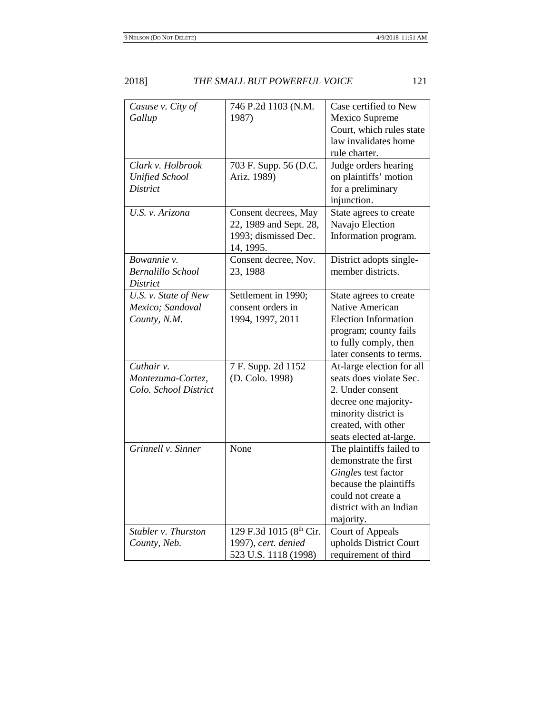| Casuse v. City of<br>Gallup                              | 746 P.2d 1103 (N.M.<br>1987)                                                        | Case certified to New<br>Mexico Supreme<br>Court, which rules state<br>law invalidates home<br>rule charter.                                                               |
|----------------------------------------------------------|-------------------------------------------------------------------------------------|----------------------------------------------------------------------------------------------------------------------------------------------------------------------------|
| Clark v. Holbrook<br><b>Unified School</b><br>District   | 703 F. Supp. 56 (D.C.<br>Ariz. 1989)                                                | Judge orders hearing<br>on plaintiffs' motion<br>for a preliminary<br>injunction.                                                                                          |
| U.S. v. Arizona                                          | Consent decrees, May<br>22, 1989 and Sept. 28,<br>1993; dismissed Dec.<br>14, 1995. | State agrees to create<br>Navajo Election<br>Information program.                                                                                                          |
| Bowannie v.<br>Bernalillo School<br>District             | Consent decree, Nov.<br>23, 1988                                                    | District adopts single-<br>member districts.                                                                                                                               |
| U.S. v. State of New<br>Mexico; Sandoval<br>County, N.M. | Settlement in 1990;<br>consent orders in<br>1994, 1997, 2011                        | State agrees to create<br>Native American<br><b>Election Information</b><br>program; county fails<br>to fully comply, then<br>later consents to terms.                     |
| Cuthair v.<br>Montezuma-Cortez,<br>Colo. School District | 7 F. Supp. 2d 1152<br>(D. Colo. 1998)                                               | At-large election for all<br>seats does violate Sec.<br>2. Under consent<br>decree one majority-<br>minority district is<br>created, with other<br>seats elected at-large. |
| Grinnell v. Sinner                                       | None                                                                                | The plaintiffs failed to<br>demonstrate the first<br>Gingles test factor<br>because the plaintiffs<br>could not create a<br>district with an Indian<br>majority.           |
| Stabler v. Thurston<br>County, Neb.                      | 129 F.3d 1015 (8th Cir.<br>1997), cert. denied<br>523 U.S. 1118 (1998)              | Court of Appeals<br>upholds District Court<br>requirement of third                                                                                                         |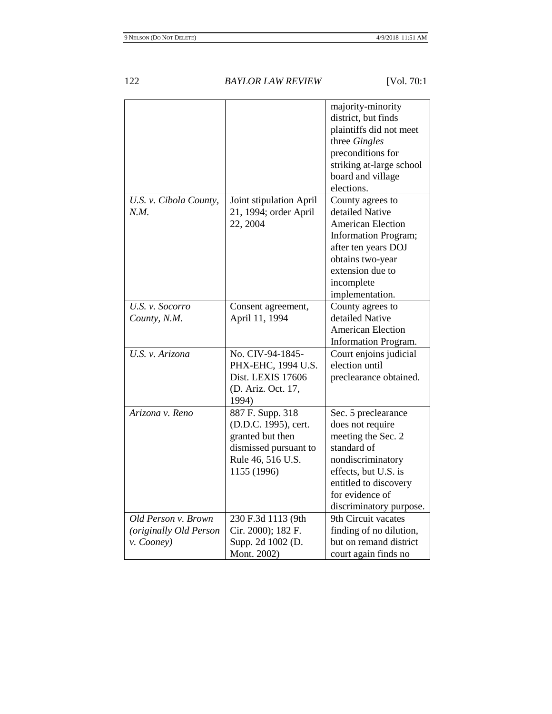|                                                             |                                                                                                                           | majority-minority<br>district, but finds<br>plaintiffs did not meet<br>three Gingles<br>preconditions for<br>striking at-large school<br>board and village<br>elections.                         |
|-------------------------------------------------------------|---------------------------------------------------------------------------------------------------------------------------|--------------------------------------------------------------------------------------------------------------------------------------------------------------------------------------------------|
| U.S. v. Cibola County,<br>N.M.                              | Joint stipulation April<br>21, 1994; order April<br>22, 2004                                                              | County agrees to<br>detailed Native<br><b>American Election</b><br><b>Information Program;</b><br>after ten years DOJ<br>obtains two-year<br>extension due to<br>incomplete<br>implementation.   |
| U.S. v. Socorro<br>County, N.M.                             | Consent agreement,<br>April 11, 1994                                                                                      | County agrees to<br>detailed Native<br><b>American Election</b><br><b>Information Program.</b>                                                                                                   |
| U.S. v. Arizona                                             | No. CIV-94-1845-<br>PHX-EHC, 1994 U.S.<br>Dist. LEXIS 17606<br>(D. Ariz. Oct. 17,<br>1994)                                | Court enjoins judicial<br>election until<br>preclearance obtained.                                                                                                                               |
| Arizona v. Reno                                             | 887 F. Supp. 318<br>(D.D.C. 1995), cert.<br>granted but then<br>dismissed pursuant to<br>Rule 46, 516 U.S.<br>1155 (1996) | Sec. 5 preclearance<br>does not require<br>meeting the Sec. 2<br>standard of<br>nondiscriminatory<br>effects, but U.S. is<br>entitled to discovery<br>for evidence of<br>discriminatory purpose. |
| Old Person v. Brown<br>(originally Old Person<br>v. Cooney) | 230 F.3d 1113 (9th<br>Cir. 2000); 182 F.<br>Supp. 2d 1002 (D.<br>Mont. 2002)                                              | 9th Circuit vacates<br>finding of no dilution,<br>but on remand district<br>court again finds no                                                                                                 |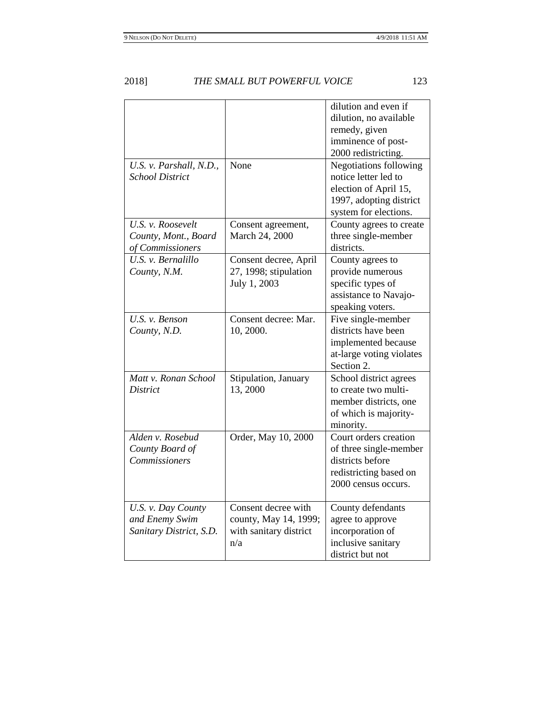|                                                                 |                                                                               | dilution and even if<br>dilution, no available<br>remedy, given<br>imminence of post-<br>2000 redistricting.                       |
|-----------------------------------------------------------------|-------------------------------------------------------------------------------|------------------------------------------------------------------------------------------------------------------------------------|
| U.S. v. Parshall, N.D.,<br><b>School District</b>               | None                                                                          | <b>Negotiations following</b><br>notice letter led to<br>election of April 15,<br>1997, adopting district<br>system for elections. |
| U.S. v. Roosevelt<br>County, Mont., Board<br>of Commissioners   | Consent agreement,<br>March 24, 2000                                          | County agrees to create<br>three single-member<br>districts.                                                                       |
| U.S. v. Bernalillo<br>County, N.M.                              | Consent decree, April<br>27, 1998; stipulation<br>July 1, 2003                | County agrees to<br>provide numerous<br>specific types of<br>assistance to Navajo-<br>speaking voters.                             |
| U.S. v. Benson<br>County, N.D.                                  | Consent decree: Mar.<br>10, 2000.                                             | Five single-member<br>districts have been<br>implemented because<br>at-large voting violates<br>Section 2.                         |
| Matt v. Ronan School<br>District                                | Stipulation, January<br>13,2000                                               | School district agrees<br>to create two multi-<br>member districts, one<br>of which is majority-<br>minority.                      |
| Alden v. Rosebud<br>County Board of<br><b>Commissioners</b>     | Order, May 10, 2000                                                           | Court orders creation<br>of three single-member<br>districts before<br>redistricting based on<br>2000 census occurs.               |
| U.S. v. Day County<br>and Enemy Swim<br>Sanitary District, S.D. | Consent decree with<br>county, May 14, 1999;<br>with sanitary district<br>n/a | County defendants<br>agree to approve<br>incorporation of<br>inclusive sanitary<br>district but not                                |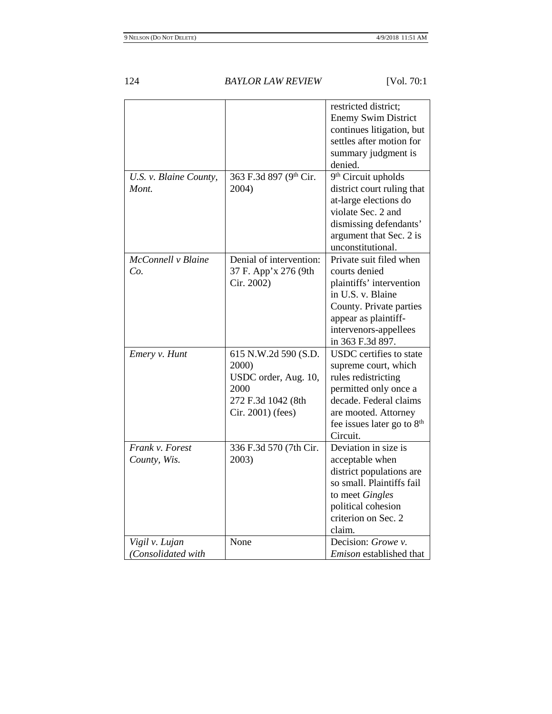|                                      |                                                                                                          | restricted district;<br><b>Enemy Swim District</b><br>continues litigation, but<br>settles after motion for<br>summary judgment is<br>denied.                                                                  |
|--------------------------------------|----------------------------------------------------------------------------------------------------------|----------------------------------------------------------------------------------------------------------------------------------------------------------------------------------------------------------------|
| U.S. v. Blaine County,<br>Mont.      | 363 F.3d 897 (9th Cir.<br>2004)                                                                          | 9 <sup>th</sup> Circuit upholds<br>district court ruling that<br>at-large elections do<br>violate Sec. 2 and<br>dismissing defendants'<br>argument that Sec. 2 is<br>unconstitutional.                         |
| McConnell v Blaine<br>Co.            | Denial of intervention:<br>37 F. App'x 276 (9th<br>Cir. 2002)                                            | Private suit filed when<br>courts denied<br>plaintiffs' intervention<br>in U.S. v. Blaine<br>County. Private parties<br>appear as plaintiff-<br>intervenors-appellees<br>in 363 F.3d 897.                      |
| Emery v. Hunt                        | 615 N.W.2d 590 (S.D.<br>2000)<br>USDC order, Aug. 10,<br>2000<br>272 F.3d 1042 (8th<br>Cir. 2001) (fees) | <b>USDC</b> certifies to state<br>supreme court, which<br>rules redistricting<br>permitted only once a<br>decade. Federal claims<br>are mooted. Attorney<br>fee issues later go to 8 <sup>th</sup><br>Circuit. |
| Frank v. Forest<br>County, Wis.      | 336 F.3d 570 (7th Cir.<br>2003)                                                                          | Deviation in size is<br>acceptable when<br>district populations are<br>so small. Plaintiffs fail<br>to meet Gingles<br>political cohesion<br>criterion on Sec. 2<br>claim.                                     |
| Vigil v. Lujan<br>(Consolidated with | None                                                                                                     | Decision: Growe v.<br><i>Emison</i> established that                                                                                                                                                           |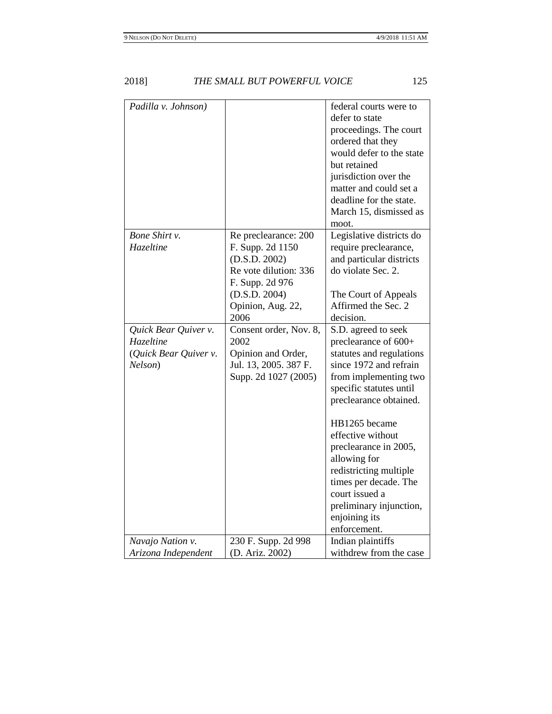| Padilla v. Johnson)   |                        | federal courts were to   |
|-----------------------|------------------------|--------------------------|
|                       |                        | defer to state           |
|                       |                        | proceedings. The court   |
|                       |                        | ordered that they        |
|                       |                        | would defer to the state |
|                       |                        | but retained             |
|                       |                        | jurisdiction over the    |
|                       |                        | matter and could set a   |
|                       |                        | deadline for the state.  |
|                       |                        | March 15, dismissed as   |
|                       |                        | moot.                    |
| Bone Shirt v.         | Re preclearance: 200   | Legislative districts do |
| Hazeltine             | F. Supp. 2d 1150       | require preclearance,    |
|                       | (D.S.D. 2002)          | and particular districts |
|                       | Re vote dilution: 336  | do violate Sec. 2.       |
|                       | F. Supp. 2d 976        |                          |
|                       | (D.S.D. 2004)          | The Court of Appeals     |
|                       | Opinion, Aug. 22,      | Affirmed the Sec. 2      |
|                       | 2006                   | decision.                |
| Quick Bear Quiver v.  | Consent order, Nov. 8, | S.D. agreed to seek      |
| Hazeltine             | 2002                   | preclearance of 600+     |
| (Quick Bear Quiver v. | Opinion and Order,     | statutes and regulations |
| Nelson)               | Jul. 13, 2005. 387 F.  | since 1972 and refrain   |
|                       | Supp. 2d 1027 (2005)   | from implementing two    |
|                       |                        | specific statutes until  |
|                       |                        | preclearance obtained.   |
|                       |                        |                          |
|                       |                        | HB1265 became            |
|                       |                        | effective without        |
|                       |                        | preclearance in 2005,    |
|                       |                        | allowing for             |
|                       |                        | redistricting multiple   |
|                       |                        | times per decade. The    |
|                       |                        | court issued a           |
|                       |                        | preliminary injunction,  |
|                       |                        | enjoining its            |
|                       |                        | enforcement.             |
| Navajo Nation v.      | 230 F. Supp. 2d 998    | Indian plaintiffs        |
| Arizona Independent   | (D. Ariz. 2002)        | withdrew from the case   |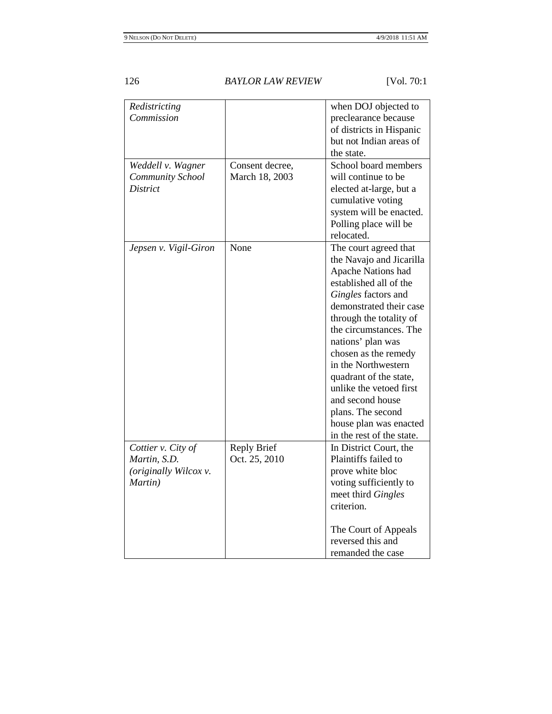| Redistricting<br>Commission<br>Weddell v. Wagner                       | Consent decree,                     | when DOJ objected to<br>preclearance because<br>of districts in Hispanic<br>but not Indian areas of<br>the state.<br>School board members                                                                                                                                                                                                                                                                                                |
|------------------------------------------------------------------------|-------------------------------------|------------------------------------------------------------------------------------------------------------------------------------------------------------------------------------------------------------------------------------------------------------------------------------------------------------------------------------------------------------------------------------------------------------------------------------------|
| <b>Community School</b><br>District                                    | March 18, 2003                      | will continue to be<br>elected at-large, but a<br>cumulative voting<br>system will be enacted.<br>Polling place will be<br>relocated.                                                                                                                                                                                                                                                                                                    |
| Jepsen v. Vigil-Giron                                                  | None                                | The court agreed that<br>the Navajo and Jicarilla<br><b>Apache Nations had</b><br>established all of the<br>Gingles factors and<br>demonstrated their case<br>through the totality of<br>the circumstances. The<br>nations' plan was<br>chosen as the remedy<br>in the Northwestern<br>quadrant of the state,<br>unlike the vetoed first<br>and second house<br>plans. The second<br>house plan was enacted<br>in the rest of the state. |
| Cottier v. City of<br>Martin, S.D.<br>(originally Wilcox v.<br>Martin) | <b>Reply Brief</b><br>Oct. 25, 2010 | In District Court, the<br>Plaintiffs failed to<br>prove white bloc<br>voting sufficiently to<br>meet third Gingles<br>criterion.<br>The Court of Appeals<br>reversed this and<br>remanded the case                                                                                                                                                                                                                                       |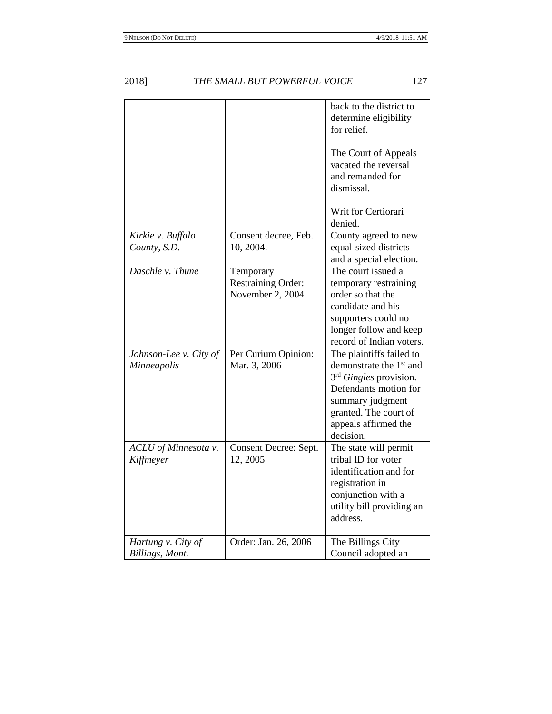|                                              |                                                     | back to the district to<br>determine eligibility<br>for relief.                                                                                                                                                  |
|----------------------------------------------|-----------------------------------------------------|------------------------------------------------------------------------------------------------------------------------------------------------------------------------------------------------------------------|
|                                              |                                                     | The Court of Appeals<br>vacated the reversal<br>and remanded for<br>dismissal.                                                                                                                                   |
|                                              |                                                     | Writ for Certiorari<br>denied.                                                                                                                                                                                   |
| Kirkie v. Buffalo<br>County, S.D.            | Consent decree, Feb.<br>10, 2004.                   | County agreed to new<br>equal-sized districts<br>and a special election.                                                                                                                                         |
| Daschle v. Thune                             | Temporary<br>Restraining Order:<br>November 2, 2004 | The court issued a<br>temporary restraining<br>order so that the<br>candidate and his<br>supporters could no<br>longer follow and keep<br>record of Indian voters.                                               |
| Johnson-Lee v. City of<br><b>Minneapolis</b> | Per Curium Opinion:<br>Mar. 3, 2006                 | The plaintiffs failed to<br>demonstrate the 1 <sup>st</sup> and<br>3 <sup>rd</sup> Gingles provision.<br>Defendants motion for<br>summary judgment<br>granted. The court of<br>appeals affirmed the<br>decision. |
| ACLU of Minnesota v.<br>Kiffmeyer            | Consent Decree: Sept.<br>12, 2005                   | The state will permit<br>tribal ID for voter<br>identification and for<br>registration in<br>conjunction with a<br>utility bill providing an<br>address.                                                         |
| Hartung v. City of<br>Billings, Mont.        | Order: Jan. 26, 2006                                | The Billings City<br>Council adopted an                                                                                                                                                                          |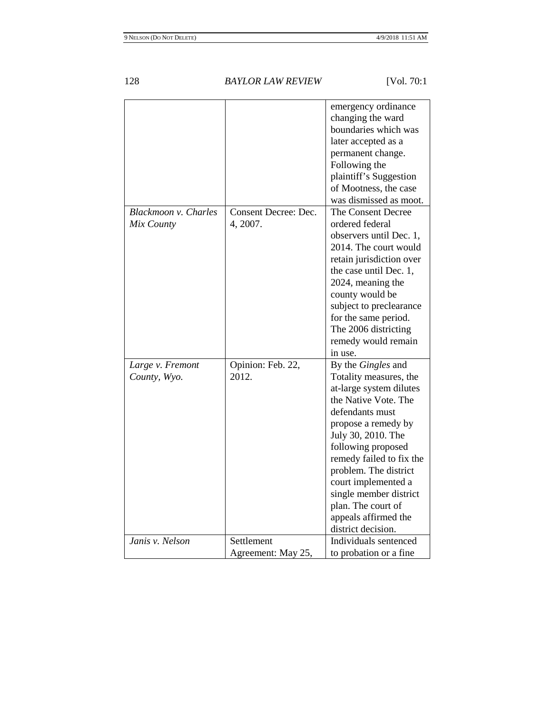|                      |                      | emergency ordinance                             |
|----------------------|----------------------|-------------------------------------------------|
|                      |                      | changing the ward                               |
|                      |                      | boundaries which was                            |
|                      |                      | later accepted as a                             |
|                      |                      | permanent change.                               |
|                      |                      | Following the                                   |
|                      |                      | plaintiff's Suggestion                          |
|                      |                      | of Mootness, the case                           |
|                      |                      | was dismissed as moot.                          |
| Blackmoon v. Charles | Consent Decree: Dec. | The Consent Decree                              |
| Mix County           | 4, 2007.             | ordered federal                                 |
|                      |                      | observers until Dec. 1,                         |
|                      |                      | 2014. The court would                           |
|                      |                      | retain jurisdiction over                        |
|                      |                      | the case until Dec. 1,                          |
|                      |                      | 2024, meaning the                               |
|                      |                      | county would be                                 |
|                      |                      | subject to preclearance                         |
|                      |                      | for the same period.                            |
|                      |                      | The 2006 districting                            |
|                      |                      | remedy would remain                             |
|                      |                      | in use.                                         |
| Large v. Fremont     | Opinion: Feb. 22,    | By the Gingles and                              |
|                      | 2012.                |                                                 |
| County, Wyo.         |                      | Totality measures, the                          |
|                      |                      | at-large system dilutes<br>the Native Vote. The |
|                      |                      | defendants must                                 |
|                      |                      |                                                 |
|                      |                      | propose a remedy by                             |
|                      |                      | July 30, 2010. The                              |
|                      |                      | following proposed                              |
|                      |                      | remedy failed to fix the                        |
|                      |                      | problem. The district                           |
|                      |                      | court implemented a                             |
|                      |                      | single member district                          |
|                      |                      | plan. The court of                              |
|                      |                      | appeals affirmed the                            |
|                      |                      | district decision.                              |
| Janis v. Nelson      | Settlement           | Individuals sentenced                           |
|                      | Agreement: May 25,   | to probation or a fine                          |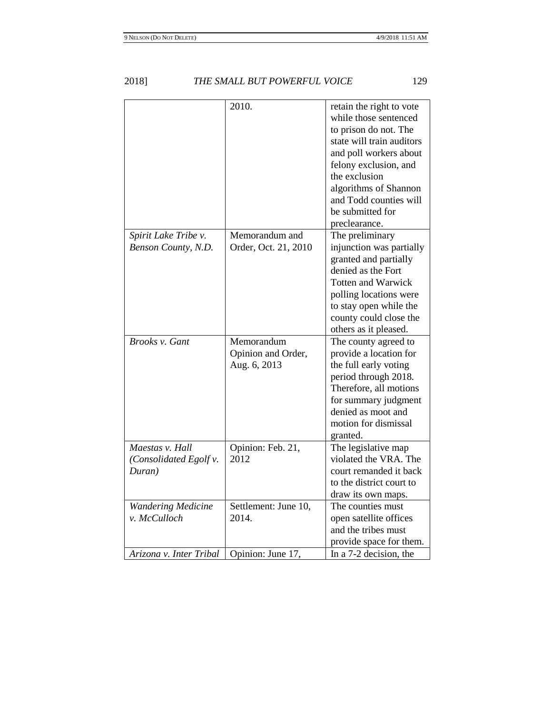|                                                     | 2010.                                            | retain the right to vote<br>while those sentenced<br>to prison do not. The<br>state will train auditors<br>and poll workers about<br>felony exclusion, and<br>the exclusion<br>algorithms of Shannon<br>and Todd counties will<br>be submitted for<br>preclearance. |
|-----------------------------------------------------|--------------------------------------------------|---------------------------------------------------------------------------------------------------------------------------------------------------------------------------------------------------------------------------------------------------------------------|
| Spirit Lake Tribe v.<br>Benson County, N.D.         | Memorandum and<br>Order, Oct. 21, 2010           | The preliminary<br>injunction was partially<br>granted and partially<br>denied as the Fort<br><b>Totten and Warwick</b><br>polling locations were<br>to stay open while the<br>county could close the<br>others as it pleased.                                      |
| <b>Brooks v. Gant</b>                               | Memorandum<br>Opinion and Order,<br>Aug. 6, 2013 | The county agreed to<br>provide a location for<br>the full early voting<br>period through 2018.<br>Therefore, all motions<br>for summary judgment<br>denied as moot and<br>motion for dismissal<br>granted.                                                         |
| Maestas v. Hall<br>(Consolidated Egolf v.<br>Duran) | Opinion: Feb. 21,<br>2012                        | The legislative map<br>violated the VRA. The<br>court remanded it back<br>to the district court to<br>draw its own maps.                                                                                                                                            |
| <b>Wandering Medicine</b><br>v. McCulloch           | Settlement: June 10,<br>2014.                    | The counties must<br>open satellite offices<br>and the tribes must<br>provide space for them.                                                                                                                                                                       |
| Arizona v. Inter Tribal                             | Opinion: June 17,                                | In a 7-2 decision, the                                                                                                                                                                                                                                              |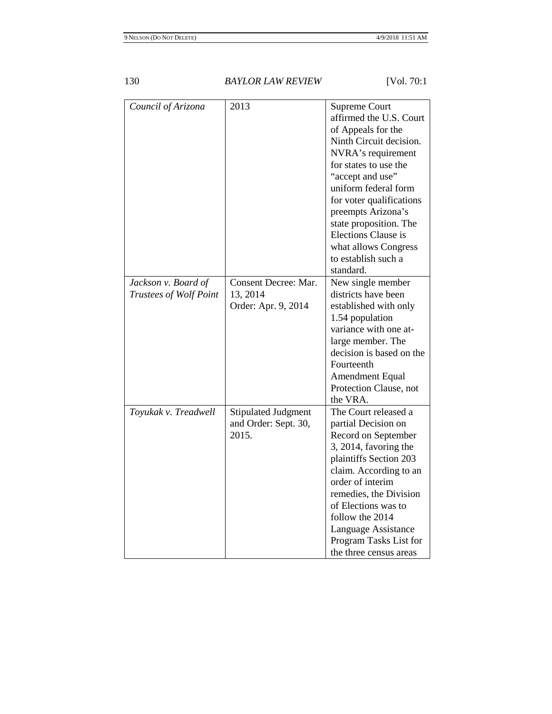| Council of Arizona     | 2013                       | <b>Supreme Court</b>     |
|------------------------|----------------------------|--------------------------|
|                        |                            | affirmed the U.S. Court  |
|                        |                            | of Appeals for the       |
|                        |                            | Ninth Circuit decision.  |
|                        |                            | NVRA's requirement       |
|                        |                            | for states to use the    |
|                        |                            | "accept and use"         |
|                        |                            | uniform federal form     |
|                        |                            | for voter qualifications |
|                        |                            | preempts Arizona's       |
|                        |                            | state proposition. The   |
|                        |                            | Elections Clause is      |
|                        |                            | what allows Congress     |
|                        |                            | to establish such a      |
|                        |                            | standard.                |
| Jackson v. Board of    | Consent Decree: Mar.       | New single member        |
| Trustees of Wolf Point | 13, 2014                   | districts have been      |
|                        | Order: Apr. 9, 2014        | established with only    |
|                        |                            | 1.54 population          |
|                        |                            | variance with one at-    |
|                        |                            | large member. The        |
|                        |                            | decision is based on the |
|                        |                            | Fourteenth               |
|                        |                            | <b>Amendment Equal</b>   |
|                        |                            | Protection Clause, not   |
|                        |                            | the VRA.                 |
| Toyukak v. Treadwell   | <b>Stipulated Judgment</b> | The Court released a     |
|                        | and Order: Sept. 30,       | partial Decision on      |
|                        | 2015.                      | Record on September      |
|                        |                            | 3, 2014, favoring the    |
|                        |                            | plaintiffs Section 203   |
|                        |                            | claim. According to an   |
|                        |                            | order of interim         |
|                        |                            | remedies, the Division   |
|                        |                            | of Elections was to      |
|                        |                            | follow the 2014          |
|                        |                            | Language Assistance      |
|                        |                            | Program Tasks List for   |
|                        |                            | the three census areas   |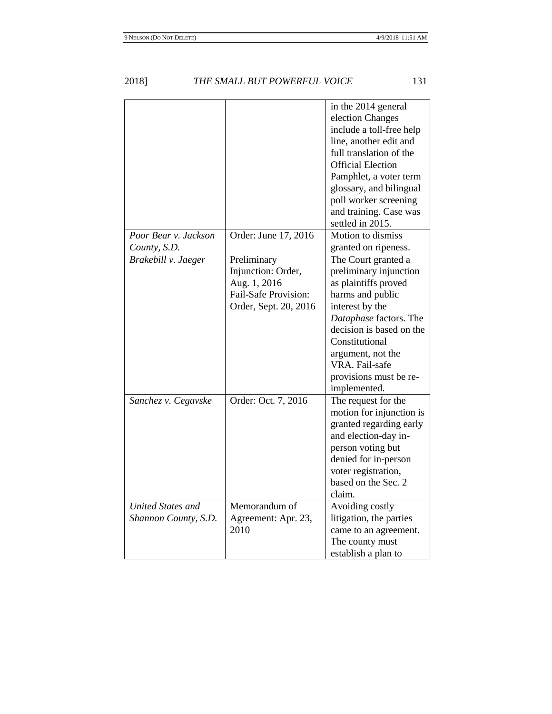|                                                  |                                                                                                    | in the 2014 general<br>election Changes<br>include a toll-free help<br>line, another edit and<br>full translation of the<br><b>Official Election</b><br>Pamphlet, a voter term<br>glossary, and bilingual<br>poll worker screening<br>and training. Case was<br>settled in 2015. |
|--------------------------------------------------|----------------------------------------------------------------------------------------------------|----------------------------------------------------------------------------------------------------------------------------------------------------------------------------------------------------------------------------------------------------------------------------------|
| Poor Bear v. Jackson<br>County, S.D.             | Order: June 17, 2016                                                                               | Motion to dismiss<br>granted on ripeness.                                                                                                                                                                                                                                        |
| Brakebill v. Jaeger                              | Preliminary<br>Injunction: Order,<br>Aug. 1, 2016<br>Fail-Safe Provision:<br>Order, Sept. 20, 2016 | The Court granted a<br>preliminary injunction<br>as plaintiffs proved<br>harms and public<br>interest by the<br>Dataphase factors. The<br>decision is based on the<br>Constitutional<br>argument, not the<br>VRA. Fail-safe<br>provisions must be re-<br>implemented.            |
| Sanchez v. Cegavske                              | Order: Oct. 7, 2016                                                                                | The request for the<br>motion for injunction is<br>granted regarding early<br>and election-day in-<br>person voting but<br>denied for in-person<br>voter registration,<br>based on the Sec. 2<br>claim.                                                                          |
| <b>United States and</b><br>Shannon County, S.D. | Memorandum of<br>Agreement: Apr. 23,<br>2010                                                       | Avoiding costly<br>litigation, the parties<br>came to an agreement.<br>The county must<br>establish a plan to                                                                                                                                                                    |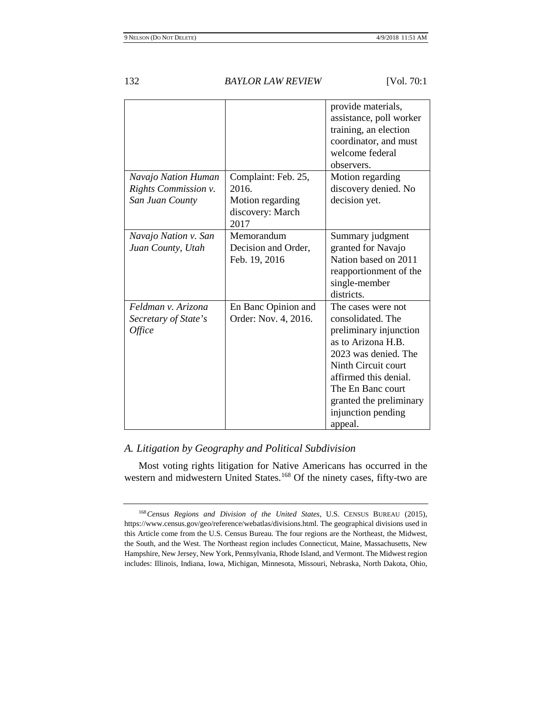|                                                                    |                                                                              | provide materials,<br>assistance, poll worker<br>training, an election<br>coordinator, and must<br>welcome federal<br>observers.                                                                                                                 |
|--------------------------------------------------------------------|------------------------------------------------------------------------------|--------------------------------------------------------------------------------------------------------------------------------------------------------------------------------------------------------------------------------------------------|
| Navajo Nation Human<br>Rights Commission v.<br>San Juan County     | Complaint: Feb. 25,<br>2016.<br>Motion regarding<br>discovery: March<br>2017 | Motion regarding<br>discovery denied. No<br>decision yet.                                                                                                                                                                                        |
| Navajo Nation v. San<br>Juan County, Utah                          | Memorandum<br>Decision and Order,<br>Feb. 19, 2016                           | Summary judgment<br>granted for Navajo<br>Nation based on 2011<br>reapportionment of the<br>single-member<br>districts.                                                                                                                          |
| Feldman v. Arizona<br>Secretary of State's<br><i><b>Office</b></i> | En Banc Opinion and<br>Order: Nov. 4, 2016.                                  | The cases were not<br>consolidated. The<br>preliminary injunction<br>as to Arizona H.B.<br>2023 was denied. The<br>Ninth Circuit court<br>affirmed this denial.<br>The En Banc court<br>granted the preliminary<br>injunction pending<br>appeal. |

# *A. Litigation by Geography and Political Subdivision*

Most voting rights litigation for Native Americans has occurred in the western and midwestern United States.<sup>[168](#page-41-0)</sup> Of the ninety cases, fifty-two are

<span id="page-41-0"></span><sup>168</sup>*Census Regions and Division of the United States*, U.S. CENSUS BUREAU (2015), https://www.census.gov/geo/reference/webatlas/divisions.html. The geographical divisions used in this Article come from the U.S. Census Bureau. The four regions are the Northeast, the Midwest, the South, and the West. The Northeast region includes Connecticut, Maine, Massachusetts, New Hampshire, New Jersey, New York, Pennsylvania, Rhode Island, and Vermont. The Midwest region includes: Illinois, Indiana, Iowa, Michigan, Minnesota, Missouri, Nebraska, North Dakota, Ohio,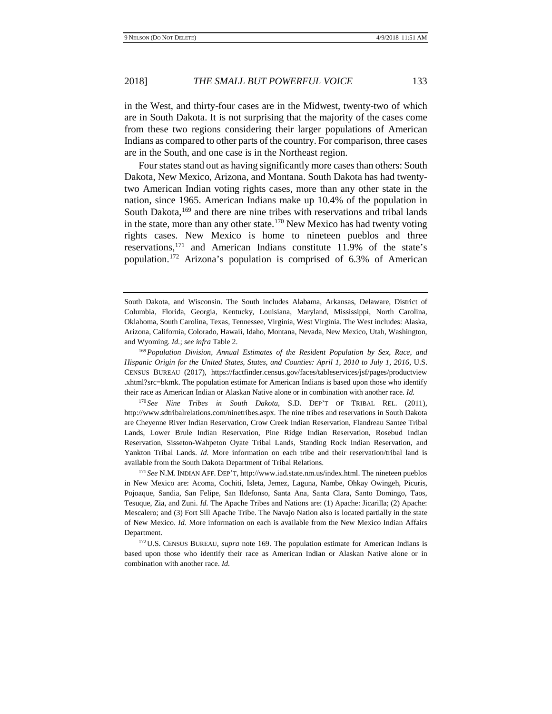in the West, and thirty-four cases are in the Midwest, twenty-two of which are in South Dakota. It is not surprising that the majority of the cases come from these two regions considering their larger populations of American Indians as compared to other parts of the country. For comparison, three cases are in the South, and one case is in the Northeast region.

<span id="page-42-0"></span>Four states stand out as having significantly more cases than others: South Dakota, New Mexico, Arizona, and Montana. South Dakota has had twentytwo American Indian voting rights cases, more than any other state in the nation, since 1965. American Indians make up 10.4% of the population in South Dakota,<sup>[169](#page-42-1)</sup> and there are nine tribes with reservations and tribal lands in the state, more than any other state.<sup>[170](#page-42-2)</sup> New Mexico has had twenty voting rights cases. New Mexico is home to nineteen pueblos and three reservations[,171](#page-42-3) and American Indians constitute 11.9% of the state's population.[172](#page-42-4) Arizona's population is comprised of 6.3% of American

<span id="page-42-2"></span><sup>170</sup> *See Nine Tribes in South Dakota*, S.D. DEP'T OF TRIBAL REL. (2011), http://www.sdtribalrelations.com/ninetribes.aspx. The nine tribes and reservations in South Dakota are Cheyenne River Indian Reservation, Crow Creek Indian Reservation, Flandreau Santee Tribal Lands, Lower Brule Indian Reservation, Pine Ridge Indian Reservation, Rosebud Indian Reservation, Sisseton-Wahpeton Oyate Tribal Lands, Standing Rock Indian Reservation, and Yankton Tribal Lands. *Id.* More information on each tribe and their reservation/tribal land is available from the South Dakota Department of Tribal Relations.

<span id="page-42-3"></span><sup>171</sup> *See* N.M. INDIAN AFF. DEP'T, http://www.iad.state.nm.us/index.html. The nineteen pueblos in New Mexico are: Acoma, Cochiti, Isleta, Jemez, Laguna, Nambe, Ohkay Owingeh, Picuris, Pojoaque, Sandia, San Felipe, San Ildefonso, Santa Ana, Santa Clara, Santo Domingo, Taos, Tesuque, Zia, and Zuni. *Id.* The Apache Tribes and Nations are: (1) Apache: Jicarilla; (2) Apache: Mescalero; and (3) Fort Sill Apache Tribe. The Navajo Nation also is located partially in the state of New Mexico. *Id.* More information on each is available from the New Mexico Indian Affairs Department.

<span id="page-42-4"></span>172U.S. CENSUS BUREAU, *supra* note [169.](#page-42-0) The population estimate for American Indians is based upon those who identify their race as American Indian or Alaskan Native alone or in combination with another race. *Id.*

South Dakota, and Wisconsin. The South includes Alabama, Arkansas, Delaware, District of Columbia, Florida, Georgia, Kentucky, Louisiana, Maryland, Mississippi, North Carolina, Oklahoma, South Carolina, Texas, Tennessee, Virginia, West Virginia. The West includes: Alaska, Arizona, California, Colorado, Hawaii, Idaho, Montana, Nevada, New Mexico, Utah, Washington, and Wyoming. *Id.*; *see infra* Table 2.

<span id="page-42-1"></span><sup>169</sup>*Population Division, Annual Estimates of the Resident Population by Sex, Race, and Hispanic Origin for the United States, States, and Counties: April 1, 2010 to July 1, 2016, U.S.* CENSUS BUREAU (2017), https://factfinder.census.gov/faces/tableservices/jsf/pages/productview .xhtml?src=bkmk. The population estimate for American Indians is based upon those who identify their race as American Indian or Alaskan Native alone or in combination with another race. *Id.*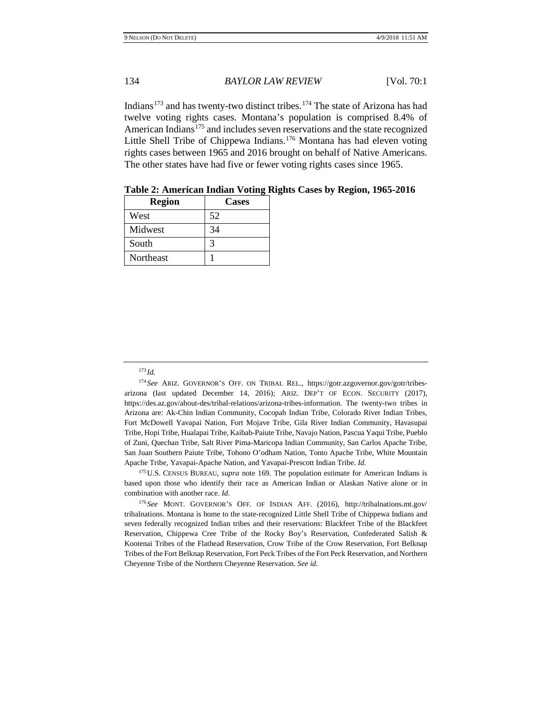Indians<sup>[173](#page-43-0)</sup> and has twenty-two distinct tribes.<sup>[174](#page-43-1)</sup> The state of Arizona has had twelve voting rights cases. Montana's population is comprised 8.4% of American Indians<sup>[175](#page-43-2)</sup> and includes seven reservations and the state recognized Little Shell Tribe of Chippewa Indians.<sup>[176](#page-43-3)</sup> Montana has had eleven voting rights cases between 1965 and 2016 brought on behalf of Native Americans. The other states have had five or fewer voting rights cases since 1965.

| <b>Region</b> | <b>Cases</b> |
|---------------|--------------|
| West          | 52           |
| Midwest       | 34           |
| South         |              |
| Northeast     |              |

**Table 2: American Indian Voting Rights Cases by Region, 1965-2016**

<span id="page-43-2"></span>175U.S. CENSUS BUREAU, *supra* note [169.](#page-42-0) The population estimate for American Indians is based upon those who identify their race as American Indian or Alaskan Native alone or in combination with another race. *Id.*

<span id="page-43-3"></span><sup>176</sup> *See* MONT. GOVERNOR'S OFF. OF INDIAN AFF. (2016), http://tribalnations.mt.gov/ tribalnations. Montana is home to the state-recognized Little Shell Tribe of Chippewa Indians and seven federally recognized Indian tribes and their reservations: Blackfeet Tribe of the Blackfeet Reservation, Chippewa Cree Tribe of the Rocky Boy's Reservation, Confederated Salish & Kootenai Tribes of the Flathead Reservation, Crow Tribe of the Crow Reservation, Fort Belknap Tribes of the Fort Belknap Reservation, Fort Peck Tribes of the Fort Peck Reservation, and Northern Cheyenne Tribe of the Northern Cheyenne Reservation. *See id.*

<sup>173</sup> *Id.*

<span id="page-43-1"></span><span id="page-43-0"></span><sup>174</sup> *See* ARIZ. GOVERNOR'S OFF. ON TRIBAL REL., https://gotr.azgovernor.gov/gotr/tribesarizona (last updated December 14, 2016); ARIZ. DEP'T OF ECON. SECURITY (2017), https://des.az.gov/about-des/tribal-relations/arizona-tribes-information. The twenty-two tribes in Arizona are: Ak-Chin Indian Community, Cocopah Indian Tribe, Colorado River Indian Tribes, Fort McDowell Yavapai Nation, Fort Mojave Tribe, Gila River Indian Community, Havasupai Tribe, Hopi Tribe, Hualapai Tribe, Kaibab-Paiute Tribe, Navajo Nation, Pascua Yaqui Tribe, Pueblo of Zuni, Quechan Tribe, Salt River Pima-Maricopa Indian Community, San Carlos Apache Tribe, San Juan Southern Paiute Tribe, Tohono O'odham Nation, Tonto Apache Tribe, White Mountain Apache Tribe, Yavapai-Apache Nation, and Yavapai-Prescott Indian Tribe. *Id.*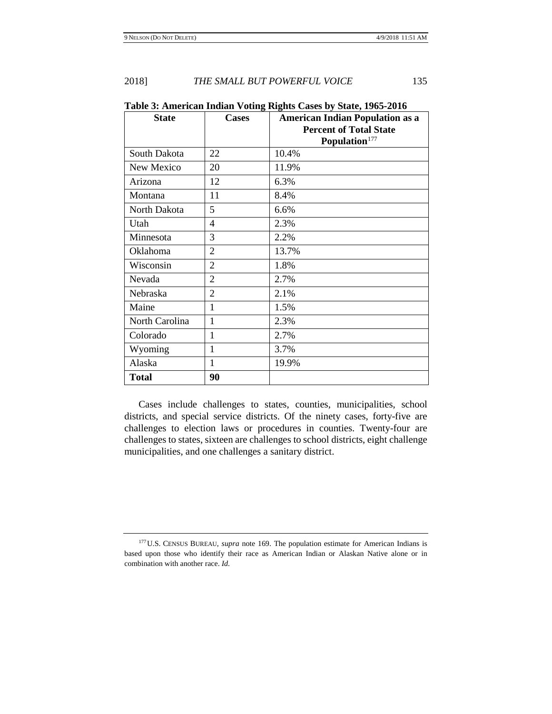| <b>State</b>    | <b>Cases</b>   | <b>American Indian Population as a</b><br><b>Percent of Total State</b><br>Population <sup>177</sup> |
|-----------------|----------------|------------------------------------------------------------------------------------------------------|
| South Dakota    | 22             | 10.4%                                                                                                |
| New Mexico      | 20             | 11.9%                                                                                                |
| Arizona         | 12             | 6.3%                                                                                                 |
| Montana         | 11             | 8.4%                                                                                                 |
| North Dakota    | 5              | 6.6%                                                                                                 |
| Utah            | 4              | 2.3%                                                                                                 |
| Minnesota       | 3              | 2.2%                                                                                                 |
| <b>Oklahoma</b> | $\overline{2}$ | 13.7%                                                                                                |
| Wisconsin       | $\overline{2}$ | 1.8%                                                                                                 |
| Nevada          | $\overline{2}$ | 2.7%                                                                                                 |
| Nebraska        | $\overline{2}$ | 2.1%                                                                                                 |
| Maine           | 1              | 1.5%                                                                                                 |
| North Carolina  | 1              | 2.3%                                                                                                 |
| Colorado        | $\mathbf{1}$   | 2.7%                                                                                                 |
| Wyoming         | 1              | 3.7%                                                                                                 |
| Alaska          | 1              | 19.9%                                                                                                |
| <b>Total</b>    | 90             |                                                                                                      |

**Table 3: American Indian Voting Rights Cases by State, 1965-2016**

Cases include challenges to states, counties, municipalities, school districts, and special service districts. Of the ninety cases, forty-five are challenges to election laws or procedures in counties. Twenty-four are challenges to states, sixteen are challenges to school districts, eight challenge municipalities, and one challenges a sanitary district.

<span id="page-44-0"></span><sup>177</sup>U.S. CENSUS BUREAU, *supra* note [169.](#page-42-0) The population estimate for American Indians is based upon those who identify their race as American Indian or Alaskan Native alone or in combination with another race. *Id.*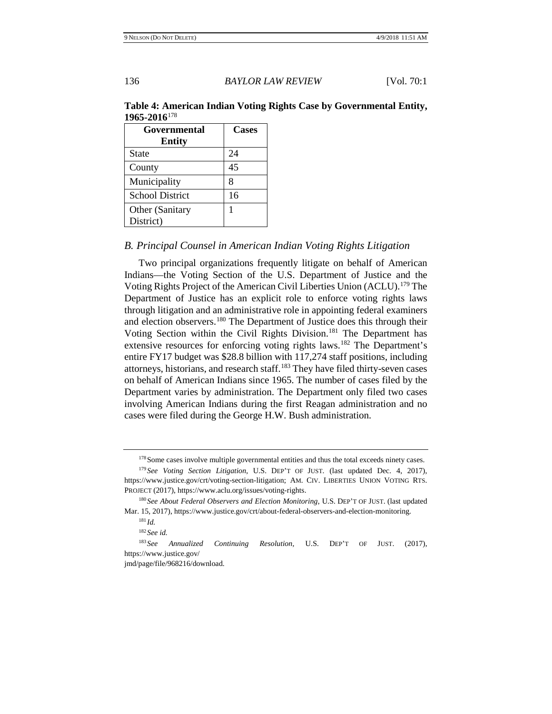# **Table 4: American Indian Voting Rights Case by Governmental Entity, 1965-2016**[178](#page-45-0)

| Governmental           | Cases |
|------------------------|-------|
| <b>Entity</b>          |       |
| <b>State</b>           | 24    |
| County                 | 45    |
| Municipality           | 8     |
| <b>School District</b> | 16    |
| Other (Sanitary        | 1     |
| District)              |       |

# *B. Principal Counsel in American Indian Voting Rights Litigation*

Two principal organizations frequently litigate on behalf of American Indians—the Voting Section of the U.S. Department of Justice and the Voting Rights Project of the American Civil Liberties Union (ACLU).[179](#page-45-1) The Department of Justice has an explicit role to enforce voting rights laws through litigation and an administrative role in appointing federal examiners and election observers.[180](#page-45-2) The Department of Justice does this through their Voting Section within the Civil Rights Division.<sup>[181](#page-45-3)</sup> The Department has extensive resources for enforcing voting rights laws.<sup>[182](#page-45-4)</sup> The Department's entire FY17 budget was \$28.8 billion with 117,274 staff positions, including attorneys, historians, and research staff.<sup>[183](#page-45-5)</sup> They have filed thirty-seven cases on behalf of American Indians since 1965. The number of cases filed by the Department varies by administration. The Department only filed two cases involving American Indians during the first Reagan administration and no cases were filed during the George H.W. Bush administration.

<sup>&</sup>lt;sup>178</sup> Some cases involve multiple governmental entities and thus the total exceeds ninety cases.

<span id="page-45-1"></span><span id="page-45-0"></span><sup>179</sup> *See Voting Section Litigation*, U.S. DEP'T OF JUST. (last updated Dec. 4, 2017), https://www.justice.gov/crt/voting-section-litigation; AM. CIV. LIBERTIES UNION VOTING RTS. PROJECT (2017), https://www.aclu.org/issues/voting-rights.

<span id="page-45-3"></span><span id="page-45-2"></span><sup>180</sup> *See About Federal Observers and Election Monitoring*, U.S. DEP'T OF JUST. (last updated Mar. 15, 2017), https://www.justice.gov/crt/about-federal-observers-and-election-monitoring.

<sup>181</sup> *Id.*

<sup>182</sup> *See id.*

<span id="page-45-5"></span><span id="page-45-4"></span><sup>183</sup> *See Annualized Continuing Resolution*, U.S. DEP'T OF JUST. (2017), https://www.justice.gov/

jmd/page/file/968216/download.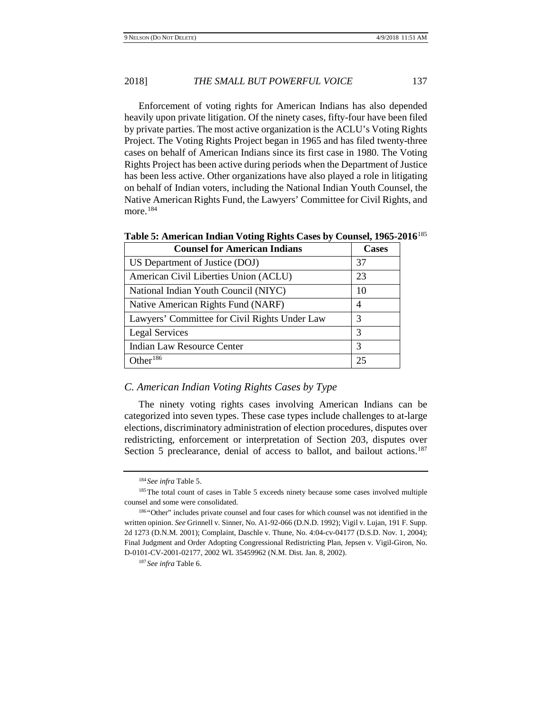Enforcement of voting rights for American Indians has also depended heavily upon private litigation. Of the ninety cases, fifty-four have been filed by private parties. The most active organization is the ACLU's Voting Rights Project. The Voting Rights Project began in 1965 and has filed twenty-three cases on behalf of American Indians since its first case in 1980. The Voting Rights Project has been active during periods when the Department of Justice has been less active. Other organizations have also played a role in litigating on behalf of Indian voters, including the National Indian Youth Counsel, the Native American Rights Fund, the Lawyers' Committee for Civil Rights, and more. $184$ 

| <b>Counsel for American Indians</b>           | <b>Cases</b>   |
|-----------------------------------------------|----------------|
| US Department of Justice (DOJ)                | 37             |
| American Civil Liberties Union (ACLU)         | 23             |
| National Indian Youth Council (NIYC)          | 10             |
| Native American Rights Fund (NARF)            | $\overline{4}$ |
| Lawyers' Committee for Civil Rights Under Law | 3              |
| Legal Services                                | 3              |
| Indian Law Resource Center                    | 3              |
| Other <sup>186</sup>                          | 25             |

**Table 5: American Indian Voting Rights Cases by Counsel, 1965-2016**[185](#page-46-1)

# *C. American Indian Voting Rights Cases by Type*

The ninety voting rights cases involving American Indians can be categorized into seven types. These case types include challenges to at-large elections, discriminatory administration of election procedures, disputes over redistricting, enforcement or interpretation of Section 203, disputes over Section 5 preclearance, denial of access to ballot, and bailout actions.<sup>[187](#page-46-3)</sup>

<sup>184</sup> *See infra* Table 5.

<span id="page-46-1"></span><span id="page-46-0"></span><sup>&</sup>lt;sup>185</sup>The total count of cases in Table 5 exceeds ninety because some cases involved multiple counsel and some were consolidated.

<span id="page-46-3"></span><span id="page-46-2"></span><sup>186 &</sup>quot;Other" includes private counsel and four cases for which counsel was not identified in the written opinion. *See* Grinnell v. Sinner, No. A1-92-066 (D.N.D. 1992); Vigil v. Lujan, 191 F. Supp. 2d 1273 (D.N.M. 2001); Complaint, Daschle v. Thune, No. 4:04-cv-04177 (D.S.D. Nov. 1, 2004); Final Judgment and Order Adopting Congressional Redistricting Plan, Jepsen v. Vigil-Giron, No. D-0101-CV-2001-02177, 2002 WL 35459962 (N.M. Dist. Jan. 8, 2002).

<sup>187</sup> *See infra* Table 6.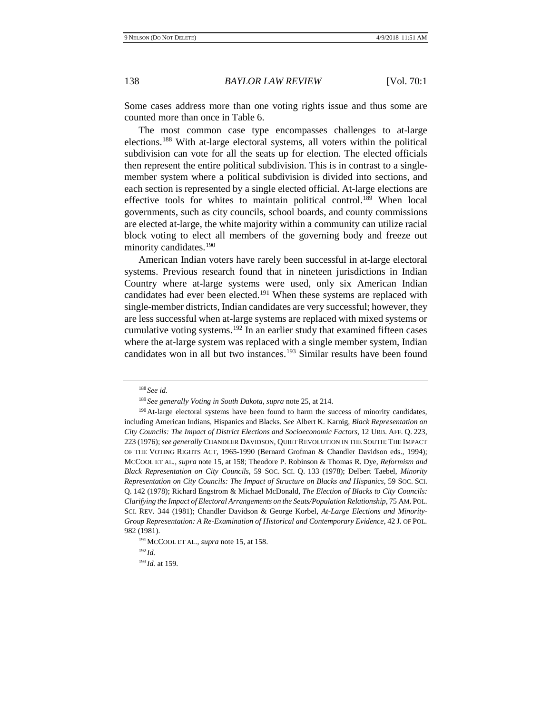Some cases address more than one voting rights issue and thus some are counted more than once in Table 6.

The most common case type encompasses challenges to at-large elections.[188](#page-47-0) With at-large electoral systems, all voters within the political subdivision can vote for all the seats up for election. The elected officials then represent the entire political subdivision. This is in contrast to a singlemember system where a political subdivision is divided into sections, and each section is represented by a single elected official. At-large elections are effective tools for whites to maintain political control.<sup>[189](#page-47-1)</sup> When local governments, such as city councils, school boards, and county commissions are elected at-large, the white majority within a community can utilize racial block voting to elect all members of the governing body and freeze out minority candidates.[190](#page-47-2)

<span id="page-47-6"></span>American Indian voters have rarely been successful in at-large electoral systems. Previous research found that in nineteen jurisdictions in Indian Country where at-large systems were used, only six American Indian candidates had ever been elected.<sup>191</sup> When these systems are replaced with single-member districts, Indian candidates are very successful; however, they are less successful when at-large systems are replaced with mixed systems or cumulative voting systems.<sup>[192](#page-47-4)</sup> In an earlier study that examined fifteen cases where the at-large system was replaced with a single member system, Indian candidates won in all but two instances.<sup>[193](#page-47-5)</sup> Similar results have been found

<sup>188</sup> *See id.*

<sup>189</sup> *See generally Voting in South Dakota*, *supra* note [25,](#page-4-4) at 214.

<span id="page-47-2"></span><span id="page-47-1"></span><span id="page-47-0"></span><sup>&</sup>lt;sup>190</sup>At-large electoral systems have been found to harm the success of minority candidates, including American Indians, Hispanics and Blacks. *See* Albert K. Karnig, *Black Representation on City Councils: The Impact of District Elections and Socioeconomic Factors*, 12 URB. AFF. Q. 223, 223 (1976); *see generally* CHANDLER DAVIDSON, QUIET REVOLUTION IN THE SOUTH: THE IMPACT OF THE VOTING RIGHTS ACT*,* 1965-1990 (Bernard Grofman & Chandler Davidson eds., 1994); MCCOOL ET AL., *supra* note [15,](#page-2-9) at 158; Theodore P. Robinson & Thomas R. Dye, *Reformism and Black Representation on City Councils*, 59 SOC. SCI. Q. 133 (1978); Delbert Taebel, *Minority Representation on City Councils: The Impact of Structure on Blacks and Hispanics*, 59 SOC. SCI. Q. 142 (1978); Richard Engstrom & Michael McDonald, *The Election of Blacks to City Councils: Clarifying the Impact of Electoral Arrangements on the Seats/Population Relationship*, 75 AM. POL. SCI. REV. 344 (1981); Chandler Davidson & George Korbel, *At-Large Elections and Minority-Group Representation: A Re-Examination of Historical and Contemporary Evidence*, 42 J. OF POL. 982 (1981).

<span id="page-47-4"></span><span id="page-47-3"></span><sup>191</sup>MCCOOL ET AL., *supra* not[e 15,](#page-2-9) at 158.

<sup>192</sup> *Id.*

<span id="page-47-5"></span><sup>193</sup> *Id.* at 159.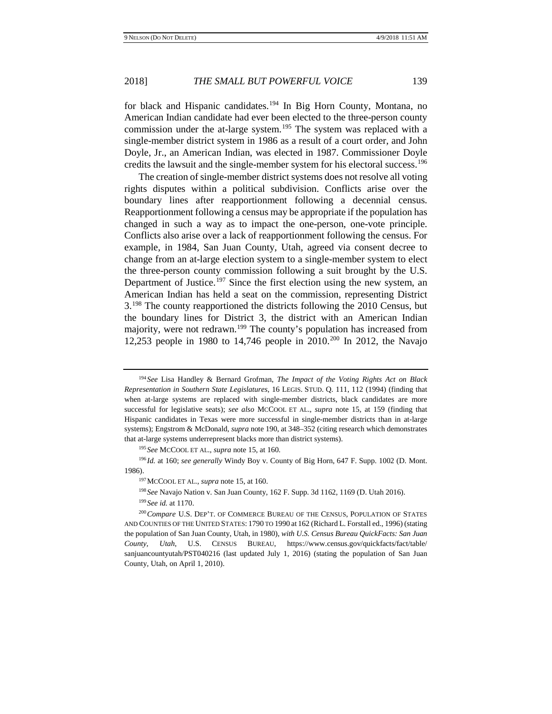for black and Hispanic candidates.<sup>[194](#page-48-0)</sup> In Big Horn County, Montana, no American Indian candidate had ever been elected to the three-person county commission under the at-large system.<sup>[195](#page-48-1)</sup> The system was replaced with a single-member district system in 1986 as a result of a court order, and John Doyle, Jr., an American Indian, was elected in 1987. Commissioner Doyle credits the lawsuit and the single-member system for his electoral success.<sup>[196](#page-48-2)</sup>

The creation of single-member district systems does not resolve all voting rights disputes within a political subdivision. Conflicts arise over the boundary lines after reapportionment following a decennial census. Reapportionment following a census may be appropriate if the population has changed in such a way as to impact the one-person, one-vote principle. Conflicts also arise over a lack of reapportionment following the census. For example, in 1984, San Juan County, Utah, agreed via consent decree to change from an at-large election system to a single-member system to elect the three-person county commission following a suit brought by the U.S. Department of Justice.<sup>[197](#page-48-3)</sup> Since the first election using the new system, an American Indian has held a seat on the commission, representing District 3.[198](#page-48-4) The county reapportioned the districts following the 2010 Census, but the boundary lines for District 3, the district with an American Indian majority, were not redrawn.<sup>[199](#page-48-5)</sup> The county's population has increased from 12,253 people in 1980 to 14,746 people in 2010.<sup>[200](#page-48-6)</sup> In 2012, the Navajo

<span id="page-48-0"></span><sup>194</sup> *See* Lisa Handley & Bernard Grofman, *The Impact of the Voting Rights Act on Black Representation in Southern State Legislatures*, 16 LEGIS. STUD. Q. 111, 112 (1994) (finding that when at-large systems are replaced with single-member districts, black candidates are more successful for legislative seats); *see also* MCCOOL ET AL., *supra* note [15,](#page-2-9) at 159 (finding that Hispanic candidates in Texas were more successful in single-member districts than in at-large systems); Engstrom & McDonald, *supra* not[e 190,](#page-47-6) at 348–352 (citing research which demonstrates that at-large systems underrepresent blacks more than district systems).

<sup>195</sup> *See* MCCOOL ET AL., *supra* not[e 15,](#page-2-9) at 160.

<span id="page-48-3"></span><span id="page-48-2"></span><span id="page-48-1"></span><sup>196</sup> *Id.* at 160; *see generally* Windy Boy v. County of Big Horn, 647 F. Supp. 1002 (D. Mont. 1986).

<sup>197</sup>MCCOOL ET AL., *supra* not[e 15,](#page-2-9) at 160.

<sup>198</sup> *See* Navajo Nation v. San Juan County, 162 F. Supp. 3d 1162, 1169 (D. Utah 2016).

<sup>199</sup> *See id.* at 1170.

<span id="page-48-6"></span><span id="page-48-5"></span><span id="page-48-4"></span><sup>200</sup>*Compare* U.S. DEP'T. OF COMMERCE BUREAU OF THE CENSUS, POPULATION OF STATES AND COUNTIES OF THE UNITED STATES: 1790 TO 1990 at 162 (Richard L. Forstall ed., 1996) (stating the population of San Juan County, Utah, in 1980), *with U.S. Census Bureau QuickFacts: San Juan County, Utah*, U.S. CENSUS BUREAU, https://www.census.gov/quickfacts/fact/table/ sanjuancountyutah/PST040216 (last updated July 1, 2016) (stating the population of San Juan County, Utah, on April 1, 2010).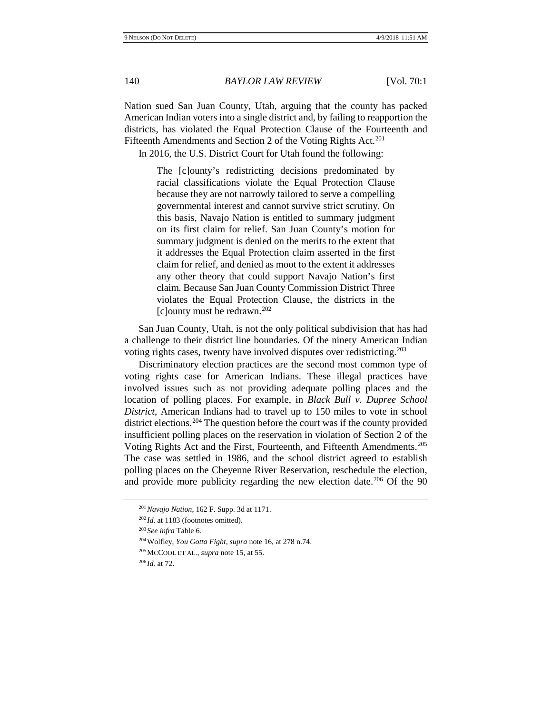Nation sued San Juan County, Utah, arguing that the county has packed American Indian voters into a single district and, by failing to reapportion the districts, has violated the Equal Protection Clause of the Fourteenth and Fifteenth Amendments and Section 2 of the Voting Rights Act.<sup>[201](#page-49-0)</sup>

In 2016, the U.S. District Court for Utah found the following:

The [c]ounty's redistricting decisions predominated by racial classifications violate the Equal Protection Clause because they are not narrowly tailored to serve a compelling governmental interest and cannot survive strict scrutiny. On this basis, Navajo Nation is entitled to summary judgment on its first claim for relief. San Juan County's motion for summary judgment is denied on the merits to the extent that it addresses the Equal Protection claim asserted in the first claim for relief, and denied as moot to the extent it addresses any other theory that could support Navajo Nation's first claim. Because San Juan County Commission District Three violates the Equal Protection Clause, the districts in the [c]ounty must be redrawn.<sup>[202](#page-49-1)</sup>

San Juan County, Utah, is not the only political subdivision that has had a challenge to their district line boundaries. Of the ninety American Indian voting rights cases, twenty have involved disputes over redistricting.<sup>[203](#page-49-2)</sup>

Discriminatory election practices are the second most common type of voting rights case for American Indians. These illegal practices have involved issues such as not providing adequate polling places and the location of polling places. For example, in *Black Bull v. Dupree School District*, American Indians had to travel up to 150 miles to vote in school district elections[.204](#page-49-3) The question before the court was if the county provided insufficient polling places on the reservation in violation of Section 2 of the Voting Rights Act and the First, Fourteenth, and Fifteenth Amendments.[205](#page-49-4) The case was settled in 1986, and the school district agreed to establish polling places on the Cheyenne River Reservation, reschedule the election, and provide more publicity regarding the new election date.<sup>206</sup> Of the 90

<span id="page-49-0"></span><sup>201</sup>*Navajo Nation*, 162 F. Supp. 3d at 1171.

<span id="page-49-1"></span><sup>&</sup>lt;sup>202</sup> *Id.* at 1183 (footnotes omitted).

<span id="page-49-2"></span><sup>203</sup> *See infra* Table 6.

<span id="page-49-3"></span><sup>204</sup>Wolfley, *You Gotta Fight*, *supra* note [16,](#page-2-8) at 278 n.74.

<span id="page-49-4"></span><sup>205</sup>MCCOOL ET AL., *supra* not[e 15,](#page-2-9) at 55.

<span id="page-49-5"></span><sup>206</sup> *Id.* at 72.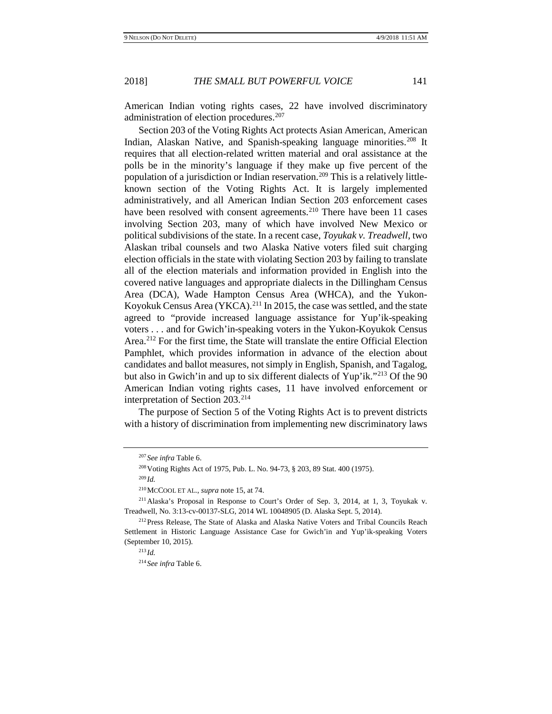American Indian voting rights cases, 22 have involved discriminatory administration of election procedures.<sup>[207](#page-50-0)</sup>

Section 203 of the Voting Rights Act protects Asian American, American Indian, Alaskan Native, and Spanish-speaking language minorities.<sup>[208](#page-50-1)</sup> It requires that all election-related written material and oral assistance at the polls be in the minority's language if they make up five percent of the population of a jurisdiction or Indian reservation.<sup>[209](#page-50-2)</sup> This is a relatively littleknown section of the Voting Rights Act. It is largely implemented administratively, and all American Indian Section 203 enforcement cases have been resolved with consent agreements.<sup>[210](#page-50-3)</sup> There have been 11 cases involving Section 203, many of which have involved New Mexico or political subdivisions of the state. In a recent case, *Toyukak v. Treadwell*, two Alaskan tribal counsels and two Alaska Native voters filed suit charging election officials in the state with violating Section 203 by failing to translate all of the election materials and information provided in English into the covered native languages and appropriate dialects in the Dillingham Census Area (DCA), Wade Hampton Census Area (WHCA), and the Yukon-Koyokuk Census Area (YKCA).<sup>[211](#page-50-4)</sup> In 2015, the case was settled, and the state agreed to "provide increased language assistance for Yup'ik-speaking voters . . . and for Gwich'in-speaking voters in the Yukon-Koyukok Census Area.[212](#page-50-5) For the first time, the State will translate the entire Official Election Pamphlet, which provides information in advance of the election about candidates and ballot measures, not simply in English, Spanish, and Tagalog, but also in Gwich'in and up to six different dialects of Yup'ik."[213](#page-50-6) Of the 90 American Indian voting rights cases, 11 have involved enforcement or interpretation of Section 203[.214](#page-50-7)

<span id="page-50-0"></span>The purpose of Section 5 of the Voting Rights Act is to prevent districts with a history of discrimination from implementing new discriminatory laws

<sup>207</sup> *See infra* Table 6.

<sup>208</sup>Voting Rights Act of 1975, Pub. L. No. 94-73, § 203, 89 Stat. 400 (1975).

<sup>209</sup> *Id.*

<sup>210</sup>MCCOOL ET AL., *supra* not[e 15,](#page-2-9) at 74.

<span id="page-50-4"></span><span id="page-50-3"></span><span id="page-50-2"></span><span id="page-50-1"></span><sup>211</sup>Alaska's Proposal in Response to Court's Order of Sep. 3, 2014, at 1, 3, Toyukak v. Treadwell, No. 3:13-cv-00137-SLG, 2014 WL 10048905 (D. Alaska Sept. 5, 2014).

<span id="page-50-7"></span><span id="page-50-6"></span><span id="page-50-5"></span><sup>&</sup>lt;sup>212</sup> Press Release, The State of Alaska and Alaska Native Voters and Tribal Councils Reach Settlement in Historic Language Assistance Case for Gwich'in and Yup'ik-speaking Voters (September 10, 2015).

<sup>213</sup> *Id.*

<sup>214</sup> *See infra* Table 6.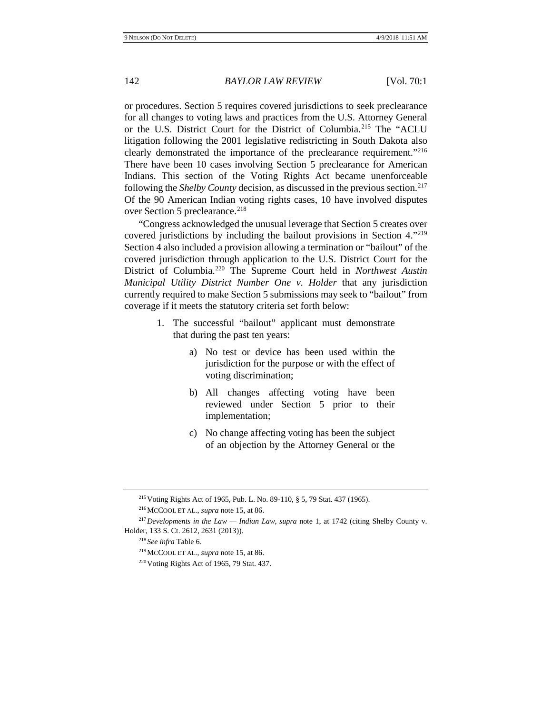or procedures. Section 5 requires covered jurisdictions to seek preclearance for all changes to voting laws and practices from the U.S. Attorney General or the U.S. District Court for the District of Columbia.[215](#page-51-0) The "ACLU litigation following the 2001 legislative redistricting in South Dakota also clearly demonstrated the importance of the preclearance requirement."[216](#page-51-1) There have been 10 cases involving Section 5 preclearance for American Indians. This section of the Voting Rights Act became unenforceable following the *Shelby County* decision, as discussed in the previous section.<sup>[217](#page-51-2)</sup> Of the 90 American Indian voting rights cases, 10 have involved disputes over Section 5 preclearance.<sup>[218](#page-51-3)</sup>

"Congress acknowledged the unusual leverage that Section 5 creates over covered jurisdictions by including the bailout provisions in Section 4."[219](#page-51-4) Section 4 also included a provision allowing a termination or "bailout" of the covered jurisdiction through application to the U.S. District Court for the District of Columbia.[220](#page-51-5) The Supreme Court held in *Northwest Austin Municipal Utility District Number One v. Holder* that any jurisdiction currently required to make Section 5 submissions may seek to "bailout" from coverage if it meets the statutory criteria set forth below:

- 1. The successful "bailout" applicant must demonstrate that during the past ten years:
	- a) No test or device has been used within the jurisdiction for the purpose or with the effect of voting discrimination;
	- b) All changes affecting voting have been reviewed under Section 5 prior to their implementation;
	- c) No change affecting voting has been the subject of an objection by the Attorney General or the

<sup>215</sup>Voting Rights Act of 1965, Pub. L. No. 89-110, § 5, 79 Stat. 437 (1965).

<sup>216</sup>MCCOOL ET AL., *supra* not[e 15,](#page-2-9) at 86.

<span id="page-51-5"></span><span id="page-51-4"></span><span id="page-51-3"></span><span id="page-51-2"></span><span id="page-51-1"></span><span id="page-51-0"></span><sup>217</sup>*Developments in the Law — Indian Law*, *supra* note [1,](#page-1-10) at 1742 (citing Shelby County v. Holder, 133 S. Ct. 2612, 2631 (2013)).

<sup>218</sup> *See infra* Table 6.

<sup>219</sup>MCCOOL ET AL., *supra* not[e 15,](#page-2-9) at 86.

 $220$  Voting Rights Act of 1965, 79 Stat. 437.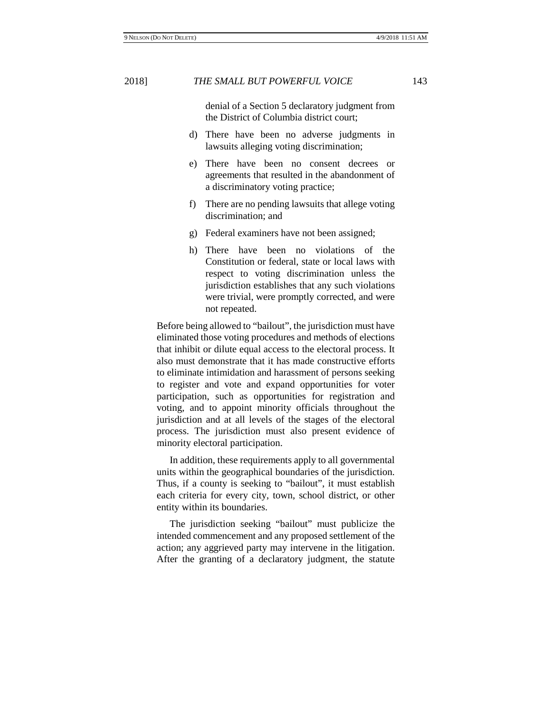denial of a Section 5 declaratory judgment from the District of Columbia district court;

- d) There have been no adverse judgments in lawsuits alleging voting discrimination;
- e) There have been no consent decrees or agreements that resulted in the abandonment of a discriminatory voting practice;
- f) There are no pending lawsuits that allege voting discrimination; and
- g) Federal examiners have not been assigned;
- h) There have been no violations of the Constitution or federal, state or local laws with respect to voting discrimination unless the jurisdiction establishes that any such violations were trivial, were promptly corrected, and were not repeated.

Before being allowed to "bailout", the jurisdiction must have eliminated those voting procedures and methods of elections that inhibit or dilute equal access to the electoral process. It also must demonstrate that it has made constructive efforts to eliminate intimidation and harassment of persons seeking to register and vote and expand opportunities for voter participation, such as opportunities for registration and voting, and to appoint minority officials throughout the jurisdiction and at all levels of the stages of the electoral process. The jurisdiction must also present evidence of minority electoral participation.

In addition, these requirements apply to all governmental units within the geographical boundaries of the jurisdiction. Thus, if a county is seeking to "bailout", it must establish each criteria for every city, town, school district, or other entity within its boundaries.

The jurisdiction seeking "bailout" must publicize the intended commencement and any proposed settlement of the action; any aggrieved party may intervene in the litigation. After the granting of a declaratory judgment, the statute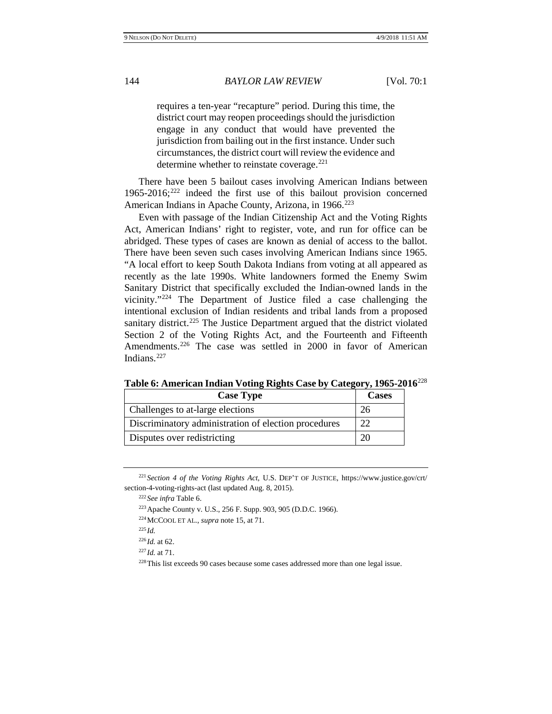requires a ten-year "recapture" period. During this time, the district court may reopen proceedings should the jurisdiction engage in any conduct that would have prevented the jurisdiction from bailing out in the first instance. Under such circumstances, the district court will review the evidence and determine whether to reinstate coverage.<sup>[221](#page-53-0)</sup>

There have been 5 bailout cases involving American Indians between  $1965-2016$ ;<sup>[222](#page-53-1)</sup> indeed the first use of this bailout provision concerned American Indians in Apache County, Arizona, in 1966.<sup>[223](#page-53-2)</sup>

Even with passage of the Indian Citizenship Act and the Voting Rights Act, American Indians' right to register, vote, and run for office can be abridged. These types of cases are known as denial of access to the ballot. There have been seven such cases involving American Indians since 1965. "A local effort to keep South Dakota Indians from voting at all appeared as recently as the late 1990s. White landowners formed the Enemy Swim Sanitary District that specifically excluded the Indian-owned lands in the vicinity."[224](#page-53-3) The Department of Justice filed a case challenging the intentional exclusion of Indian residents and tribal lands from a proposed sanitary district.<sup>[225](#page-53-4)</sup> The Justice Department argued that the district violated Section 2 of the Voting Rights Act, and the Fourteenth and Fifteenth Amendments.<sup>[226](#page-53-5)</sup> The case was settled in 2000 in favor of American Indians.[227](#page-53-6)

| <b>Case Type</b>                                     | <b>Cases</b> |
|------------------------------------------------------|--------------|
| Challenges to at-large elections                     |              |
| Discriminatory administration of election procedures | 22           |
| Disputes over redistricting                          |              |

**Table 6: American Indian Voting Rights Case by Category, 1965-2016**[228](#page-53-7)

<span id="page-53-4"></span><span id="page-53-3"></span><span id="page-53-2"></span><span id="page-53-1"></span><span id="page-53-0"></span><sup>221</sup> *Section 4 of the Voting Rights Act*, U.S. DEP'T OF JUSTICE, https://www.justice.gov/crt/ section-4-voting-rights-act (last updated Aug. 8, 2015).

<sup>222</sup> *See infra* Table 6.

<sup>223</sup>Apache County v. U.S., 256 F. Supp. 903, 905 (D.D.C. 1966).

<sup>224</sup>MCCOOL ET AL., *supra* not[e 15,](#page-2-9) at 71.

<span id="page-53-5"></span><sup>225</sup> *Id.*

 $^{226}$ *Id.* at 62.

<span id="page-53-7"></span><span id="page-53-6"></span><sup>227</sup> *Id.* at 71.

<sup>228</sup>This list exceeds 90 cases because some cases addressed more than one legal issue.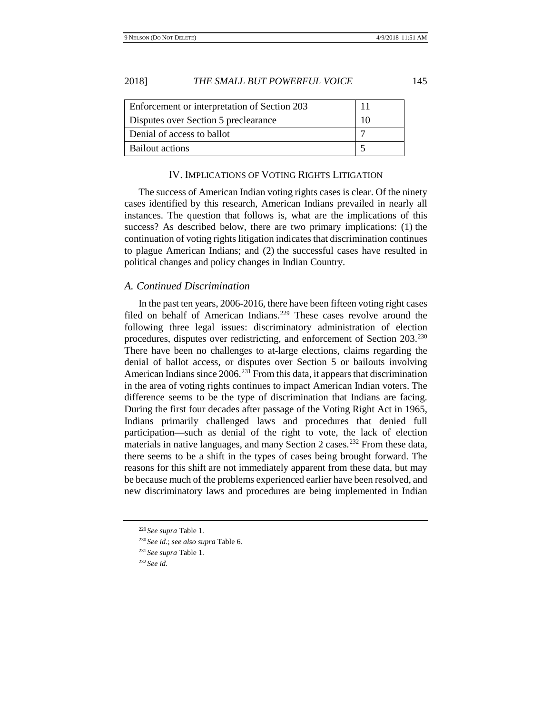| Enforcement or interpretation of Section 203 |  |
|----------------------------------------------|--|
| Disputes over Section 5 preclearance         |  |
| Denial of access to ballot                   |  |
| Bailout actions                              |  |

# IV. IMPLICATIONS OF VOTING RIGHTS LITIGATION

The success of American Indian voting rights cases is clear. Of the ninety cases identified by this research, American Indians prevailed in nearly all instances. The question that follows is, what are the implications of this success? As described below, there are two primary implications: (1) the continuation of voting rights litigation indicates that discrimination continues to plague American Indians; and (2) the successful cases have resulted in political changes and policy changes in Indian Country.

#### *A. Continued Discrimination*

In the past ten years, 2006-2016, there have been fifteen voting right cases filed on behalf of American Indians.<sup>[229](#page-54-0)</sup> These cases revolve around the following three legal issues: discriminatory administration of election procedures, disputes over redistricting, and enforcement of Section 203.[230](#page-54-1) There have been no challenges to at-large elections, claims regarding the denial of ballot access, or disputes over Section 5 or bailouts involving American Indians since 2006.<sup>[231](#page-54-2)</sup> From this data, it appears that discrimination in the area of voting rights continues to impact American Indian voters. The difference seems to be the type of discrimination that Indians are facing. During the first four decades after passage of the Voting Right Act in 1965, Indians primarily challenged laws and procedures that denied full participation—such as denial of the right to vote, the lack of election materials in native languages, and many Section 2 cases.<sup>[232](#page-54-3)</sup> From these data, there seems to be a shift in the types of cases being brought forward. The reasons for this shift are not immediately apparent from these data, but may be because much of the problems experienced earlier have been resolved, and new discriminatory laws and procedures are being implemented in Indian

<sup>229</sup> *See supra* Table 1.

<span id="page-54-2"></span><span id="page-54-1"></span><span id="page-54-0"></span><sup>230</sup> *See id.*; *see also supra* Table 6.

<sup>231</sup> *See supra* Table 1.

<span id="page-54-3"></span><sup>232</sup> *See id.*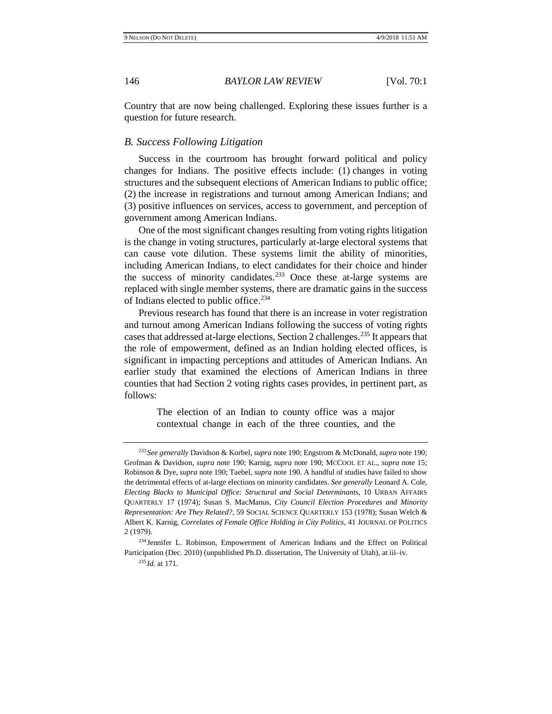Country that are now being challenged. Exploring these issues further is a question for future research.

#### *B. Success Following Litigation*

Success in the courtroom has brought forward political and policy changes for Indians. The positive effects include: (1) changes in voting structures and the subsequent elections of American Indians to public office; (2) the increase in registrations and turnout among American Indians; and (3) positive influences on services, access to government, and perception of government among American Indians.

One of the most significant changes resulting from voting rights litigation is the change in voting structures, particularly at-large electoral systems that can cause vote dilution. These systems limit the ability of minorities, including American Indians, to elect candidates for their choice and hinder the success of minority candidates[.233](#page-55-0) Once these at-large systems are replaced with single member systems, there are dramatic gains in the success of Indians elected to public office[.234](#page-55-1)

Previous research has found that there is an increase in voter registration and turnout among American Indians following the success of voting rights cases that addressed at-large elections, Section 2 challenges.[235](#page-55-2) It appears that the role of empowerment, defined as an Indian holding elected offices, is significant in impacting perceptions and attitudes of American Indians. An earlier study that examined the elections of American Indians in three counties that had Section 2 voting rights cases provides, in pertinent part, as follows:

> The election of an Indian to county office was a major contextual change in each of the three counties, and the

<span id="page-55-0"></span><sup>233</sup> *See generally* Davidson & Korbel, *supra* note [190;](#page-47-6) Engstrom & McDonald, *supra* note [190;](#page-47-6) Grofman & Davidson, *supra* note [190;](#page-47-6) Karnig, *supra* note [190;](#page-47-6) MCCOOL ET AL., *supra* note [15;](#page-2-9) Robinson & Dye, *supra* not[e 190;](#page-47-6) Taebel, *supra* not[e 190.](#page-47-6) A handful of studies have failed to show the detrimental effects of at-large elections on minority candidates. *See generally* Leonard A. Cole, *Electing Blacks to Municipal Office: Structural and Social Determinants*, 10 URBAN AFFAIRS QUARTERLY 17 (1974); Susan S. MacManus, *City Council Election Procedures and Minority Representation: Are They Related?*, 59 SOCIAL SCIENCE QUARTERLY 153 (1978); Susan Welch & Albert K. Karnig, *Correlates of Female Office Holding in City Politics*, 41 JOURNAL OF POLITICS 2 (1979).

<span id="page-55-2"></span><span id="page-55-1"></span><sup>234</sup> Jennifer L. Robinson, Empowerment of American Indians and the Effect on Political Participation (Dec. 2010) (unpublished Ph.D. dissertation, The University of Utah), at iii–iv.

<sup>235</sup> *Id.* at 171.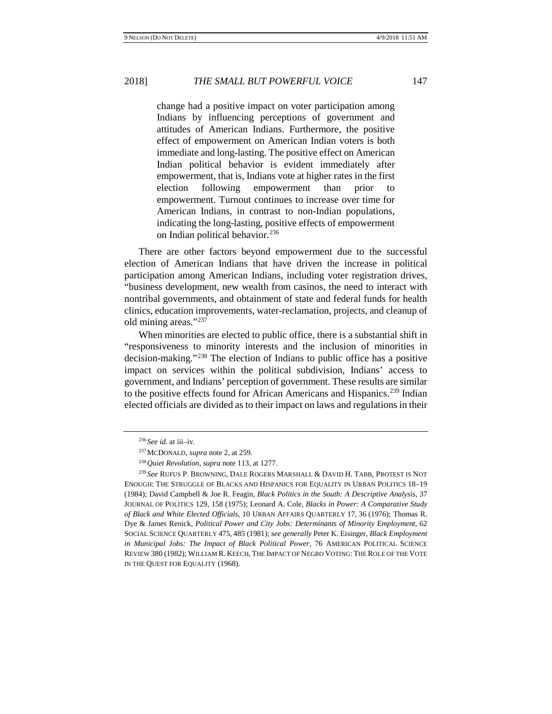change had a positive impact on voter participation among Indians by influencing perceptions of government and attitudes of American Indians. Furthermore, the positive effect of empowerment on American Indian voters is both immediate and long-lasting. The positive effect on American Indian political behavior is evident immediately after empowerment, that is, Indians vote at higher rates in the first election following empowerment than prior to empowerment. Turnout continues to increase over time for American Indians, in contrast to non-Indian populations, indicating the long-lasting, positive effects of empowerment on Indian political behavior.<sup>[236](#page-56-0)</sup>

There are other factors beyond empowerment due to the successful election of American Indians that have driven the increase in political participation among American Indians, including voter registration drives, "business development, new wealth from casinos, the need to interact with nontribal governments, and obtainment of state and federal funds for health clinics, education improvements, water-reclamation, projects, and cleanup of old mining areas.["237](#page-56-1)

When minorities are elected to public office, there is a substantial shift in "responsiveness to minority interests and the inclusion of minorities in decision-making."[238](#page-56-2) The election of Indians to public office has a positive impact on services within the political subdivision, Indians' access to government, and Indians' perception of government. These results are similar to the positive effects found for African Americans and Hispanics.<sup>[239](#page-56-3)</sup> Indian elected officials are divided as to their impact on laws and regulations in their

<sup>236</sup> *See id.* at iii–iv.

<sup>237</sup>MCDONALD, *supra* not[e 2,](#page-1-0) at 259.

<sup>238</sup>*Quiet Revolution*, *supra* not[e 113,](#page-16-8) at 1277.

<span id="page-56-3"></span><span id="page-56-2"></span><span id="page-56-1"></span><span id="page-56-0"></span><sup>239</sup> *See* RUFUS P. BROWNING, DALE ROGERS MARSHALL & DAVID H. TABB, PROTEST IS NOT ENOUGH: THE STRUGGLE OF BLACKS AND HISPANICS FOR EQUALITY IN URBAN POLITICS 18–19 (1984); David Campbell & Joe R. Feagin, *Black Politics in the South: A Descriptive Analysis*, 37 JOURNAL OF POLITICS 129, 158 (1975); Leonard A. Cole, *Blacks in Power: A Comparative Study of Black and White Elected Officials*, 10 URBAN AFFAIRS QUARTERLY 17, 36 (1976); Thomas R. Dye & James Renick, *Political Power and City Jobs: Determinants of Minority Employment*, 62 SOCIAL SCIENCE QUARTERLY 475, 485 (1981); *see generally* Peter K. Eisinger, *Black Employment in Municipal Jobs: The Impact of Black Political Power*, 76 AMERICAN POLITICAL SCIENCE REVIEW 380 (1982); WILLIAM R. KEECH, THE IMPACT OF NEGRO VOTING: THE ROLE OF THE VOTE IN THE QUEST FOR EQUALITY (1968).